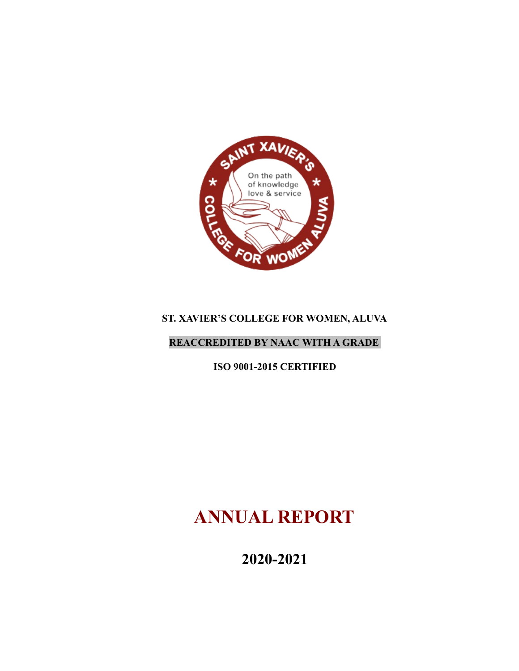

# **ST. XAVIER'S COLLEGE FOR WOMEN, ALUVA**

### **REACCREDITED BY NAAC WITH A GRADE**

**ISO 9001-2015 CERTIFIED**

# **ANNUAL REPORT**

**2020-2021**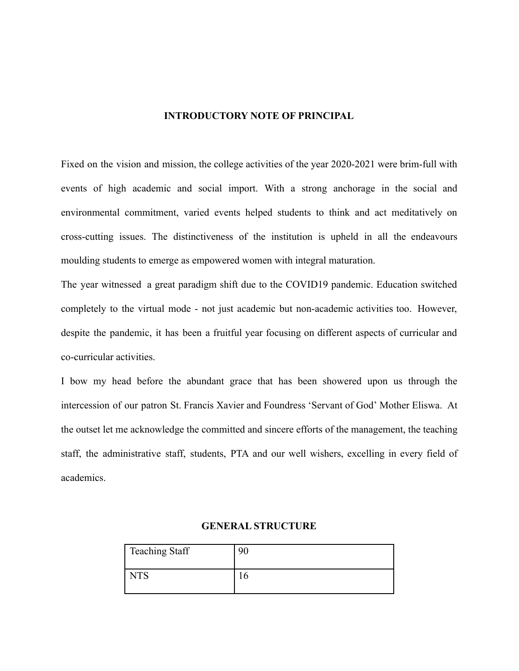#### **INTRODUCTORY NOTE OF PRINCIPAL**

Fixed on the vision and mission, the college activities of the year 2020-2021 were brim-full with events of high academic and social import. With a strong anchorage in the social and environmental commitment, varied events helped students to think and act meditatively on cross-cutting issues. The distinctiveness of the institution is upheld in all the endeavours moulding students to emerge as empowered women with integral maturation.

The year witnessed a great paradigm shift due to the COVID19 pandemic. Education switched completely to the virtual mode - not just academic but non-academic activities too. However, despite the pandemic, it has been a fruitful year focusing on different aspects of curricular and co-curricular activities.

I bow my head before the abundant grace that has been showered upon us through the intercession of our patron St. Francis Xavier and Foundress 'Servant of God' Mother Eliswa. At the outset let me acknowledge the committed and sincere efforts of the management, the teaching staff, the administrative staff, students, PTA and our well wishers, excelling in every field of academics.

| <b>Teaching Staff</b> | 9C |
|-----------------------|----|
| <b>TTC</b>            |    |

#### **GENERAL STRUCTURE**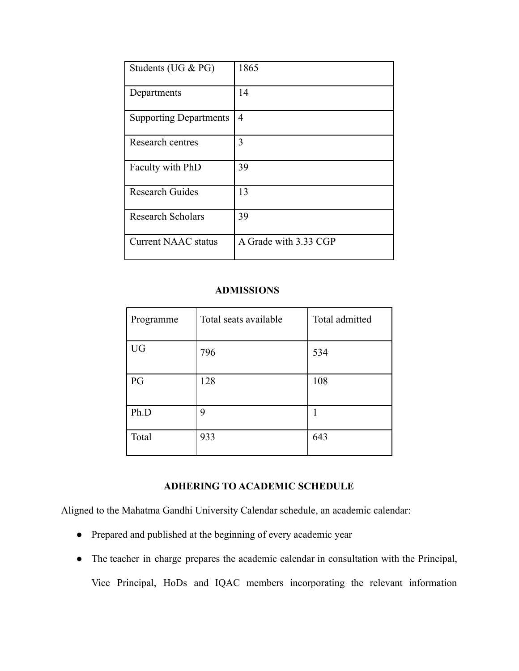| Students (UG & PG)            | 1865                  |
|-------------------------------|-----------------------|
| Departments                   | 14                    |
| <b>Supporting Departments</b> | 4                     |
| Research centres              | 3                     |
| Faculty with PhD              | 39                    |
| <b>Research Guides</b>        | 13                    |
| <b>Research Scholars</b>      | 39                    |
| <b>Current NAAC status</b>    | A Grade with 3.33 CGP |

#### **ADMISSIONS**

| Programme | Total seats available | Total admitted |
|-----------|-----------------------|----------------|
| <b>UG</b> | 796                   | 534            |
| PG        | 128                   | 108            |
| Ph.D      | 9                     |                |
| Total     | 933                   | 643            |

### **ADHERING TO ACADEMIC SCHEDULE**

Aligned to the Mahatma Gandhi University Calendar schedule, an academic calendar:

- Prepared and published at the beginning of every academic year
- The teacher in charge prepares the academic calendar in consultation with the Principal, Vice Principal, HoDs and IQAC members incorporating the relevant information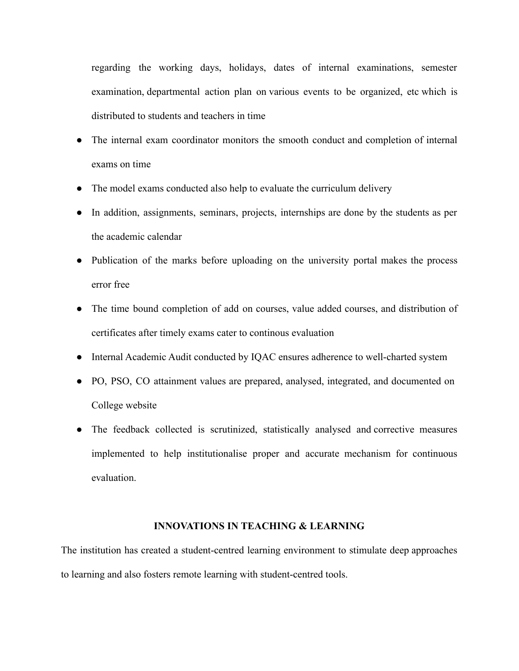regarding the working days, holidays, dates of internal examinations, semester examination, departmental action plan on various events to be organized, etc which is distributed to students and teachers in time

- The internal exam coordinator monitors the smooth conduct and completion of internal exams on time
- The model exams conducted also help to evaluate the curriculum delivery
- In addition, assignments, seminars, projects, internships are done by the students as per the academic calendar
- Publication of the marks before uploading on the university portal makes the process error free
- The time bound completion of add on courses, value added courses, and distribution of certificates after timely exams cater to continous evaluation
- Internal Academic Audit conducted by IQAC ensures adherence to well-charted system
- PO, PSO, CO attainment values are prepared, analysed, integrated, and documented on College website
- The feedback collected is scrutinized, statistically analysed and corrective measures implemented to help institutionalise proper and accurate mechanism for continuous evaluation.

#### **INNOVATIONS IN TEACHING & LEARNING**

The institution has created a student-centred learning environment to stimulate deep approaches to learning and also fosters remote learning with student-centred tools.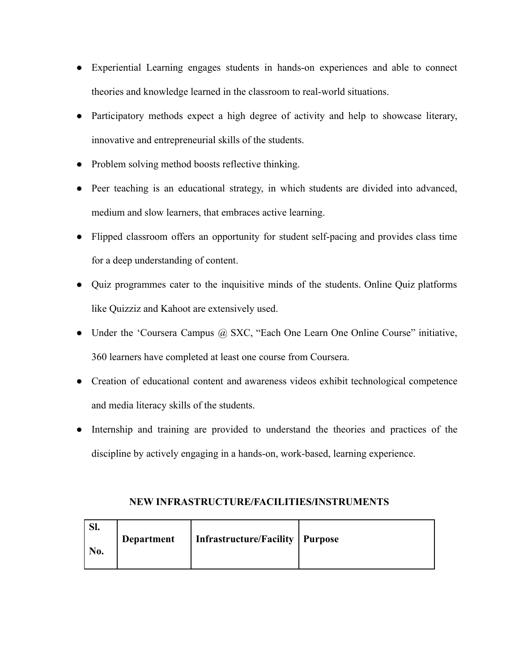- Experiential Learning engages students in hands-on experiences and able to connect theories and knowledge learned in the classroom to real-world situations.
- Participatory methods expect a high degree of activity and help to showcase literary, innovative and entrepreneurial skills of the students.
- Problem solving method boosts reflective thinking.
- Peer teaching is an educational strategy, in which students are divided into advanced, medium and slow learners, that embraces active learning.
- Flipped classroom offers an opportunity for student self-pacing and provides class time for a deep understanding of content.
- Quiz programmes cater to the inquisitive minds of the students. Online Quiz platforms like Quizziz and Kahoot are extensively used.
- Under the 'Coursera Campus @ SXC, "Each One Learn One Online Course" initiative, 360 learners have completed at least one course from Coursera.
- Creation of educational content and awareness videos exhibit technological competence and media literacy skills of the students.
- Internship and training are provided to understand the theories and practices of the discipline by actively engaging in a hands-on, work-based, learning experience.

| ЮI.<br>No. | <b>Department</b> | <b>Infrastructure/Facility   Purpose</b> |  |
|------------|-------------------|------------------------------------------|--|
|            |                   |                                          |  |

#### **NEW INFRASTRUCTURE/FACILITIES/INSTRUMENTS**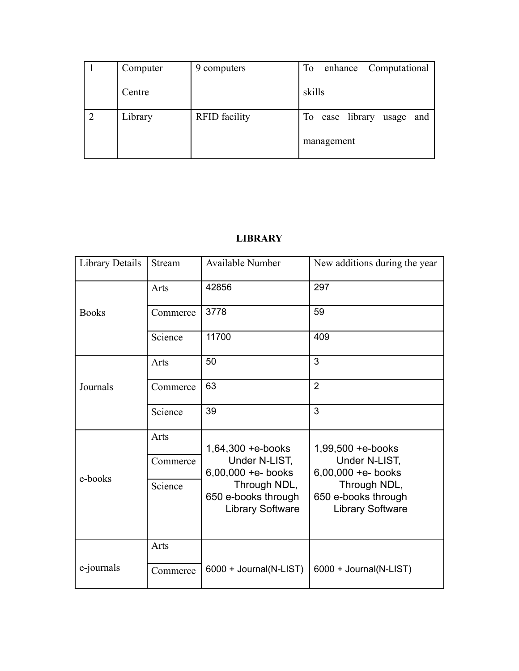| Computer | 9 computers          | enhance Computational<br>To |
|----------|----------------------|-----------------------------|
| Centre   |                      | skills                      |
| Library  | <b>RFID</b> facility | To ease library usage and   |
|          |                      | management                  |

# **LIBRARY**

| Library Details | Stream   | Available Number                                               | New additions during the year                                  |
|-----------------|----------|----------------------------------------------------------------|----------------------------------------------------------------|
|                 | Arts     | 42856                                                          | 297                                                            |
| <b>Books</b>    | Commerce | 3778                                                           | 59                                                             |
|                 | Science  | 11700                                                          | 409                                                            |
|                 | Arts     | 50                                                             | 3                                                              |
| Journals        | Commerce | 63                                                             | $\overline{2}$                                                 |
|                 | Science  | 39                                                             | 3                                                              |
|                 | Arts     | $1,64,300 + e$ -books                                          | 1,99,500 + e-books                                             |
|                 | Commerce | Under N-LIST,<br>$6,00,000 +e-$ books                          | Under N-LIST,<br>$6,00,000 +e-$ books                          |
| e-books         | Science  | Through NDL,<br>650 e-books through<br><b>Library Software</b> | Through NDL,<br>650 e-books through<br><b>Library Software</b> |
|                 | Arts     |                                                                |                                                                |
| e-journals      | Commerce | 6000 + Journal(N-LIST)                                         | 6000 + Journal(N-LIST)                                         |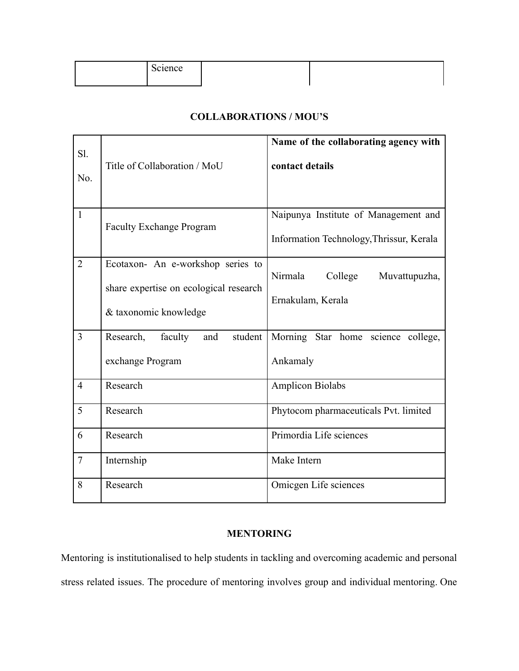| 01000a<br>Science |  |
|-------------------|--|
|                   |  |

### **COLLABORATIONS / MOU'S**

| Sl.<br>No.     | Title of Collaboration / MoU                                                                         | Name of the collaborating agency with<br>contact details                         |
|----------------|------------------------------------------------------------------------------------------------------|----------------------------------------------------------------------------------|
| $\mathbf{1}$   | <b>Faculty Exchange Program</b>                                                                      | Naipunya Institute of Management and<br>Information Technology, Thrissur, Kerala |
| $\overline{2}$ | Ecotaxon- An e-workshop series to<br>share expertise on ecological research<br>& taxonomic knowledge | Nirmala<br>College<br>Muvattupuzha,<br>Ernakulam, Kerala                         |
| $\overline{3}$ | Research,<br>faculty<br>student<br>and<br>exchange Program                                           | Morning Star home science college,<br>Ankamaly                                   |
| $\overline{4}$ | Research                                                                                             | <b>Amplicon Biolabs</b>                                                          |
| 5              | Research                                                                                             | Phytocom pharmaceuticals Pvt. limited                                            |
| 6              | Research                                                                                             | Primordia Life sciences                                                          |
| $\overline{7}$ | Internship                                                                                           | Make Intern                                                                      |
| 8              | Research                                                                                             | Omicgen Life sciences                                                            |

#### **MENTORING**

Mentoring is institutionalised to help students in tackling and overcoming academic and personal stress related issues. The procedure of mentoring involves group and individual mentoring. One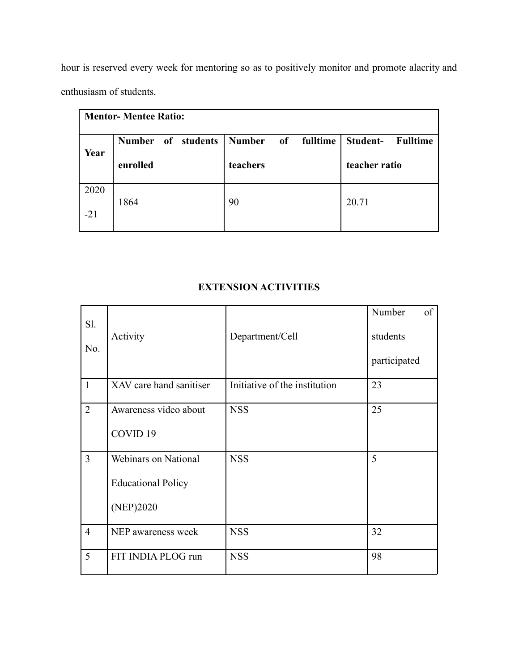hour is reserved every week for mentoring so as to positively monitor and promote alacrity and enthusiasm of students.

| <b>Mentor- Mentee Ratio:</b> |                              |                                 |                             |  |  |
|------------------------------|------------------------------|---------------------------------|-----------------------------|--|--|
|                              | of students<br><b>Number</b> | <b>Number</b><br>fulltime<br>of | Student-<br><b>Fulltime</b> |  |  |
| Year                         | enrolled                     | teachers                        | teacher ratio               |  |  |
| 2020                         | 1864                         | 90                              | 20.71                       |  |  |
| $-21$                        |                              |                                 |                             |  |  |

### **EXTENSION ACTIVITIES**

| Sl.<br>No.     | Activity                                                              | Department/Cell               | Number<br>of<br>students<br>participated |
|----------------|-----------------------------------------------------------------------|-------------------------------|------------------------------------------|
| $\mathbf{1}$   | XAV care hand sanitiser                                               | Initiative of the institution | 23                                       |
| $\overline{2}$ | Awareness video about<br>COVID <sub>19</sub>                          | <b>NSS</b>                    | 25                                       |
| 3              | <b>Webinars on National</b><br><b>Educational Policy</b><br>(NEP)2020 | <b>NSS</b>                    | 5                                        |
| $\overline{4}$ | NEP awareness week                                                    | <b>NSS</b>                    | 32                                       |
| 5              | FIT INDIA PLOG run                                                    | <b>NSS</b>                    | 98                                       |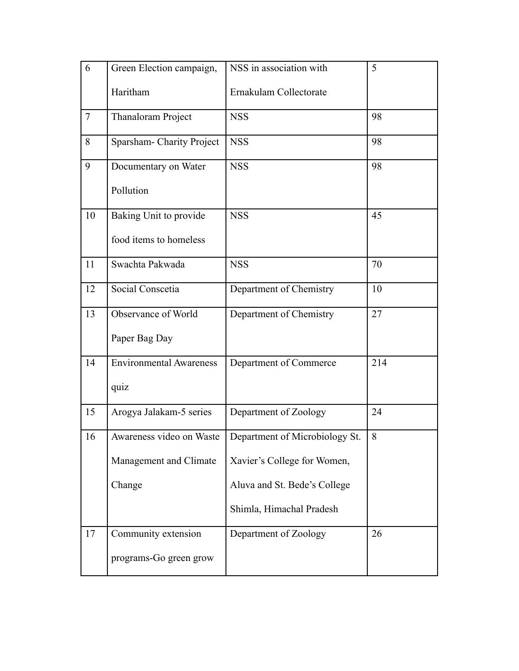| 6              | Green Election campaign,       | NSS in association with        | 5   |
|----------------|--------------------------------|--------------------------------|-----|
|                | Haritham                       | Ernakulam Collectorate         |     |
| $\overline{7}$ | Thanaloram Project             | <b>NSS</b>                     | 98  |
| 8              | Sparsham- Charity Project      | <b>NSS</b>                     | 98  |
| 9              | Documentary on Water           | <b>NSS</b>                     | 98  |
|                | Pollution                      |                                |     |
| 10             | Baking Unit to provide         | <b>NSS</b>                     | 45  |
|                | food items to homeless         |                                |     |
| 11             | Swachta Pakwada                | <b>NSS</b>                     | 70  |
| 12             | Social Conscetia               | Department of Chemistry        | 10  |
| 13             | Observance of World            | Department of Chemistry        | 27  |
|                | Paper Bag Day                  |                                |     |
| 14             | <b>Environmental Awareness</b> | Department of Commerce         | 214 |
|                | quiz                           |                                |     |
| 15             | Arogya Jalakam-5 series        | Department of Zoology          | 24  |
| 16             | Awareness video on Waste       | Department of Microbiology St. | 8   |
|                | Management and Climate         | Xavier's College for Women,    |     |
|                | Change                         | Aluva and St. Bede's College   |     |
|                |                                | Shimla, Himachal Pradesh       |     |
| 17             | Community extension            | Department of Zoology          | 26  |
|                | programs-Go green grow         |                                |     |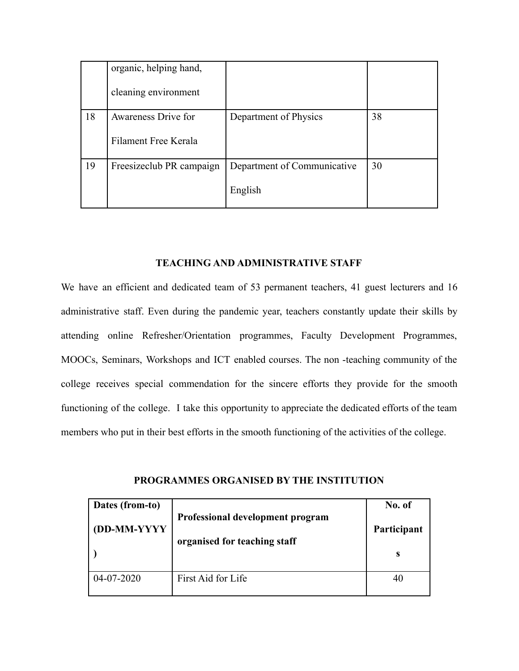|    | organic, helping hand,   |                             |    |
|----|--------------------------|-----------------------------|----|
|    | cleaning environment     |                             |    |
| 18 | Awareness Drive for      | Department of Physics       | 38 |
|    | Filament Free Kerala     |                             |    |
| 19 | Freesizeclub PR campaign | Department of Communicative | 30 |
|    |                          | English                     |    |

#### **TEACHING AND ADMINISTRATIVE STAFF**

We have an efficient and dedicated team of 53 permanent teachers, 41 guest lecturers and 16 administrative staff. Even during the pandemic year, teachers constantly update their skills by attending online Refresher/Orientation programmes, Faculty Development Programmes, MOOCs, Seminars, Workshops and ICT enabled courses. The non -teaching community of the college receives special commendation for the sincere efforts they provide for the smooth functioning of the college. I take this opportunity to appreciate the dedicated efforts of the team members who put in their best efforts in the smooth functioning of the activities of the college.

| Dates (from-to)<br>(DD-MM-YYYY | Professional development program<br>organised for teaching staff | No. of<br>Participant<br>S |
|--------------------------------|------------------------------------------------------------------|----------------------------|
| $04 - 07 - 2020$               | First Aid for Life                                               | 40                         |

**PROGRAMMES ORGANISED BY THE INSTITUTION**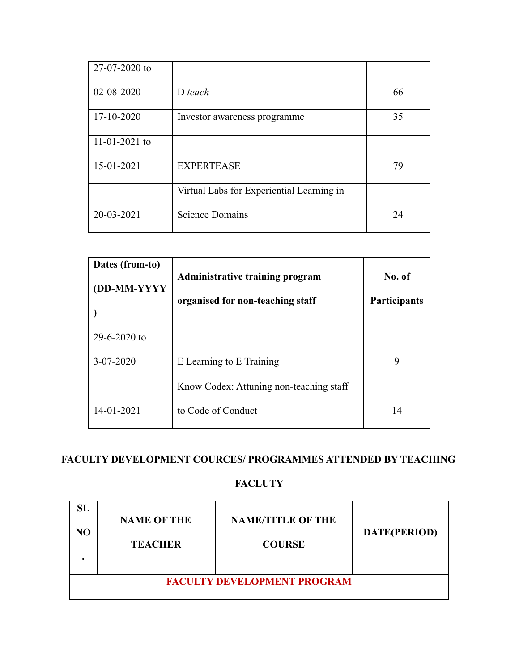| $27-07-2020$ to     |                                           |    |
|---------------------|-------------------------------------------|----|
| 02-08-2020          | $D$ teach                                 | 66 |
| 17-10-2020          | Investor awareness programme              | 35 |
| $11 - 01 - 2021$ to |                                           |    |
| 15-01-2021          | <b>EXPERTEASE</b>                         | 79 |
|                     | Virtual Labs for Experiential Learning in |    |
| 20-03-2021          | <b>Science Domains</b>                    | 24 |

| Dates (from-to)<br>(DD-MM-YYYY | <b>Administrative training program</b><br>organised for non-teaching staff | No. of<br>Participants |
|--------------------------------|----------------------------------------------------------------------------|------------------------|
| $29 - 6 - 2020$ to             |                                                                            |                        |
| $3 - 07 - 2020$                | E Learning to E Training                                                   | 9                      |
|                                | Know Codex: Attuning non-teaching staff                                    |                        |
| 14-01-2021                     | to Code of Conduct                                                         | 14                     |

# **FACULTY DEVELOPMENT COURCES/ PROGRAMMES ATTENDED BY TEACHING**

## **FACLUTY**

| N <sub>O</sub> | <b>NAME OF THE</b><br><b>TEACHER</b> | <b>NAME/TITLE OF THE</b><br><b>COURSE</b> | DATE(PERIOD) |
|----------------|--------------------------------------|-------------------------------------------|--------------|
|                |                                      | <b>FACULTY DEVELOPMENT PROGRAM</b>        |              |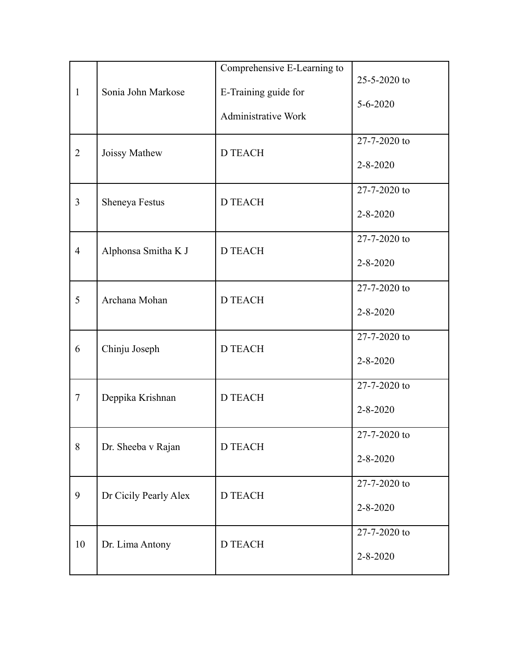| $\mathbf{1}$   | Sonia John Markose    | Comprehensive E-Learning to<br>E-Training guide for<br><b>Administrative Work</b> | $25 - 5 - 2020$ to<br>$5 - 6 - 2020$ |
|----------------|-----------------------|-----------------------------------------------------------------------------------|--------------------------------------|
| $\overline{2}$ | Joissy Mathew         | <b>D TEACH</b>                                                                    | 27-7-2020 to<br>$2 - 8 - 2020$       |
| 3              | Sheneya Festus        | <b>D TEACH</b>                                                                    | 27-7-2020 to<br>$2 - 8 - 2020$       |
| $\overline{4}$ | Alphonsa Smitha K J   | <b>D TEACH</b>                                                                    | 27-7-2020 to<br>$2 - 8 - 2020$       |
| 5              | Archana Mohan         | <b>D TEACH</b>                                                                    | 27-7-2020 to<br>$2 - 8 - 2020$       |
| 6              | Chinju Joseph         | <b>D TEACH</b>                                                                    | 27-7-2020 to<br>$2 - 8 - 2020$       |
| 7              | Deppika Krishnan      | <b>D TEACH</b>                                                                    | 27-7-2020 to<br>$2 - 8 - 2020$       |
| 8              | Dr. Sheeba v Rajan    | D TEACH                                                                           | 27-7-2020 to<br>$2 - 8 - 2020$       |
| 9              | Dr Cicily Pearly Alex | <b>D TEACH</b>                                                                    | 27-7-2020 to<br>$2 - 8 - 2020$       |
| 10             | Dr. Lima Antony       | <b>D TEACH</b>                                                                    | 27-7-2020 to<br>$2 - 8 - 2020$       |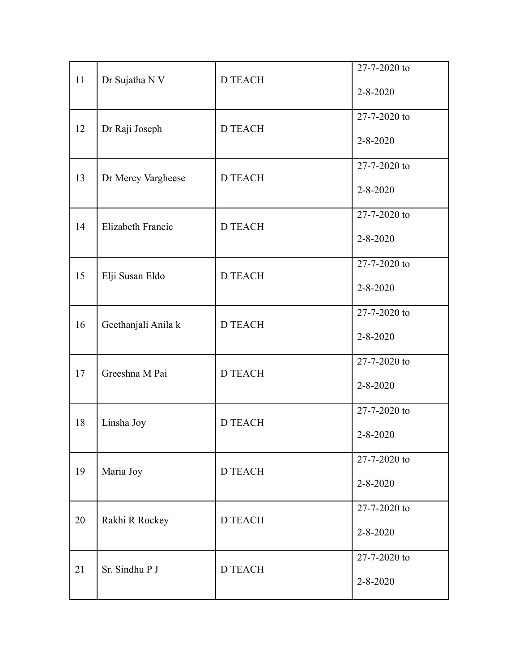|    |                     |                | 27-7-2020 to   |
|----|---------------------|----------------|----------------|
| 11 | Dr Sujatha N V      | <b>D TEACH</b> | $2 - 8 - 2020$ |
|    |                     |                | 27-7-2020 to   |
| 12 | Dr Raji Joseph      | <b>D TEACH</b> | $2 - 8 - 2020$ |
|    |                     |                | 27-7-2020 to   |
| 13 | Dr Mercy Vargheese  | <b>D TEACH</b> | $2 - 8 - 2020$ |
|    |                     |                | 27-7-2020 to   |
| 14 | Elizabeth Francic   | <b>D TEACH</b> | $2 - 8 - 2020$ |
|    |                     |                | 27-7-2020 to   |
| 15 | Elji Susan Eldo     | <b>D TEACH</b> | $2 - 8 - 2020$ |
| 16 |                     | <b>D TEACH</b> | 27-7-2020 to   |
|    | Geethanjali Anila k |                | $2 - 8 - 2020$ |
|    | Greeshna M Pai      |                | 27-7-2020 to   |
| 17 |                     | <b>D TEACH</b> | $2 - 8 - 2020$ |
| 18 |                     | <b>D TEACH</b> | 27-7-2020 to   |
|    | Linsha Joy          |                | $2 - 8 - 2020$ |
| 19 |                     | <b>D TEACH</b> | 27-7-2020 to   |
|    | Maria Joy           |                | $2 - 8 - 2020$ |
| 20 |                     | <b>D TEACH</b> | 27-7-2020 to   |
|    | Rakhi R Rockey      |                | $2 - 8 - 2020$ |
|    |                     |                | 27-7-2020 to   |
| 21 | Sr. Sindhu P J      | <b>D TEACH</b> | $2 - 8 - 2020$ |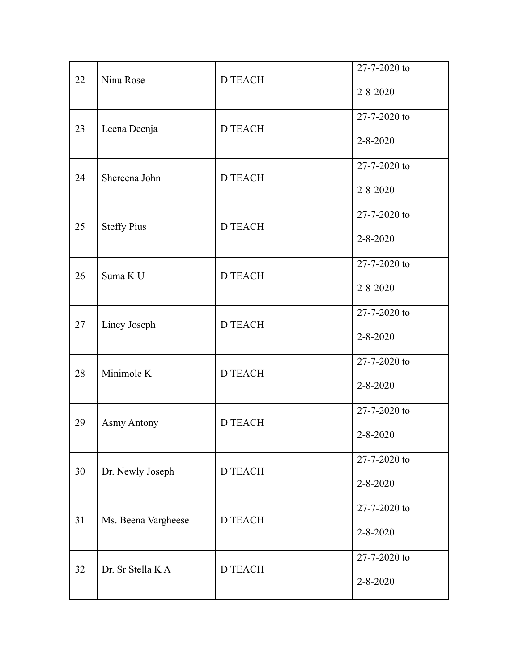|    |                     |                | 27-7-2020 to   |
|----|---------------------|----------------|----------------|
| 22 | Ninu Rose           | <b>D TEACH</b> | $2 - 8 - 2020$ |
|    |                     |                | 27-7-2020 to   |
| 23 | Leena Deenja        | <b>D TEACH</b> | $2 - 8 - 2020$ |
|    |                     |                | 27-7-2020 to   |
| 24 | Shereena John       | <b>D TEACH</b> | $2 - 8 - 2020$ |
|    |                     |                | 27-7-2020 to   |
| 25 | <b>Steffy Pius</b>  | <b>D TEACH</b> | $2 - 8 - 2020$ |
|    |                     |                | 27-7-2020 to   |
| 26 | Suma K U            | <b>D TEACH</b> | $2 - 8 - 2020$ |
| 27 |                     | <b>D TEACH</b> | 27-7-2020 to   |
|    | Lincy Joseph        |                | $2 - 8 - 2020$ |
|    |                     |                | 27-7-2020 to   |
| 28 | Minimole K          | <b>D TEACH</b> | $2 - 8 - 2020$ |
|    |                     |                | 27-7-2020 to   |
| 29 | <b>Asmy Antony</b>  | <b>D TEACH</b> | $2 - 8 - 2020$ |
|    |                     |                | 27-7-2020 to   |
| 30 | Dr. Newly Joseph    | <b>D TEACH</b> | $2 - 8 - 2020$ |
|    |                     |                | 27-7-2020 to   |
| 31 | Ms. Beena Vargheese | <b>D TEACH</b> | $2 - 8 - 2020$ |
|    |                     |                | 27-7-2020 to   |
| 32 | Dr. Sr Stella K A   | <b>D TEACH</b> | $2 - 8 - 2020$ |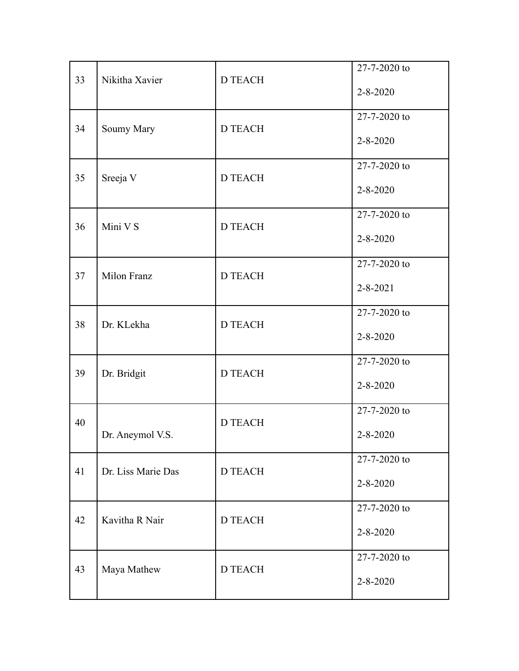|    |                    |                | 27-7-2020 to   |
|----|--------------------|----------------|----------------|
| 33 | Nikitha Xavier     | <b>D TEACH</b> | $2 - 8 - 2020$ |
|    |                    |                | 27-7-2020 to   |
| 34 | Soumy Mary         | D TEACH        | $2 - 8 - 2020$ |
|    |                    |                | 27-7-2020 to   |
| 35 | Sreeja V           | <b>D TEACH</b> | $2 - 8 - 2020$ |
|    |                    |                | 27-7-2020 to   |
| 36 | Mini V S           | <b>D TEACH</b> | $2 - 8 - 2020$ |
|    |                    |                | 27-7-2020 to   |
| 37 | Milon Franz        | <b>D TEACH</b> | $2 - 8 - 2021$ |
| 38 |                    | <b>D TEACH</b> | 27-7-2020 to   |
|    | Dr. KLekha         |                | $2 - 8 - 2020$ |
|    |                    |                | 27-7-2020 to   |
| 39 | Dr. Bridgit        | <b>D TEACH</b> | $2 - 8 - 2020$ |
| 40 |                    | <b>D TEACH</b> | 27-7-2020 to   |
|    | Dr. Aneymol V.S.   |                | $2 - 8 - 2020$ |
|    |                    |                | 27-7-2020 to   |
| 41 | Dr. Liss Marie Das | <b>D TEACH</b> | $2 - 8 - 2020$ |
| 42 | Kavitha R Nair     |                | 27-7-2020 to   |
|    |                    | <b>D TEACH</b> | $2 - 8 - 2020$ |
|    |                    |                | 27-7-2020 to   |
| 43 | Maya Mathew        | <b>D TEACH</b> | $2 - 8 - 2020$ |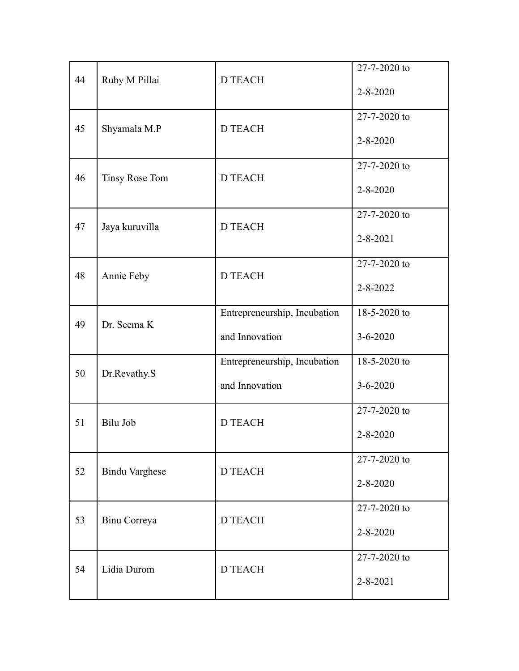|    |                       |                              | 27-7-2020 to   |
|----|-----------------------|------------------------------|----------------|
| 44 | Ruby M Pillai         | <b>D TEACH</b>               | $2 - 8 - 2020$ |
|    |                       |                              | 27-7-2020 to   |
| 45 | Shyamala M.P          | <b>D TEACH</b>               | $2 - 8 - 2020$ |
|    |                       |                              | 27-7-2020 to   |
| 46 | Tinsy Rose Tom        | <b>D TEACH</b>               | $2 - 8 - 2020$ |
|    |                       |                              | 27-7-2020 to   |
| 47 | Jaya kuruvilla        | <b>D TEACH</b>               | $2 - 8 - 2021$ |
|    |                       |                              | 27-7-2020 to   |
| 48 | Annie Feby            | <b>D TEACH</b>               | $2 - 8 - 2022$ |
|    |                       | Entrepreneurship, Incubation | 18-5-2020 to   |
| 49 | Dr. Seema K           | and Innovation               | $3 - 6 - 2020$ |
|    |                       | Entrepreneurship, Incubation | 18-5-2020 to   |
| 50 | Dr.Revathy.S          | and Innovation               | $3 - 6 - 2020$ |
|    |                       |                              | 27-7-2020 to   |
| 51 | Bilu Job              | <b>D TEACH</b>               | $2 - 8 - 2020$ |
|    |                       |                              | 27-7-2020 to   |
| 52 | <b>Bindu Varghese</b> | <b>D TEACH</b>               | $2 - 8 - 2020$ |
|    |                       |                              | 27-7-2020 to   |
| 53 | Binu Correya          | <b>D TEACH</b>               | $2 - 8 - 2020$ |
|    |                       |                              | 27-7-2020 to   |
| 54 | Lidia Durom           | <b>D TEACH</b>               | $2 - 8 - 2021$ |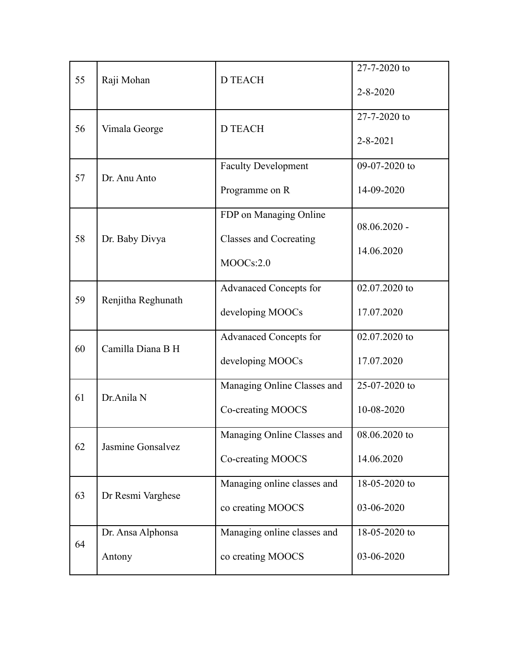| 55 | Raji Mohan                  | <b>D TEACH</b>                                                       | 27-7-2020 to<br>$2 - 8 - 2020$ |
|----|-----------------------------|----------------------------------------------------------------------|--------------------------------|
| 56 | Vimala George               | <b>D TEACH</b>                                                       | 27-7-2020 to<br>$2 - 8 - 2021$ |
| 57 | Dr. Anu Anto                | <b>Faculty Development</b><br>Programme on R                         | 09-07-2020 to<br>14-09-2020    |
| 58 | Dr. Baby Divya              | FDP on Managing Online<br><b>Classes and Cocreating</b><br>MOOCs:2.0 | $08.06.2020 -$<br>14.06.2020   |
| 59 | Renjitha Reghunath          | <b>Advanaced Concepts for</b><br>developing MOOCs                    | 02.07.2020 to<br>17.07.2020    |
| 60 | Camilla Diana B H           | <b>Advanaced Concepts for</b><br>developing MOOCs                    | 02.07.2020 to<br>17.07.2020    |
| 61 | Dr.Anila N                  | Managing Online Classes and<br>Co-creating MOOCS                     | 25-07-2020 to<br>10-08-2020    |
| 62 | Jasmine Gonsalvez           | Managing Online Classes and<br>Co-creating MOOCS                     | 08.06.2020 to<br>14.06.2020    |
| 63 | Dr Resmi Varghese           | Managing online classes and<br>co creating MOOCS                     | 18-05-2020 to<br>03-06-2020    |
| 64 | Dr. Ansa Alphonsa<br>Antony | Managing online classes and<br>co creating MOOCS                     | 18-05-2020 to<br>03-06-2020    |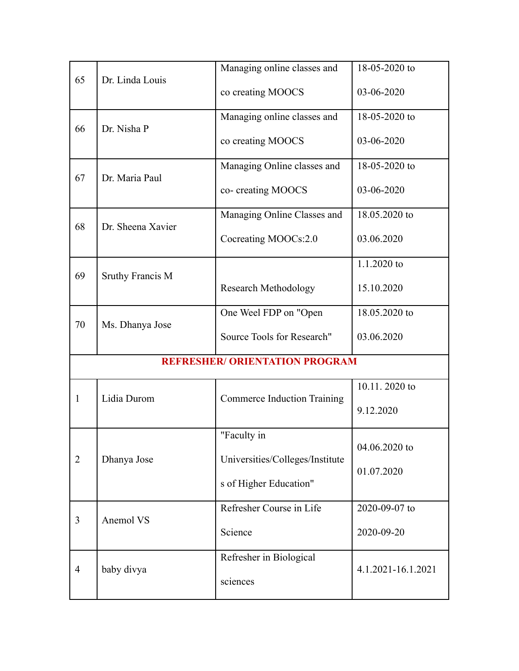|                |                         | Managing online classes and           | 18-05-2020 to      |
|----------------|-------------------------|---------------------------------------|--------------------|
| 65             | Dr. Linda Louis         | co creating MOOCS                     | 03-06-2020         |
|                |                         | Managing online classes and           | 18-05-2020 to      |
| 66             | Dr. Nisha P             | co creating MOOCS                     | 03-06-2020         |
| 67             | Dr. Maria Paul          | Managing Online classes and           | 18-05-2020 to      |
|                |                         | co- creating MOOCS                    | 03-06-2020         |
| 68             | Dr. Sheena Xavier       | Managing Online Classes and           | 18.05.2020 to      |
|                |                         | Cocreating MOOCs:2.0                  | 03.06.2020         |
| 69             |                         |                                       | 1.1.2020 to        |
|                | <b>Sruthy Francis M</b> | <b>Research Methodology</b>           | 15.10.2020         |
| 70             |                         | One Weel FDP on "Open"                | 18.05.2020 to      |
|                | Ms. Dhanya Jose         | Source Tools for Research"            | 03.06.2020         |
|                |                         | <b>REFRESHER/ ORIENTATION PROGRAM</b> |                    |
|                |                         |                                       | 10.11.2020 to      |
| 1              | Lidia Durom             | <b>Commerce Induction Training</b>    | 9.12.2020          |
|                |                         | "Faculty in                           | 04.06.2020 to      |
| $\overline{2}$ | Dhanya Jose             | Universities/Colleges/Institute       |                    |
|                |                         | s of Higher Education"                | 01.07.2020         |
|                |                         | Refresher Course in Life              | 2020-09-07 to      |
| 3              | Anemol VS               | Science                               | 2020-09-20         |
|                |                         | Refresher in Biological               | 4.1.2021-16.1.2021 |
| $\overline{4}$ | baby divya              | sciences                              |                    |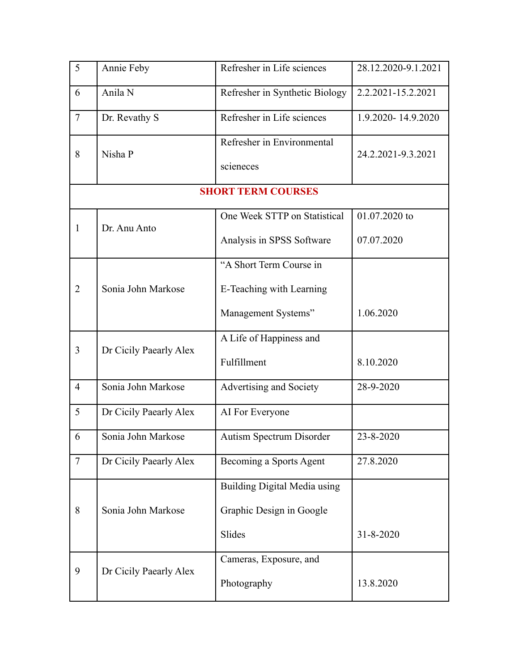| 5              | Annie Feby             | Refresher in Life sciences          | 28.12.2020-9.1.2021 |
|----------------|------------------------|-------------------------------------|---------------------|
| 6              | Anila N                | Refresher in Synthetic Biology      | 2.2.2021-15.2.2021  |
| $\overline{7}$ | Dr. Revathy S          | Refresher in Life sciences          | 1.9.2020-14.9.2020  |
| 8              | Nisha P                | Refresher in Environmental          | 24.2.2021-9.3.2021  |
|                |                        | scieneces                           |                     |
|                |                        | <b>SHORT TERM COURSES</b>           |                     |
| $\mathbf{1}$   | Dr. Anu Anto           | One Week STTP on Statistical        | 01.07.2020 to       |
|                |                        | Analysis in SPSS Software           | 07.07.2020          |
|                |                        | "A Short Term Course in             |                     |
| $\overline{2}$ | Sonia John Markose     | E-Teaching with Learning            |                     |
|                |                        | Management Systems"                 | 1.06.2020           |
| 3              |                        | A Life of Happiness and             |                     |
|                | Dr Cicily Paearly Alex | Fulfillment                         | 8.10.2020           |
| $\overline{4}$ | Sonia John Markose     | Advertising and Society             | 28-9-2020           |
| 5              | Dr Cicily Paearly Alex | AI For Everyone                     |                     |
| 6              | Sonia John Markose     | <b>Autism Spectrum Disorder</b>     | 23-8-2020           |
| $\tau$         | Dr Cicily Paearly Alex | Becoming a Sports Agent             | 27.8.2020           |
|                |                        | <b>Building Digital Media using</b> |                     |
| 8              | Sonia John Markose     | Graphic Design in Google            |                     |
|                |                        | Slides                              | $31 - 8 - 2020$     |
|                |                        | Cameras, Exposure, and              |                     |
| 9              | Dr Cicily Paearly Alex | Photography                         | 13.8.2020           |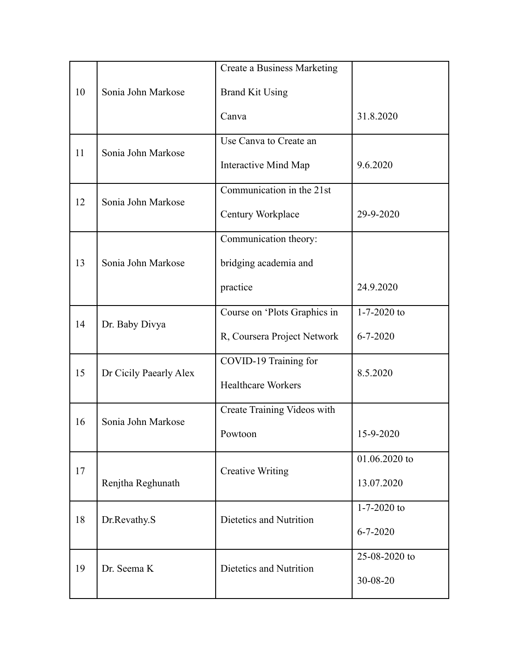|    |                        | Create a Business Marketing  |                   |
|----|------------------------|------------------------------|-------------------|
| 10 | Sonia John Markose     | <b>Brand Kit Using</b>       |                   |
|    |                        | Canva                        | 31.8.2020         |
| 11 | Sonia John Markose     | Use Canva to Create an       |                   |
|    |                        | <b>Interactive Mind Map</b>  | 9.6.2020          |
| 12 | Sonia John Markose     | Communication in the 21st    |                   |
|    |                        | Century Workplace            | 29-9-2020         |
|    |                        | Communication theory:        |                   |
| 13 | Sonia John Markose     | bridging academia and        |                   |
|    |                        | practice                     | 24.9.2020         |
| 14 | Dr. Baby Divya         | Course on 'Plots Graphics in | $1 - 7 - 2020$ to |
|    |                        | R, Coursera Project Network  | $6 - 7 - 2020$    |
| 15 | Dr Cicily Paearly Alex | COVID-19 Training for        | 8.5.2020          |
|    |                        | <b>Healthcare Workers</b>    |                   |
| 16 | Sonia John Markose     | Create Training Videos with  |                   |
|    |                        | Powtoon                      | 15-9-2020         |
| 17 | Renjtha Reghunath      | <b>Creative Writing</b>      | 01.06.2020 to     |
|    |                        |                              | 13.07.2020        |
| 18 | Dr.Revathy.S           | Dietetics and Nutrition      | $1 - 7 - 2020$ to |
|    |                        |                              | $6 - 7 - 2020$    |
| 19 | Dr. Seema K            | Dietetics and Nutrition      | 25-08-2020 to     |
|    |                        |                              | 30-08-20          |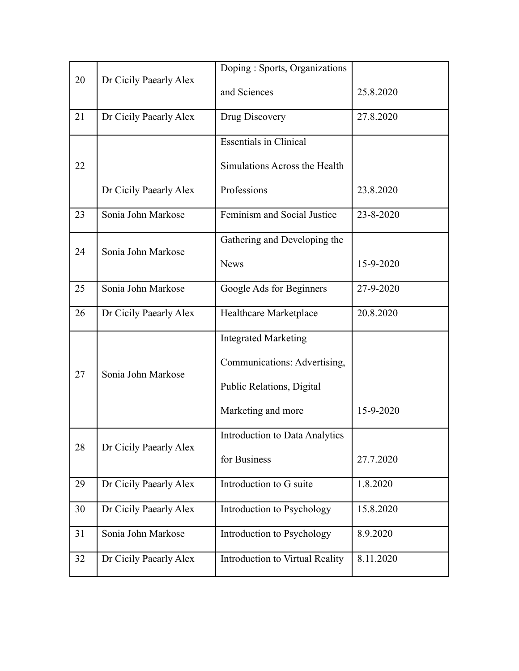| 20 | Dr Cicily Paearly Alex | Doping: Sports, Organizations   |           |
|----|------------------------|---------------------------------|-----------|
|    |                        | and Sciences                    | 25.8.2020 |
| 21 | Dr Cicily Paearly Alex | Drug Discovery                  | 27.8.2020 |
|    |                        | <b>Essentials in Clinical</b>   |           |
| 22 |                        | Simulations Across the Health   |           |
|    | Dr Cicily Paearly Alex | Professions                     | 23.8.2020 |
| 23 | Sonia John Markose     | Feminism and Social Justice     | 23-8-2020 |
| 24 | Sonia John Markose     | Gathering and Developing the    |           |
|    |                        | <b>News</b>                     | 15-9-2020 |
| 25 | Sonia John Markose     | Google Ads for Beginners        | 27-9-2020 |
| 26 | Dr Cicily Paearly Alex | Healthcare Marketplace          | 20.8.2020 |
|    |                        | <b>Integrated Marketing</b>     |           |
|    | Sonia John Markose     | Communications: Advertising,    |           |
| 27 |                        | Public Relations, Digital       |           |
|    |                        | Marketing and more              | 15-9-2020 |
| 28 | Dr Cicily Paearly Alex | Introduction to Data Analytics  |           |
|    |                        | for Business                    | 27.7.2020 |
| 29 | Dr Cicily Paearly Alex | Introduction to G suite         | 1.8.2020  |
| 30 | Dr Cicily Paearly Alex | Introduction to Psychology      | 15.8.2020 |
| 31 | Sonia John Markose     | Introduction to Psychology      | 8.9.2020  |
| 32 | Dr Cicily Paearly Alex | Introduction to Virtual Reality | 8.11.2020 |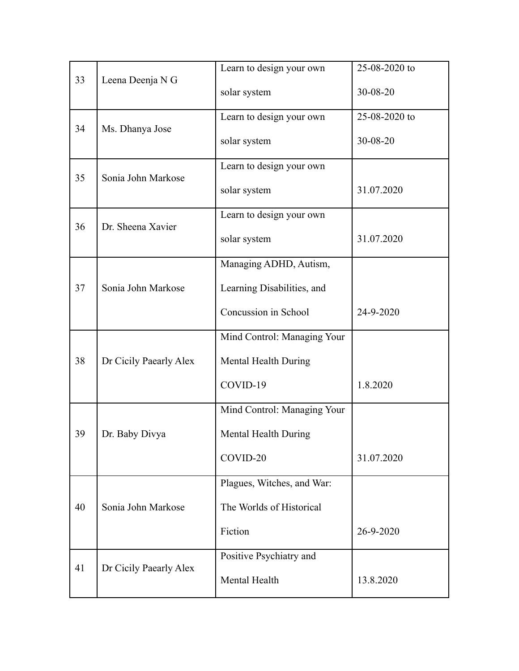|    |                        | Learn to design your own    | 25-08-2020 to |
|----|------------------------|-----------------------------|---------------|
| 33 | Leena Deenja N G       | solar system                | 30-08-20      |
|    |                        | Learn to design your own    | 25-08-2020 to |
| 34 | Ms. Dhanya Jose        | solar system                | 30-08-20      |
|    |                        | Learn to design your own    |               |
| 35 | Sonia John Markose     | solar system                | 31.07.2020    |
|    | Dr. Sheena Xavier      | Learn to design your own    |               |
| 36 |                        | solar system                | 31.07.2020    |
|    |                        | Managing ADHD, Autism,      |               |
| 37 | Sonia John Markose     | Learning Disabilities, and  |               |
|    |                        | Concussion in School        | 24-9-2020     |
|    |                        | Mind Control: Managing Your |               |
| 38 | Dr Cicily Paearly Alex | Mental Health During        |               |
|    |                        | COVID-19                    | 1.8.2020      |
|    |                        | Mind Control: Managing Your |               |
| 39 | Dr. Baby Divya         | Mental Health During        |               |
|    |                        | COVID-20                    | 31.07.2020    |
|    |                        | Plagues, Witches, and War:  |               |
| 40 | Sonia John Markose     | The Worlds of Historical    |               |
|    |                        | Fiction                     | 26-9-2020     |
|    |                        | Positive Psychiatry and     |               |
| 41 | Dr Cicily Paearly Alex | Mental Health               | 13.8.2020     |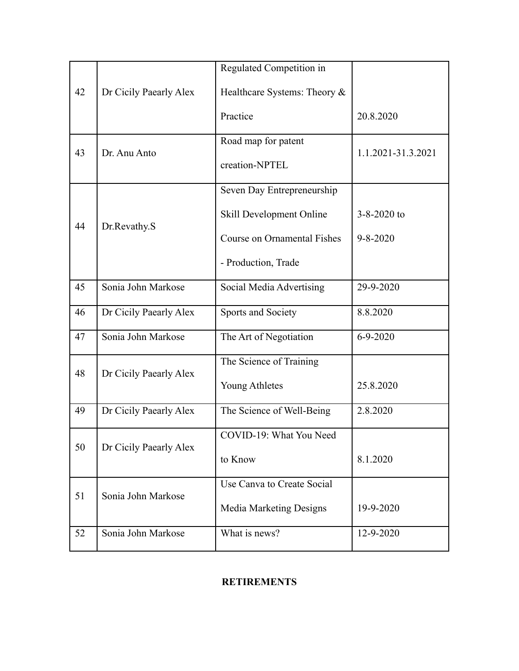|    |                        | Regulated Competition in           |                    |
|----|------------------------|------------------------------------|--------------------|
| 42 | Dr Cicily Paearly Alex | Healthcare Systems: Theory &       |                    |
|    |                        | Practice                           | 20.8.2020          |
| 43 | Dr. Anu Anto           | Road map for patent                | 1.1.2021-31.3.2021 |
|    |                        | creation-NPTEL                     |                    |
|    |                        | Seven Day Entrepreneurship         |                    |
| 44 | Dr.Revathy.S           | Skill Development Online           | $3 - 8 - 2020$ to  |
|    |                        | <b>Course on Ornamental Fishes</b> | $9 - 8 - 2020$     |
|    |                        | - Production, Trade                |                    |
| 45 | Sonia John Markose     | Social Media Advertising           | 29-9-2020          |
| 46 | Dr Cicily Paearly Alex | Sports and Society                 | 8.8.2020           |
| 47 | Sonia John Markose     | The Art of Negotiation             | $6 - 9 - 2020$     |
| 48 | Dr Cicily Paearly Alex | The Science of Training            |                    |
|    |                        | Young Athletes                     | 25.8.2020          |
| 49 | Dr Cicily Paearly Alex | The Science of Well-Being          | 2.8.2020           |
| 50 | Dr Cicily Paearly Alex | COVID-19: What You Need            |                    |
|    |                        | to Know                            | 8.1.2020           |
| 51 | Sonia John Markose     | Use Canva to Create Social         |                    |
|    |                        | <b>Media Marketing Designs</b>     | 19-9-2020          |
| 52 | Sonia John Markose     | What is news?                      | 12-9-2020          |

# **RETIREMENTS**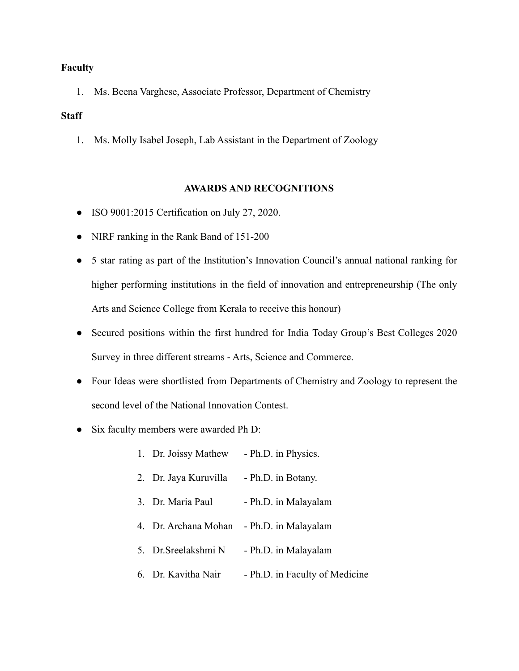#### **Faculty**

1. Ms. Beena Varghese, Associate Professor, Department of Chemistry

#### **Staff**

1. Ms. Molly Isabel Joseph, Lab Assistant in the Department of Zoology

#### **AWARDS AND RECOGNITIONS**

- ISO 9001:2015 Certification on July 27, 2020.
- NIRF ranking in the Rank Band of 151-200
- 5 star rating as part of the Institution's Innovation Council's annual national ranking for higher performing institutions in the field of innovation and entrepreneurship (The only Arts and Science College from Kerala to receive this honour)
- Secured positions within the first hundred for India Today Group's Best Colleges 2020 Survey in three different streams - Arts, Science and Commerce.
- Four Ideas were shortlisted from Departments of Chemistry and Zoology to represent the second level of the National Innovation Contest.
- Six faculty members were awarded Ph D:
	- 1. Dr. Joissy Mathew Ph.D. in Physics.
	- 2. Dr. Jaya Kuruvilla Ph.D. in Botany.
	- 3. Dr. Maria Paul Ph.D. in Malayalam
	- 4. Dr. Archana Mohan Ph.D. in Malayalam
	- 5. Dr.Sreelakshmi N Ph.D. in Malayalam
	- 6. Dr. Kavitha Nair Ph.D. in Faculty of Medicine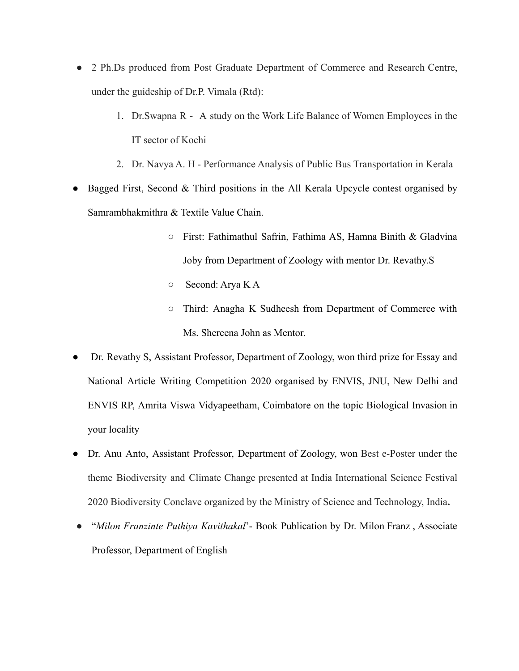- 2 Ph.Ds produced from Post Graduate Department of Commerce and Research Centre, under the guideship of Dr.P. Vimala (Rtd):
	- 1. Dr.Swapna R A study on the Work Life Balance of Women Employees in the IT sector of Kochi
	- 2. Dr. Navya A. H Performance Analysis of Public Bus Transportation in Kerala
- Bagged First, Second  $&$  Third positions in the All Kerala Upcycle contest organised by Samrambhakmithra & Textile Value Chain.
	- First: Fathimathul Safrin, Fathima AS, Hamna Binith & Gladvina Joby from Department of Zoology with mentor Dr. Revathy.S
	- Second: Arya K A
	- Third: Anagha K Sudheesh from Department of Commerce with Ms. Shereena John as Mentor.
- Dr. Revathy S, Assistant Professor, Department of Zoology, won third prize for Essay and National Article Writing Competition 2020 organised by ENVIS, JNU, New Delhi and ENVIS RP, Amrita Viswa Vidyapeetham, Coimbatore on the topic Biological Invasion in your locality
- Dr. Anu Anto, Assistant Professor, Department of Zoology, won Best e-Poster under the theme Biodiversity and Climate Change presented at India International Science Festival 2020 Biodiversity Conclave organized by the Ministry of Science and Technology, India**.**
- "*Milon Franzinte Puthiya Kavithakal*'- Book Publication by Dr. Milon Franz , Associate Professor, Department of English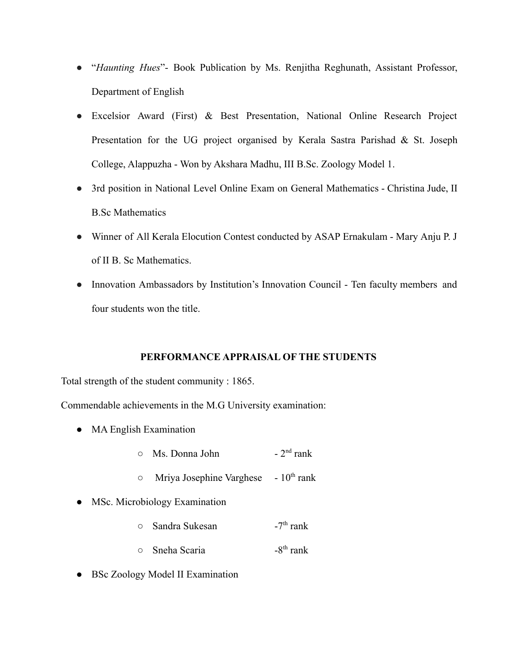- "*Haunting Hues*"- Book Publication by Ms. Renjitha Reghunath, Assistant Professor, Department of English
- Excelsior Award (First) & Best Presentation, National Online Research Project Presentation for the UG project organised by Kerala Sastra Parishad & St. Joseph College, Alappuzha - Won by Akshara Madhu, III B.Sc. Zoology Model 1.
- 3rd position in National Level Online Exam on General Mathematics Christina Jude, II B.Sc Mathematics
- Winner of All Kerala Elocution Contest conducted by ASAP Ernakulam Mary Anju P. J of II B. Sc Mathematics.
- Innovation Ambassadors by Institution's Innovation Council Ten faculty members and four students won the title.

#### **PERFORMANCE APPRAISAL OF THE STUDENTS**

Total strength of the student community : 1865.

Commendable achievements in the M.G University examination:

- MA English Examination
	- $\circ$  Ms. Donna John  $-2<sup>nd</sup>$  rank
	- $\circ$  Mriya Josephine Varghese  $10^{th}$  rank
- MSc. Microbiology Examination
	- Sandra Sukesan  $-7<sup>th</sup>$  rank  $\circ$  Sneha Scaria  $-8$ <sup>th</sup> rank
- BSc Zoology Model II Examination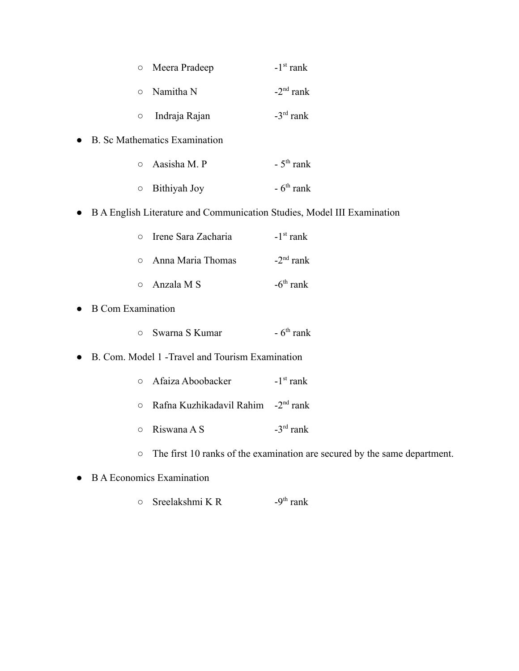| $\circ$ | Meera Pradeep     | $-1st$ rank        |
|---------|-------------------|--------------------|
|         | $\circ$ Namitha N | $-2nd$ rank        |
| $\circ$ | Indraja Rajan     | $-3^{\rm rd}$ rank |

● B. Sc Mathematics Examination

| $\circ$ Aasisha M. P | $-5$ <sup>th</sup> rank |
|----------------------|-------------------------|
| $\circ$ Bithiyah Joy | $-6th$ rank             |

● B A English Literature and Communication Studies, Model III Examination

| $\circ$ Irene Sara Zacharia | $-1st$ rank |
|-----------------------------|-------------|
| $\circ$ Anna Maria Thomas   | $-2nd$ rank |
| $\circ$ Anzala M S          | $-6th$ rank |

- B Com Examination
	- Swarna S Kumar  $-6$ <sup>th</sup> rank

#### ● B. Com. Model 1 -Travel and Tourism Examination

- o Afaiza Aboobacker  $-1$ <sup>st</sup> rank
- Rafna Kuzhikadavil Rahim -2<sup>nd</sup> rank
- $\circ$  Riswana A S  $-3^{rd}$  rank
- The first 10 ranks of the examination are secured by the same department.

#### ● B A Economics Examination

 $\circ$  Sreelakshmi K R  $-9<sup>th</sup>$  rank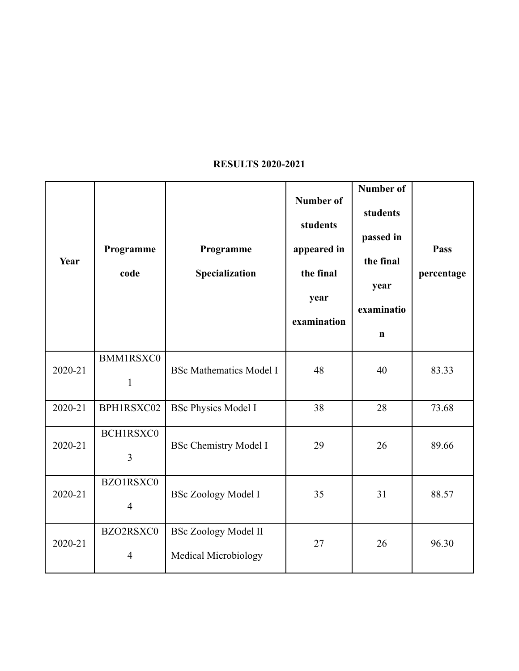# **RESULTS 2020-2021**

| Year    | Programme<br>code                | Programme<br>Specialization                                | <b>Number of</b><br>students<br>appeared in<br>the final<br>year<br>examination | Number of<br>students<br>passed in<br>the final<br>year<br>examinatio<br>$\mathbf n$ | Pass<br>percentage |
|---------|----------------------------------|------------------------------------------------------------|---------------------------------------------------------------------------------|--------------------------------------------------------------------------------------|--------------------|
| 2020-21 | <b>BMM1RSXC0</b><br>$\mathbf{1}$ | <b>BSc Mathematics Model I</b>                             | 48                                                                              | 40                                                                                   | 83.33              |
| 2020-21 | BPH1RSXC02                       | <b>BSc Physics Model I</b>                                 | 38                                                                              | 28                                                                                   | 73.68              |
| 2020-21 | BCH1RSXC0<br>$\overline{3}$      | <b>BSc Chemistry Model I</b>                               | 29                                                                              | 26                                                                                   | 89.66              |
| 2020-21 | BZO1RSXC0<br>$\overline{4}$      | <b>BSc Zoology Model I</b>                                 | 35                                                                              | 31                                                                                   | 88.57              |
| 2020-21 | BZO2RSXC0<br>$\overline{4}$      | <b>BSc Zoology Model II</b><br><b>Medical Microbiology</b> | 27                                                                              | 26                                                                                   | 96.30              |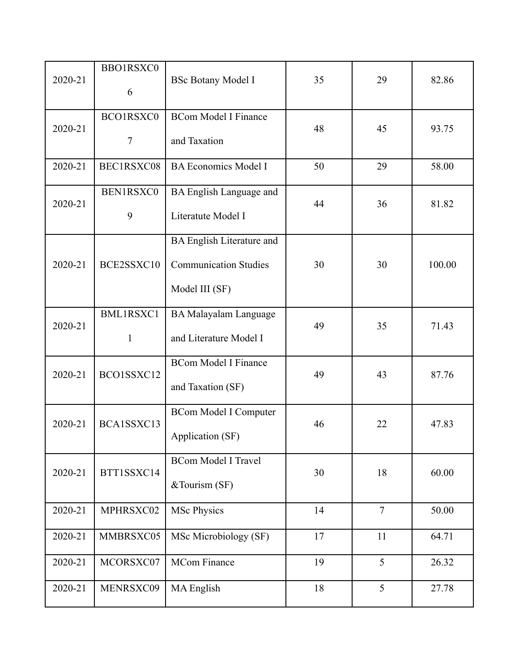| 2020-21 | BBO1RSXC0<br>6            | <b>BSc Botany Model I</b>                                                          | 35 | 29             | 82.86  |
|---------|---------------------------|------------------------------------------------------------------------------------|----|----------------|--------|
| 2020-21 | BCO1RSXC0<br>$\tau$       | <b>BCom Model I Finance</b><br>and Taxation                                        | 48 | 45             | 93.75  |
| 2020-21 | BEC1RSXC08                | <b>BA Economics Model I</b>                                                        | 50 | 29             | 58.00  |
| 2020-21 | BEN1RSXC0<br>9            | BA English Language and<br>Literatute Model I                                      | 44 | 36             | 81.82  |
| 2020-21 | BCE2SSXC10                | <b>BA English Literature and</b><br><b>Communication Studies</b><br>Model III (SF) | 30 | 30             | 100.00 |
| 2020-21 | BML1RSXC1<br>$\mathbf{1}$ | <b>BA Malayalam Language</b><br>and Literature Model I                             | 49 | 35             | 71.43  |
| 2020-21 | BCO1SSXC12                | <b>BCom Model I Finance</b><br>and Taxation (SF)                                   | 49 | 43             | 87.76  |
| 2020-21 | BCA1SSXC13                | <b>BCom Model I Computer</b><br>Application (SF)                                   | 46 | 22             | 47.83  |
| 2020-21 | BTT1SSXC14                | <b>BCom Model I Travel</b><br>&Tourism (SF)                                        | 30 | 18             | 60.00  |
| 2020-21 | MPHRSXC02                 | <b>MSc Physics</b>                                                                 | 14 | $\overline{7}$ | 50.00  |
| 2020-21 | MMBRSXC05                 | MSc Microbiology (SF)                                                              | 17 | 11             | 64.71  |
| 2020-21 | MCORSXC07                 | <b>MCom Finance</b>                                                                | 19 | 5              | 26.32  |
| 2020-21 | MENRSXC09                 | <b>MA</b> English                                                                  | 18 | 5              | 27.78  |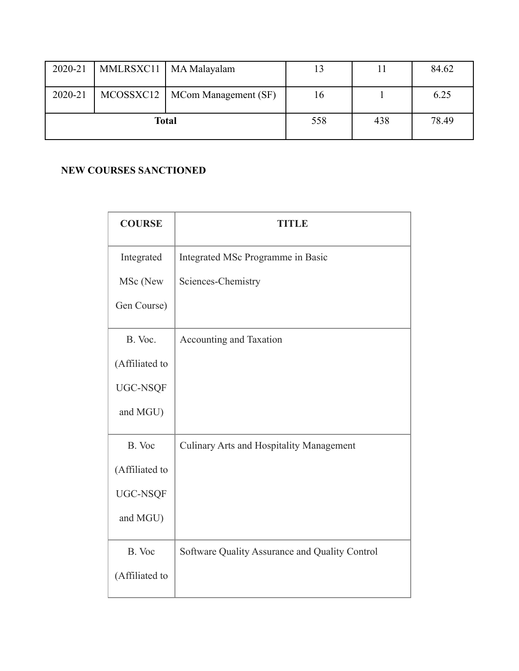| 2020-21 |  | MMLRSXC11   MA Malayalam         | 13  |     | 84.62 |
|---------|--|----------------------------------|-----|-----|-------|
| 2020-21 |  | MCOSSXC12   MCom Management (SF) | 16  |     | 6.25  |
| Total   |  |                                  | 558 | 438 | 78.49 |

### **NEW COURSES SANCTIONED**

| <b>COURSE</b>  | <b>TITLE</b>                                    |
|----------------|-------------------------------------------------|
| Integrated     | Integrated MSc Programme in Basic               |
| MSc (New       | Sciences-Chemistry                              |
| Gen Course)    |                                                 |
| B. Voc.        | Accounting and Taxation                         |
| (Affiliated to |                                                 |
| UGC-NSQF       |                                                 |
| and MGU)       |                                                 |
| B. Voc         | <b>Culinary Arts and Hospitality Management</b> |
| (Affiliated to |                                                 |
| UGC-NSQF       |                                                 |
| and MGU)       |                                                 |
| B. Voc         | Software Quality Assurance and Quality Control  |
| (Affiliated to |                                                 |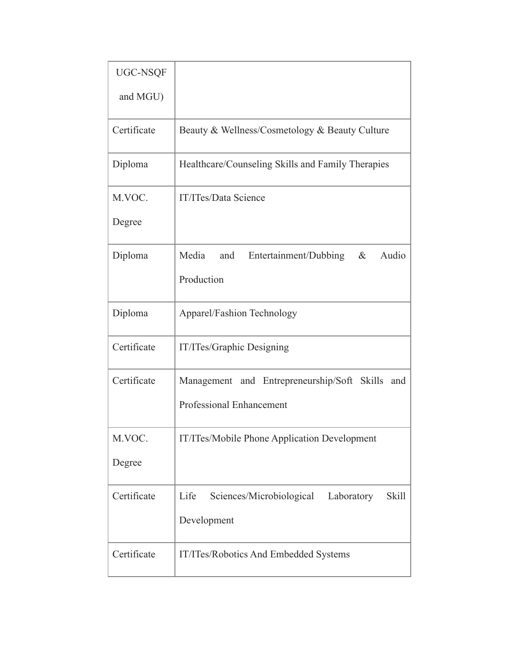| UGC-NSQF    |                                                                |
|-------------|----------------------------------------------------------------|
| and MGU)    |                                                                |
| Certificate | Beauty & Wellness/Cosmetology & Beauty Culture                 |
| Diploma     | Healthcare/Counseling Skills and Family Therapies              |
| M.VOC.      | IT/ITes/Data Science                                           |
| Degree      |                                                                |
| Diploma     | Media<br>Entertainment/Dubbing<br>$\&$<br>Audio<br>and         |
|             | Production                                                     |
| Diploma     | Apparel/Fashion Technology                                     |
| Certificate | IT/ITes/Graphic Designing                                      |
| Certificate | Management and Entrepreneurship/Soft Skills<br>and             |
|             | Professional Enhancement                                       |
| M.VOC.      | IT/ITes/Mobile Phone Application Development                   |
| Degree      |                                                                |
| Certificate | Sciences/Microbiological<br><b>Skill</b><br>Life<br>Laboratory |
|             | Development                                                    |
| Certificate | IT/ITes/Robotics And Embedded Systems                          |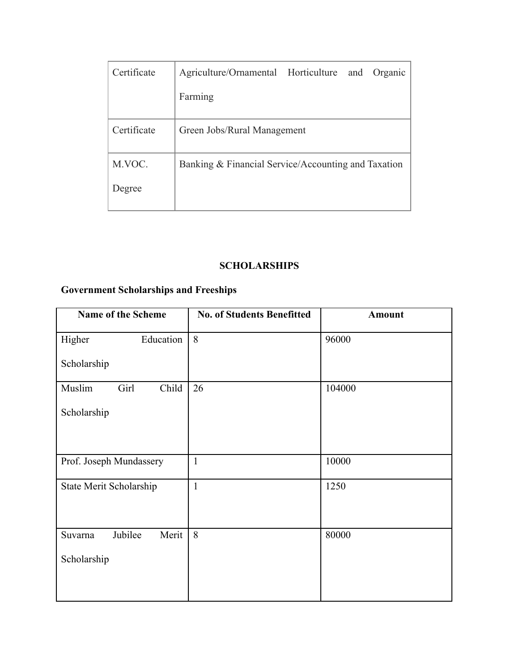| Certificate | Agriculture/Ornamental Horticulture<br>and<br>Organic |
|-------------|-------------------------------------------------------|
|             | Farming                                               |
| Certificate | Green Jobs/Rural Management                           |
| M.VOC.      | Banking & Financial Service/Accounting and Taxation   |
| Degree      |                                                       |

### **SCHOLARSHIPS**

# **Government Scholarships and Freeships**

| <b>Name of the Scheme</b>   | <b>No. of Students Benefitted</b> | <b>Amount</b> |
|-----------------------------|-----------------------------------|---------------|
| Education<br>Higher         | 8                                 | 96000         |
| Scholarship                 |                                   |               |
| Girl<br>Muslim<br>Child     | 26                                | 104000        |
| Scholarship                 |                                   |               |
|                             |                                   |               |
|                             |                                   |               |
| Prof. Joseph Mundassery     | $\mathbf{1}$                      | 10000         |
| State Merit Scholarship     | $\mathbf{1}$                      | 1250          |
|                             |                                   |               |
|                             |                                   |               |
| Jubilee<br>Merit<br>Suvarna | 8                                 | 80000         |
| Scholarship                 |                                   |               |
|                             |                                   |               |
|                             |                                   |               |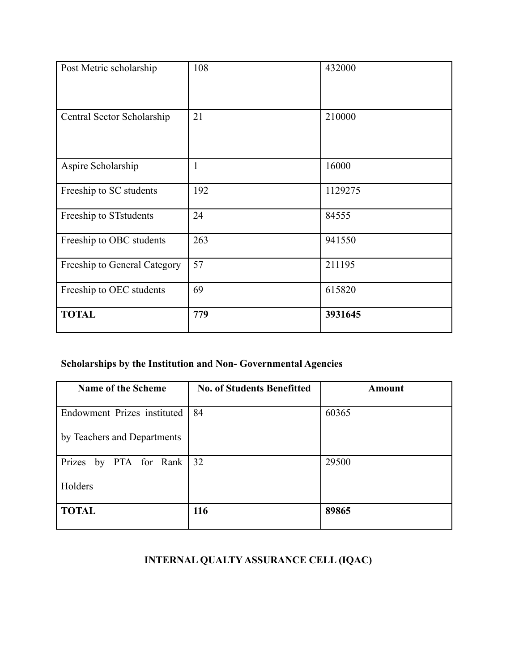| Post Metric scholarship      | 108          | 432000  |
|------------------------------|--------------|---------|
| Central Sector Scholarship   | 21           | 210000  |
| Aspire Scholarship           | $\mathbf{1}$ | 16000   |
| Freeship to SC students      | 192          | 1129275 |
| Freeship to STstudents       | 24           | 84555   |
| Freeship to OBC students     | 263          | 941550  |
| Freeship to General Category | 57           | 211195  |
| Freeship to OEC students     | 69           | 615820  |
| <b>TOTAL</b>                 | 779          | 3931645 |

# **Scholarships by the Institution and Non- Governmental Agencies**

| <b>Name of the Scheme</b>   | <b>No. of Students Benefitted</b> | <b>Amount</b> |
|-----------------------------|-----------------------------------|---------------|
| Endowment Prizes instituted | 84                                | 60365         |
| by Teachers and Departments |                                   |               |
| Prizes by PTA for Rank   32 |                                   | 29500         |
| Holders                     |                                   |               |
| <b>TOTAL</b>                | 116                               | 89865         |

# **INTERNAL QUALTY ASSURANCE CELL (IQAC)**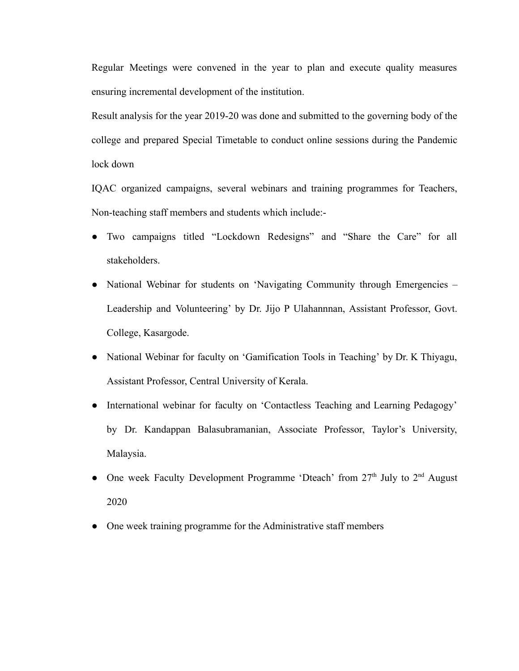Regular Meetings were convened in the year to plan and execute quality measures ensuring incremental development of the institution.

Result analysis for the year 2019-20 was done and submitted to the governing body of the college and prepared Special Timetable to conduct online sessions during the Pandemic lock down

IQAC organized campaigns, several webinars and training programmes for Teachers, Non-teaching staff members and students which include:-

- Two campaigns titled "Lockdown Redesigns" and "Share the Care" for all stakeholders.
- National Webinar for students on 'Navigating Community through Emergencies Leadership and Volunteering' by Dr. Jijo P Ulahannnan, Assistant Professor, Govt. College, Kasargode.
- National Webinar for faculty on 'Gamification Tools in Teaching' by Dr. K Thiyagu, Assistant Professor, Central University of Kerala.
- International webinar for faculty on 'Contactless Teaching and Learning Pedagogy' by Dr. Kandappan Balasubramanian, Associate Professor, Taylor's University, Malaysia.
- One week Faculty Development Programme 'Dteach' from  $27<sup>th</sup>$  July to  $2<sup>nd</sup>$  August 2020
- One week training programme for the Administrative staff members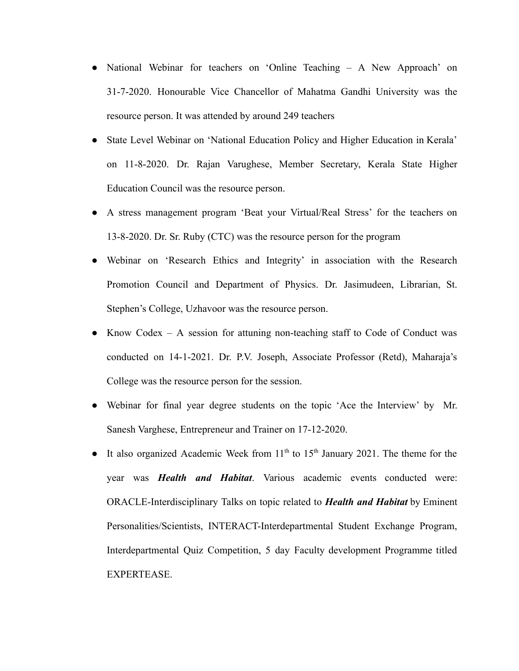- National Webinar for teachers on 'Online Teaching A New Approach' on 31-7-2020. Honourable Vice Chancellor of Mahatma Gandhi University was the resource person. It was attended by around 249 teachers
- State Level Webinar on 'National Education Policy and Higher Education in Kerala' on 11-8-2020. Dr. Rajan Varughese, Member Secretary, Kerala State Higher Education Council was the resource person.
- A stress management program 'Beat your Virtual/Real Stress' for the teachers on 13-8-2020. Dr. Sr. Ruby (CTC) was the resource person for the program
- Webinar on 'Research Ethics and Integrity' in association with the Research Promotion Council and Department of Physics. Dr. Jasimudeen, Librarian, St. Stephen's College, Uzhavoor was the resource person.
- Know Codex  $-$  A session for attuning non-teaching staff to Code of Conduct was conducted on 14-1-2021. Dr. P.V. Joseph, Associate Professor (Retd), Maharaja's College was the resource person for the session.
- Webinar for final year degree students on the topic 'Ace the Interview' by Mr. Sanesh Varghese, Entrepreneur and Trainer on 17-12-2020.
- It also organized Academic Week from  $11<sup>th</sup>$  to  $15<sup>th</sup>$  January 2021. The theme for the year was *Health and Habitat*. Various academic events conducted were: ORACLE-Interdisciplinary Talks on topic related to *Health and Habitat* by Eminent Personalities/Scientists, INTERACT-Interdepartmental Student Exchange Program, Interdepartmental Quiz Competition, 5 day Faculty development Programme titled EXPERTEASE.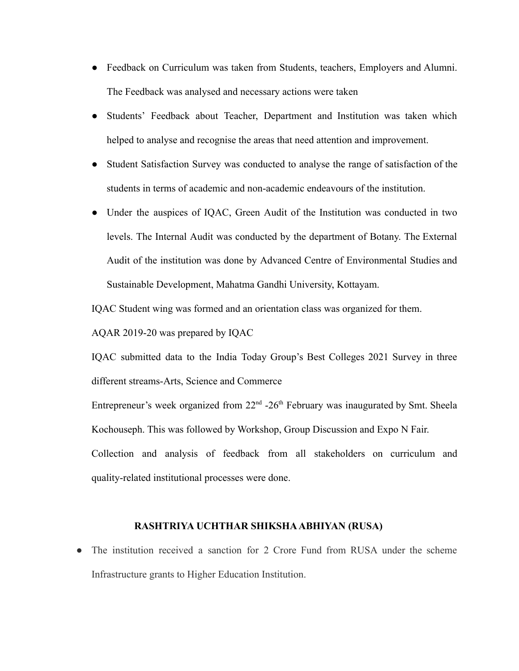- Feedback on Curriculum was taken from Students, teachers, Employers and Alumni. The Feedback was analysed and necessary actions were taken
- Students' Feedback about Teacher, Department and Institution was taken which helped to analyse and recognise the areas that need attention and improvement.
- Student Satisfaction Survey was conducted to analyse the range of satisfaction of the students in terms of academic and non-academic endeavours of the institution.
- Under the auspices of IOAC, Green Audit of the Institution was conducted in two levels. The Internal Audit was conducted by the department of Botany. The External Audit of the institution was done by Advanced Centre of Environmental Studies and Sustainable Development, Mahatma Gandhi University, Kottayam.

IQAC Student wing was formed and an orientation class was organized for them.

AQAR 2019-20 was prepared by IQAC

IQAC submitted data to the India Today Group's Best Colleges 2021 Survey in three different streams-Arts, Science and Commerce

Entrepreneur's week organized from  $22<sup>nd</sup> - 26<sup>th</sup>$  February was inaugurated by Smt. Sheela Kochouseph. This was followed by Workshop, Group Discussion and Expo N Fair.

Collection and analysis of feedback from all stakeholders on curriculum and quality-related institutional processes were done.

#### **RASHTRIYA UCHTHAR SHIKSHA ABHIYAN (RUSA)**

• The institution received a sanction for 2 Crore Fund from RUSA under the scheme Infrastructure grants to Higher Education Institution.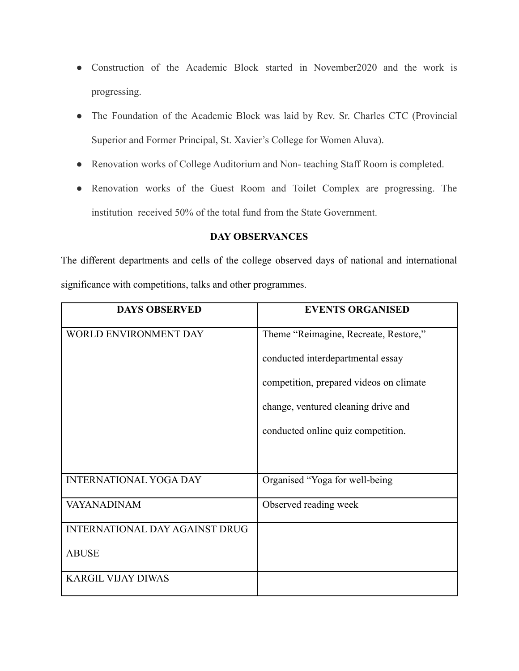- Construction of the Academic Block started in November2020 and the work is progressing.
- The Foundation of the Academic Block was laid by Rev. Sr. Charles CTC (Provincial Superior and Former Principal, St. Xavier's College for Women Aluva).
- Renovation works of College Auditorium and Non- teaching Staff Room is completed.
- Renovation works of the Guest Room and Toilet Complex are progressing. The institution received 50% of the total fund from the State Government.

### **DAY OBSERVANCES**

The different departments and cells of the college observed days of national and international significance with competitions, talks and other programmes.

| <b>DAYS OBSERVED</b>                  | <b>EVENTS ORGANISED</b>                 |
|---------------------------------------|-----------------------------------------|
| <b>WORLD ENVIRONMENT DAY</b>          | Theme "Reimagine, Recreate, Restore,"   |
|                                       | conducted interdepartmental essay       |
|                                       | competition, prepared videos on climate |
|                                       | change, ventured cleaning drive and     |
|                                       | conducted online quiz competition.      |
|                                       |                                         |
| <b>INTERNATIONAL YOGA DAY</b>         | Organised "Yoga for well-being"         |
| <b>VAYANADINAM</b>                    | Observed reading week                   |
| <b>INTERNATIONAL DAY AGAINST DRUG</b> |                                         |
| <b>ABUSE</b>                          |                                         |
| <b>KARGIL VIJAY DIWAS</b>             |                                         |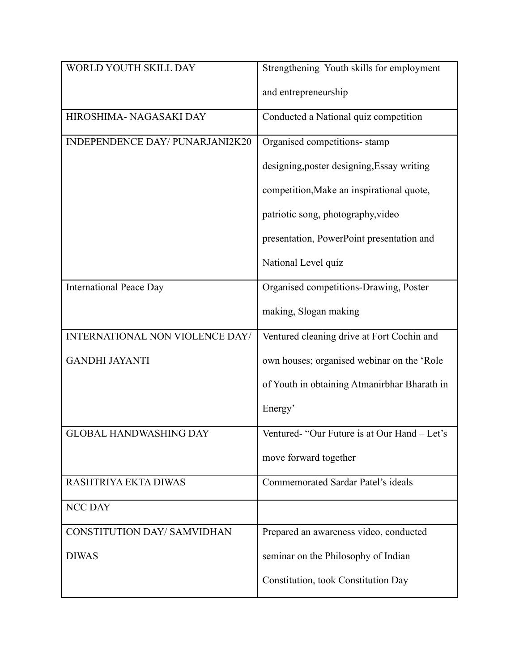| WORLD YOUTH SKILL DAY              | Strengthening Youth skills for employment    |
|------------------------------------|----------------------------------------------|
|                                    | and entrepreneurship                         |
| HIROSHIMA- NAGASAKI DAY            | Conducted a National quiz competition        |
| INDEPENDENCE DAY/ PUNARJANI2K20    | Organised competitions-stamp                 |
|                                    | designing, poster designing, Essay writing   |
|                                    | competition, Make an inspirational quote,    |
|                                    | patriotic song, photography, video           |
|                                    | presentation, PowerPoint presentation and    |
|                                    | National Level quiz                          |
| <b>International Peace Day</b>     | Organised competitions-Drawing, Poster       |
|                                    | making, Slogan making                        |
| INTERNATIONAL NON VIOLENCE DAY/    | Ventured cleaning drive at Fort Cochin and   |
| <b>GANDHI JAYANTI</b>              | own houses; organised webinar on the 'Role   |
|                                    | of Youth in obtaining Atmanirbhar Bharath in |
|                                    | Energy'                                      |
| <b>GLOBAL HANDWASHING DAY</b>      | Ventured- "Our Future is at Our Hand - Let's |
|                                    | move forward together                        |
| RASHTRIYA EKTA DIWAS               | Commemorated Sardar Patel's ideals           |
| <b>NCC DAY</b>                     |                                              |
| <b>CONSTITUTION DAY/ SAMVIDHAN</b> | Prepared an awareness video, conducted       |
| <b>DIWAS</b>                       | seminar on the Philosophy of Indian          |
|                                    | Constitution, took Constitution Day          |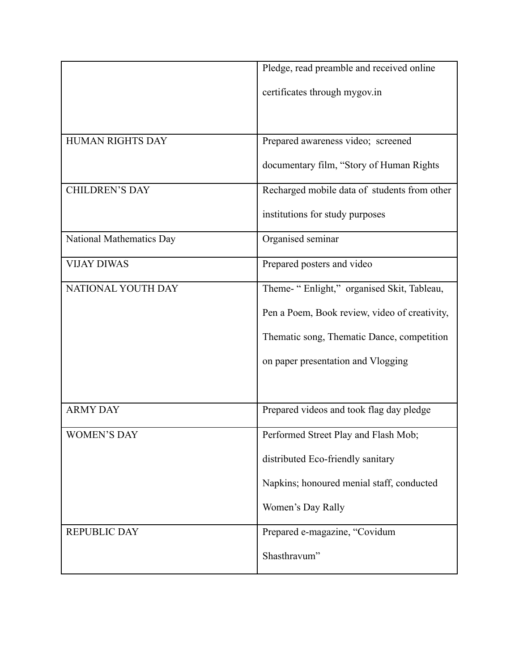|                          | Pledge, read preamble and received online     |
|--------------------------|-----------------------------------------------|
|                          | certificates through mygov.in                 |
|                          |                                               |
| HUMAN RIGHTS DAY         | Prepared awareness video; screened            |
|                          | documentary film, "Story of Human Rights      |
| <b>CHILDREN'S DAY</b>    | Recharged mobile data of students from other  |
|                          | institutions for study purposes               |
| National Mathematics Day | Organised seminar                             |
| <b>VIJAY DIWAS</b>       | Prepared posters and video                    |
| NATIONAL YOUTH DAY       | Theme- "Enlight," organised Skit, Tableau,    |
|                          | Pen a Poem, Book review, video of creativity, |
|                          | Thematic song, Thematic Dance, competition    |
|                          | on paper presentation and Vlogging            |
|                          |                                               |
| <b>ARMY DAY</b>          | Prepared videos and took flag day pledge      |
| <b>WOMEN'S DAY</b>       | Performed Street Play and Flash Mob;          |
|                          | distributed Eco-friendly sanitary             |
|                          | Napkins; honoured menial staff, conducted     |
|                          | Women's Day Rally                             |
| <b>REPUBLIC DAY</b>      | Prepared e-magazine, "Covidum                 |
|                          | Shasthravum"                                  |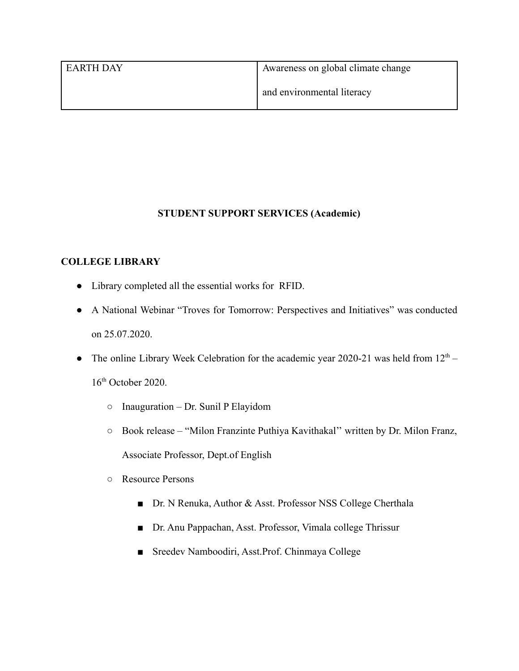| l earth day | Awareness on global climate change |
|-------------|------------------------------------|
|             | and environmental literacy         |

# **STUDENT SUPPORT SERVICES (Academic)**

# **COLLEGE LIBRARY**

- Library completed all the essential works for RFID.
- A National Webinar "Troves for Tomorrow: Perspectives and Initiatives" was conducted on 25.07.2020.
- The online Library Week Celebration for the academic year 2020-21 was held from  $12<sup>th</sup>$  16<sup>th</sup> October 2020.
	- $\circ$  Inauguration Dr. Sunil P Elayidom
	- Book release "Milon Franzinte Puthiya Kavithakal'' written by Dr. Milon Franz, Associate Professor, Dept.of English
	- Resource Persons
		- Dr. N Renuka, Author & Asst. Professor NSS College Cherthala
		- Dr. Anu Pappachan, Asst. Professor, Vimala college Thrissur
		- Sreedev Namboodiri, Asst.Prof. Chinmaya College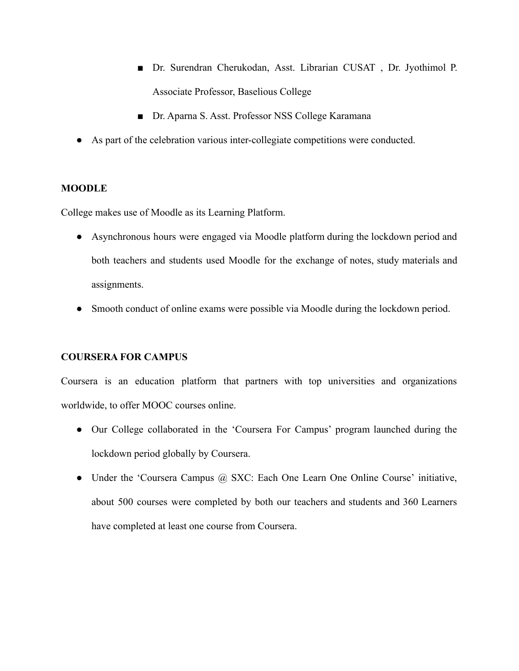- Dr. Surendran Cherukodan, Asst. Librarian CUSAT, Dr. Jyothimol P. Associate Professor, Baselious College
- Dr. Aparna S. Asst. Professor NSS College Karamana
- As part of the celebration various inter-collegiate competitions were conducted.

### **MOODLE**

College makes use of Moodle as its Learning Platform.

- Asynchronous hours were engaged via Moodle platform during the lockdown period and both teachers and students used Moodle for the exchange of notes, study materials and assignments.
- Smooth conduct of online exams were possible via Moodle during the lockdown period.

## **COURSERA FOR CAMPUS**

Coursera is an education platform that partners with top universities and organizations worldwide, to offer MOOC courses online.

- Our College collaborated in the 'Coursera For Campus' program launched during the lockdown period globally by Coursera.
- Under the 'Coursera Campus @ SXC: Each One Learn One Online Course' initiative, about 500 courses were completed by both our teachers and students and 360 Learners have completed at least one course from Coursera.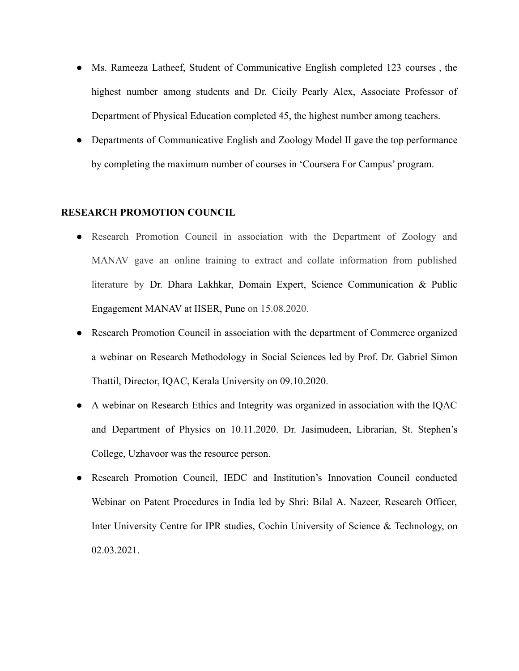- Ms. Rameeza Latheef, Student of Communicative English completed 123 courses , the highest number among students and Dr. Cicily Pearly Alex, Associate Professor of Department of Physical Education completed 45, the highest number among teachers.
- Departments of Communicative English and Zoology Model II gave the top performance by completing the maximum number of courses in 'Coursera For Campus' program.

#### **RESEARCH PROMOTION COUNCIL**

- Research Promotion Council in association with the Department of Zoology and MANAV gave an online training to extract and collate information from published literature by Dr. Dhara Lakhkar, Domain Expert, Science Communication & Public Engagement MANAV at IISER, Pune on 15.08.2020.
- Research Promotion Council in association with the department of Commerce organized a webinar on Research Methodology in Social Sciences led by Prof. Dr. Gabriel Simon Thattil, Director, IQAC, Kerala University on 09.10.2020.
- A webinar on Research Ethics and Integrity was organized in association with the IQAC and Department of Physics on 10.11.2020. Dr. Jasimudeen, Librarian, St. Stephen's College, Uzhavoor was the resource person.
- Research Promotion Council, IEDC and Institution's Innovation Council conducted Webinar on Patent Procedures in India led by Shri: Bilal A. Nazeer, Research Officer, Inter University Centre for IPR studies, Cochin University of Science & Technology, on 02.03.2021.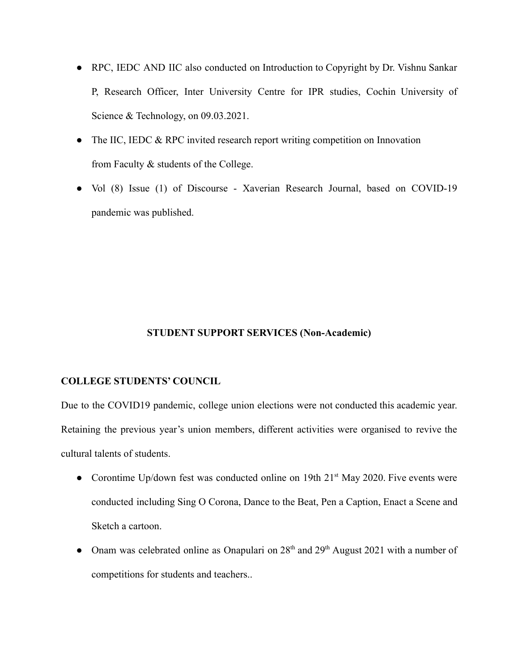- RPC, IEDC AND IIC also conducted on Introduction to Copyright by Dr. Vishnu Sankar P, Research Officer, Inter University Centre for IPR studies, Cochin University of Science & Technology, on 09.03.2021.
- The IIC, IEDC & RPC invited research report writing competition on Innovation from Faculty & students of the College.
- Vol (8) Issue (1) of Discourse Xaverian Research Journal, based on COVID-19 pandemic was published.

### **STUDENT SUPPORT SERVICES (Non-Academic)**

#### **COLLEGE STUDENTS' COUNCIL**

Due to the COVID19 pandemic, college union elections were not conducted this academic year. Retaining the previous year's union members, different activities were organised to revive the cultural talents of students.

- Corontime Up/down fest was conducted online on 19th  $21<sup>st</sup>$  May 2020. Five events were conducted including Sing O Corona, Dance to the Beat, Pen a Caption, Enact a Scene and Sketch a cartoon.
- Onam was celebrated online as Onapulari on  $28<sup>th</sup>$  and  $29<sup>th</sup>$  August 2021 with a number of competitions for students and teachers..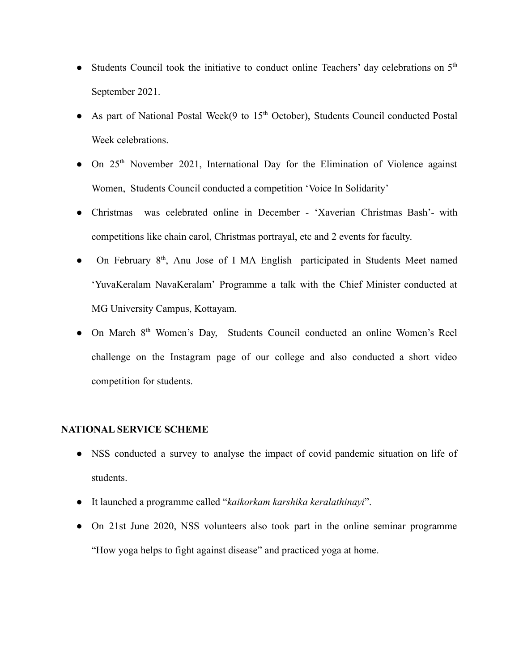- Students Council took the initiative to conduct online Teachers' day celebrations on  $5<sup>th</sup>$ September 2021.
- As part of National Postal Week(9 to  $15<sup>th</sup>$  October), Students Council conducted Postal Week celebrations.
- On 25<sup>th</sup> November 2021, International Day for the Elimination of Violence against Women, Students Council conducted a competition 'Voice In Solidarity'
- Christmas was celebrated online in December 'Xaverian Christmas Bash'- with competitions like chain carol, Christmas portrayal, etc and 2 events for faculty.
- On February 8<sup>th</sup>, Anu Jose of I MA English participated in Students Meet named 'YuvaKeralam NavaKeralam' Programme a talk with the Chief Minister conducted at MG University Campus, Kottayam.
- On March 8<sup>th</sup> Women's Day, Students Council conducted an online Women's Reel challenge on the Instagram page of our college and also conducted a short video competition for students.

### **NATIONAL SERVICE SCHEME**

- NSS conducted a survey to analyse the impact of covid pandemic situation on life of students.
- It launched a programme called "*kaikorkam karshika keralathinayi*".
- On 21st June 2020, NSS volunteers also took part in the online seminar programme "How yoga helps to fight against disease" and practiced yoga at home.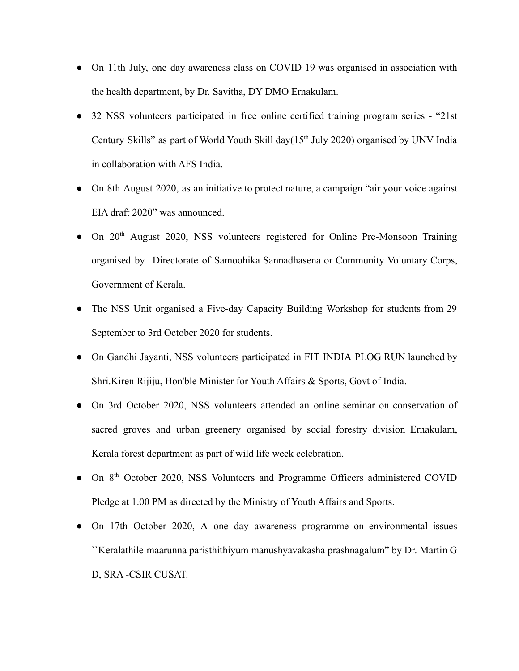- On 11th July, one day awareness class on COVID 19 was organised in association with the health department, by Dr. Savitha, DY DMO Ernakulam.
- 32 NSS volunteers participated in free online certified training program series "21st Century Skills" as part of World Youth Skill day( $15<sup>th</sup>$  July 2020) organised by UNV India in collaboration with AFS India.
- On 8th August 2020, as an initiative to protect nature, a campaign "air your voice against" EIA draft 2020" was announced.
- On 20th August 2020, NSS volunteers registered for Online Pre-Monsoon Training organised by Directorate of Samoohika Sannadhasena or Community Voluntary Corps, Government of Kerala.
- The NSS Unit organised a Five-day Capacity Building Workshop for students from 29 September to 3rd October 2020 for students.
- On Gandhi Jayanti, NSS volunteers participated in FIT INDIA PLOG RUN launched by Shri.Kiren Rijiju, Hon'ble Minister for Youth Affairs & Sports, Govt of India.
- On 3rd October 2020, NSS volunteers attended an online seminar on conservation of sacred groves and urban greenery organised by social forestry division Ernakulam, Kerala forest department as part of wild life week celebration.
- On 8<sup>th</sup> October 2020, NSS Volunteers and Programme Officers administered COVID Pledge at 1.00 PM as directed by the Ministry of Youth Affairs and Sports.
- On 17th October 2020, A one day awareness programme on environmental issues ``Keralathile maarunna paristhithiyum manushyavakasha prashnagalum" by Dr. Martin G D, SRA -CSIR CUSAT.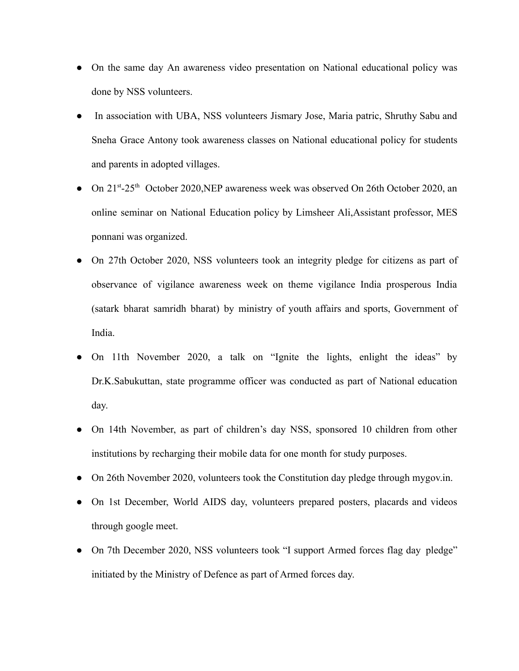- On the same day An awareness video presentation on National educational policy was done by NSS volunteers.
- In association with UBA, NSS volunteers Jismary Jose, Maria patric, Shruthy Sabu and Sneha Grace Antony took awareness classes on National educational policy for students and parents in adopted villages.
- On 21<sup>st</sup>-25<sup>th</sup> October 2020, NEP awareness week was observed On 26th October 2020, an online seminar on National Education policy by Limsheer Ali,Assistant professor, MES ponnani was organized.
- On 27th October 2020, NSS volunteers took an integrity pledge for citizens as part of observance of vigilance awareness week on theme vigilance India prosperous India (satark bharat samridh bharat) by ministry of youth affairs and sports, Government of India.
- On 11th November 2020, a talk on "Ignite the lights, enlight the ideas" by Dr.K.Sabukuttan, state programme officer was conducted as part of National education day.
- On 14th November, as part of children's day NSS, sponsored 10 children from other institutions by recharging their mobile data for one month for study purposes.
- On 26th November 2020, volunteers took the Constitution day pledge through mygov.in.
- On 1st December, World AIDS day, volunteers prepared posters, placards and videos through google meet.
- On 7th December 2020, NSS volunteers took "I support Armed forces flag day pledge" initiated by the Ministry of Defence as part of Armed forces day.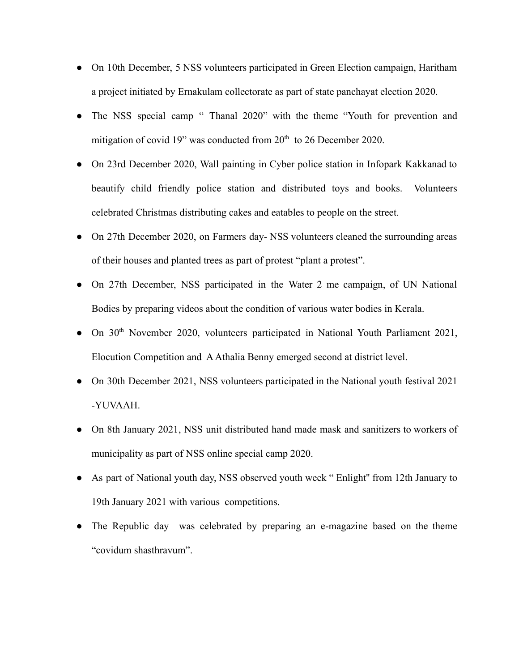- On 10th December, 5 NSS volunteers participated in Green Election campaign, Haritham a project initiated by Ernakulam collectorate as part of state panchayat election 2020.
- The NSS special camp " Thanal 2020" with the theme "Youth for prevention and mitigation of covid 19" was conducted from  $20<sup>th</sup>$  to 26 December 2020.
- On 23rd December 2020, Wall painting in Cyber police station in Infopark Kakkanad to beautify child friendly police station and distributed toys and books. Volunteers celebrated Christmas distributing cakes and eatables to people on the street.
- On 27th December 2020, on Farmers day-NSS volunteers cleaned the surrounding areas of their houses and planted trees as part of protest "plant a protest".
- On 27th December, NSS participated in the Water 2 me campaign, of UN National Bodies by preparing videos about the condition of various water bodies in Kerala.
- On 30<sup>th</sup> November 2020, volunteers participated in National Youth Parliament 2021, Elocution Competition and AAthalia Benny emerged second at district level.
- On 30th December 2021, NSS volunteers participated in the National youth festival 2021 -YUVAAH.
- On 8th January 2021, NSS unit distributed hand made mask and sanitizers to workers of municipality as part of NSS online special camp 2020.
- As part of National youth day, NSS observed youth week "Enlight" from 12th January to 19th January 2021 with various competitions.
- The Republic day was celebrated by preparing an e-magazine based on the theme "covidum shasthravum".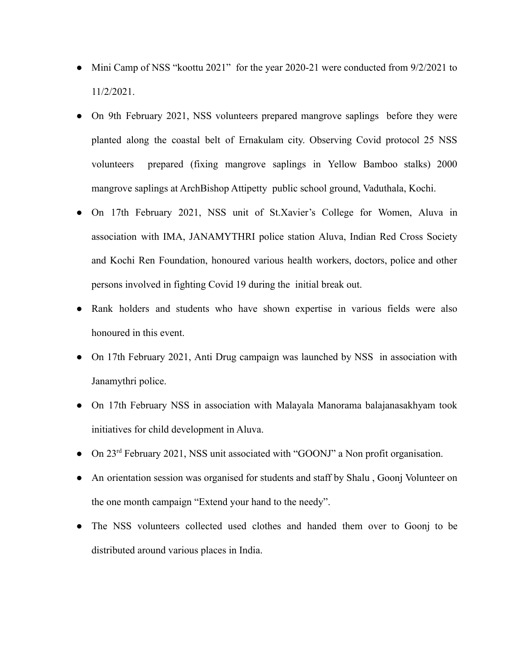- Mini Camp of NSS "koottu 2021" for the year 2020-21 were conducted from  $9/2/2021$  to 11/2/2021.
- On 9th February 2021, NSS volunteers prepared mangrove saplings before they were planted along the coastal belt of Ernakulam city. Observing Covid protocol 25 NSS volunteers prepared (fixing mangrove saplings in Yellow Bamboo stalks) 2000 mangrove saplings at ArchBishop Attipetty public school ground, Vaduthala, Kochi.
- On 17th February 2021, NSS unit of St.Xavier's College for Women, Aluva in association with IMA, JANAMYTHRI police station Aluva, Indian Red Cross Society and Kochi Ren Foundation, honoured various health workers, doctors, police and other persons involved in fighting Covid 19 during the initial break out.
- Rank holders and students who have shown expertise in various fields were also honoured in this event.
- On 17th February 2021, Anti Drug campaign was launched by NSS in association with Janamythri police.
- On 17th February NSS in association with Malayala Manorama balajanasakhyam took initiatives for child development in Aluva.
- On 23<sup>rd</sup> February 2021, NSS unit associated with "GOONJ" a Non profit organisation.
- An orientation session was organised for students and staff by Shalu , Goonj Volunteer on the one month campaign "Extend your hand to the needy".
- The NSS volunteers collected used clothes and handed them over to Goonj to be distributed around various places in India.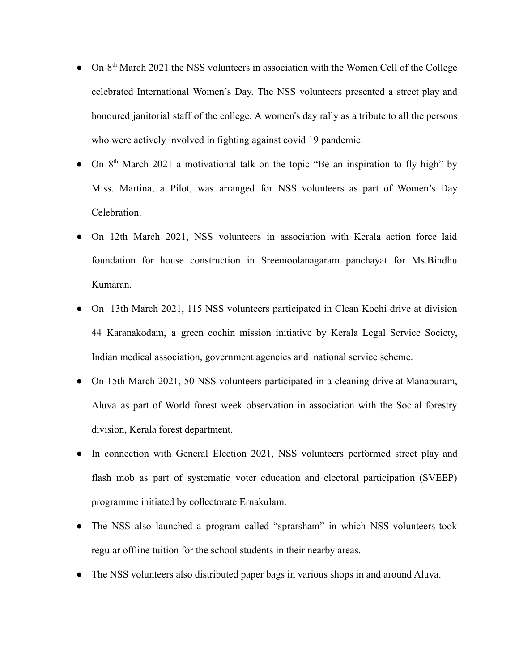- On 8<sup>th</sup> March 2021 the NSS volunteers in association with the Women Cell of the College celebrated International Women's Day. The NSS volunteers presented a street play and honoured janitorial staff of the college. A women's day rally as a tribute to all the persons who were actively involved in fighting against covid 19 pandemic.
- On 8<sup>th</sup> March 2021 a motivational talk on the topic "Be an inspiration to fly high" by Miss. Martina, a Pilot, was arranged for NSS volunteers as part of Women's Day Celebration.
- On 12th March 2021, NSS volunteers in association with Kerala action force laid foundation for house construction in Sreemoolanagaram panchayat for Ms.Bindhu Kumaran.
- On 13th March 2021, 115 NSS volunteers participated in Clean Kochi drive at division 44 Karanakodam, a green cochin mission initiative by Kerala Legal Service Society, Indian medical association, government agencies and national service scheme.
- On 15th March 2021, 50 NSS volunteers participated in a cleaning drive at Manapuram, Aluva as part of World forest week observation in association with the Social forestry division, Kerala forest department.
- In connection with General Election 2021, NSS volunteers performed street play and flash mob as part of systematic voter education and electoral participation (SVEEP) programme initiated by collectorate Ernakulam.
- The NSS also launched a program called "sprarsham" in which NSS volunteers took regular offline tuition for the school students in their nearby areas.
- The NSS volunteers also distributed paper bags in various shops in and around Aluva.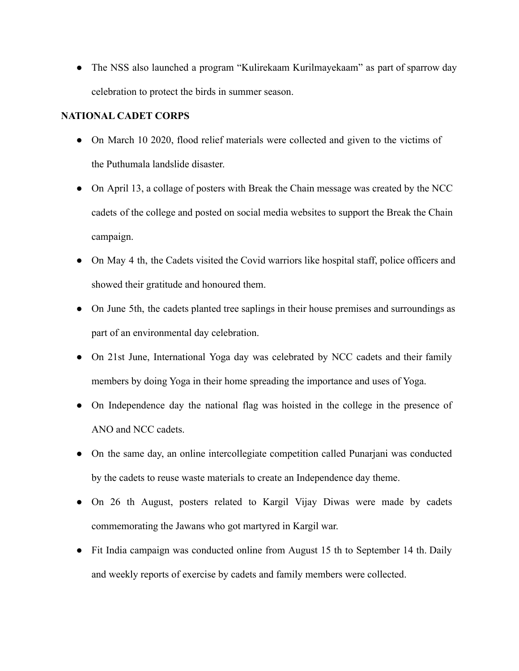• The NSS also launched a program "Kulirekaam Kurilmayekaam" as part of sparrow day celebration to protect the birds in summer season.

## **NATIONAL CADET CORPS**

- On March 10 2020, flood relief materials were collected and given to the victims of the Puthumala landslide disaster.
- On April 13, a collage of posters with Break the Chain message was created by the NCC cadets of the college and posted on social media websites to support the Break the Chain campaign.
- On May 4 th, the Cadets visited the Covid warriors like hospital staff, police officers and showed their gratitude and honoured them.
- On June 5th, the cadets planted tree saplings in their house premises and surroundings as part of an environmental day celebration.
- On 21st June, International Yoga day was celebrated by NCC cadets and their family members by doing Yoga in their home spreading the importance and uses of Yoga.
- On Independence day the national flag was hoisted in the college in the presence of ANO and NCC cadets.
- On the same day, an online intercollegiate competition called Punariani was conducted by the cadets to reuse waste materials to create an Independence day theme.
- On 26 th August, posters related to Kargil Vijay Diwas were made by cadets commemorating the Jawans who got martyred in Kargil war.
- Fit India campaign was conducted online from August 15 th to September 14 th. Daily and weekly reports of exercise by cadets and family members were collected.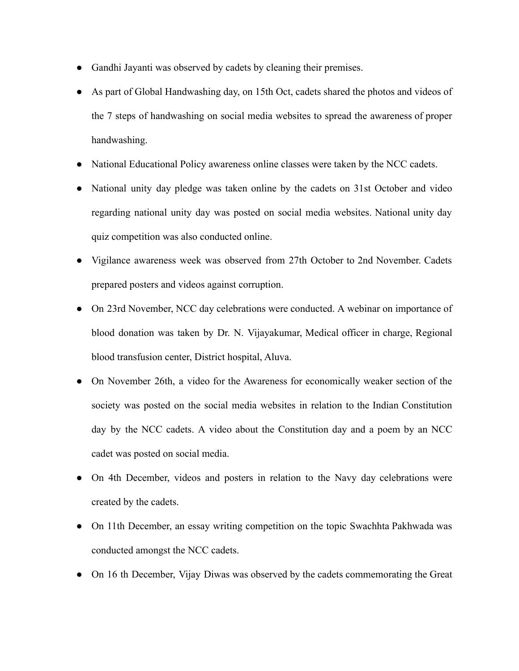- Gandhi Jayanti was observed by cadets by cleaning their premises.
- As part of Global Handwashing day, on 15th Oct, cadets shared the photos and videos of the 7 steps of handwashing on social media websites to spread the awareness of proper handwashing.
- National Educational Policy awareness online classes were taken by the NCC cadets.
- National unity day pledge was taken online by the cadets on 31st October and video regarding national unity day was posted on social media websites. National unity day quiz competition was also conducted online.
- Vigilance awareness week was observed from 27th October to 2nd November. Cadets prepared posters and videos against corruption.
- On 23rd November, NCC day celebrations were conducted. A webinar on importance of blood donation was taken by Dr. N. Vijayakumar, Medical officer in charge, Regional blood transfusion center, District hospital, Aluva.
- On November 26th, a video for the Awareness for economically weaker section of the society was posted on the social media websites in relation to the Indian Constitution day by the NCC cadets. A video about the Constitution day and a poem by an NCC cadet was posted on social media.
- On 4th December, videos and posters in relation to the Navy day celebrations were created by the cadets.
- On 11th December, an essay writing competition on the topic Swachhta Pakhwada was conducted amongst the NCC cadets.
- On 16 th December, Vijay Diwas was observed by the cadets commemorating the Great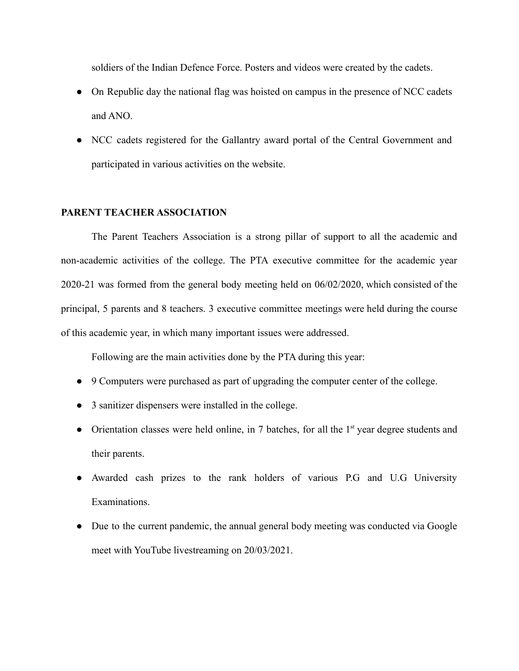soldiers of the Indian Defence Force. Posters and videos were created by the cadets.

- On Republic day the national flag was hoisted on campus in the presence of NCC cadets and ANO.
- NCC cadets registered for the Gallantry award portal of the Central Government and participated in various activities on the website.

#### **PARENT TEACHER ASSOCIATION**

The Parent Teachers Association is a strong pillar of support to all the academic and non-academic activities of the college. The PTA executive committee for the academic year 2020-21 was formed from the general body meeting held on 06/02/2020, which consisted of the principal, 5 parents and 8 teachers. 3 executive committee meetings were held during the course of this academic year, in which many important issues were addressed.

Following are the main activities done by the PTA during this year:

- 9 Computers were purchased as part of upgrading the computer center of the college.
- 3 sanitizer dispensers were installed in the college.
- Orientation classes were held online, in 7 batches, for all the 1<sup>st</sup> year degree students and their parents.
- Awarded cash prizes to the rank holders of various P.G and U.G University Examinations.
- Due to the current pandemic, the annual general body meeting was conducted via Google meet with YouTube livestreaming on 20/03/2021.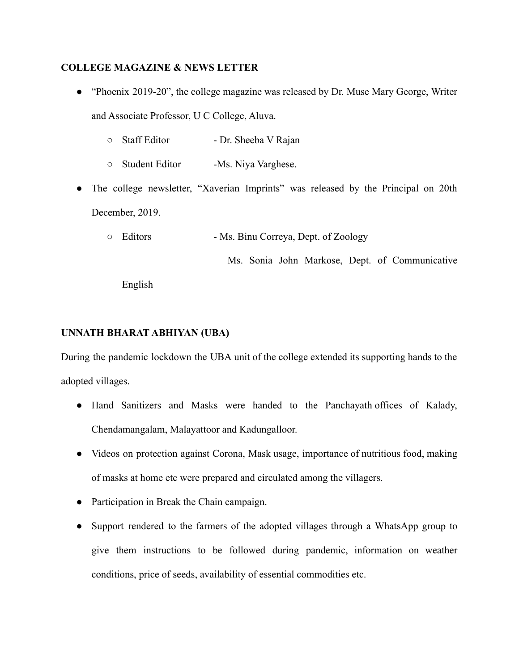### **COLLEGE MAGAZINE & NEWS LETTER**

- "Phoenix 2019-20", the college magazine was released by Dr. Muse Mary George, Writer and Associate Professor, U C College, Aluva.
	- Staff Editor Dr. Sheeba V Rajan
	- Student Editor -Ms. Niya Varghese.
- The college newsletter, "Xaverian Imprints" was released by the Principal on 20th December, 2019.
	- Editors Ms. Binu Correya, Dept. of Zoology

Ms. Sonia John Markose, Dept. of Communicative

English

## **UNNATH BHARAT ABHIYAN (UBA)**

During the pandemic lockdown the UBA unit of the college extended its supporting hands to the adopted villages.

- Hand Sanitizers and Masks were handed to the Panchayath offices of Kalady, Chendamangalam, Malayattoor and Kadungalloor.
- Videos on protection against Corona, Mask usage, importance of nutritious food, making of masks at home etc were prepared and circulated among the villagers.
- Participation in Break the Chain campaign.
- Support rendered to the farmers of the adopted villages through a WhatsApp group to give them instructions to be followed during pandemic, information on weather conditions, price of seeds, availability of essential commodities etc.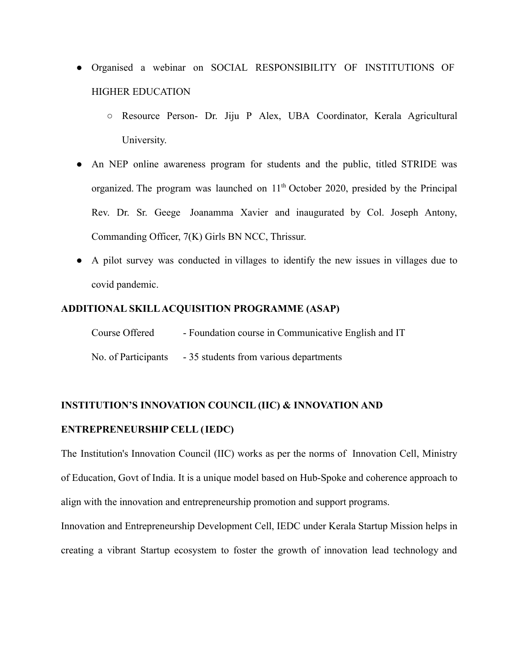- Organised a webinar on SOCIAL RESPONSIBILITY OF INSTITUTIONS OF HIGHER EDUCATION
	- Resource Person- Dr. Jiju P Alex, UBA Coordinator, Kerala Agricultural University.
- An NEP online awareness program for students and the public, titled STRIDE was organized. The program was launched on  $11<sup>th</sup>$  October 2020, presided by the Principal Rev. Dr. Sr. Geege Joanamma Xavier and inaugurated by Col. Joseph Antony, Commanding Officer, 7(K) Girls BN NCC, Thrissur.
- A pilot survey was conducted in villages to identify the new issues in villages due to covid pandemic.

#### **ADDITIONAL SKILLACQUISITION PROGRAMME (ASAP)**

| Course Offered      | - Foundation course in Communicative English and IT |
|---------------------|-----------------------------------------------------|
| No. of Participants | - 35 students from various departments              |

### **INSTITUTION'S INNOVATION COUNCIL (IIC) & INNOVATION AND**

### **ENTREPRENEURSHIP CELL (IEDC)**

The Institution's Innovation Council (IIC) works as per the norms of Innovation Cell, Ministry of Education, Govt of India. It is a unique model based on Hub-Spoke and coherence approach to align with the innovation and entrepreneurship promotion and support programs.

Innovation and Entrepreneurship Development Cell, IEDC under Kerala Startup Mission helps in creating a vibrant Startup ecosystem to foster the growth of innovation lead technology and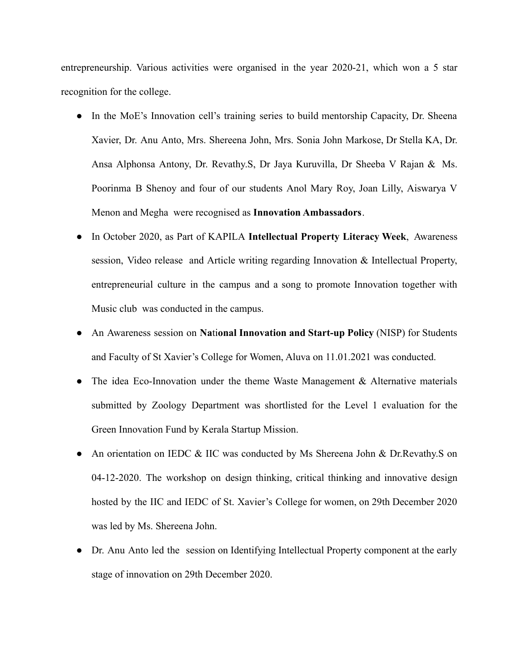entrepreneurship. Various activities were organised in the year 2020-21, which won a 5 star recognition for the college.

- In the MoE's Innovation cell's training series to build mentorship Capacity, Dr. Sheena Xavier, Dr. Anu Anto, Mrs. Shereena John, Mrs. Sonia John Markose, Dr Stella KA, Dr. Ansa Alphonsa Antony, Dr. Revathy.S, Dr Jaya Kuruvilla, Dr Sheeba V Rajan & Ms. Poorinma B Shenoy and four of our students Anol Mary Roy, Joan Lilly, Aiswarya V Menon and Megha were recognised as **Innovation Ambassadors**.
- In October 2020, as Part of KAPILA **Intellectual Property Literacy Week**, Awareness session, Video release and Article writing regarding Innovation & Intellectual Property, entrepreneurial culture in the campus and a song to promote Innovation together with Music club was conducted in the campus.
- An Awareness session on **Na**ti**onal Innovation and Start-up Policy** (NISP) for Students and Faculty of St Xavier's College for Women, Aluva on 11.01.2021 was conducted.
- The idea Eco-Innovation under the theme Waste Management  $\&$  Alternative materials submitted by Zoology Department was shortlisted for the Level 1 evaluation for the Green Innovation Fund by Kerala Startup Mission.
- An orientation on IEDC & IIC was conducted by Ms Shereena John & Dr.Revathy.S on 04-12-2020. The workshop on design thinking, critical thinking and innovative design hosted by the IIC and IEDC of St. Xavier's College for women, on 29th December 2020 was led by Ms. Shereena John.
- Dr. Anu Anto led the session on Identifying Intellectual Property component at the early stage of innovation on 29th December 2020.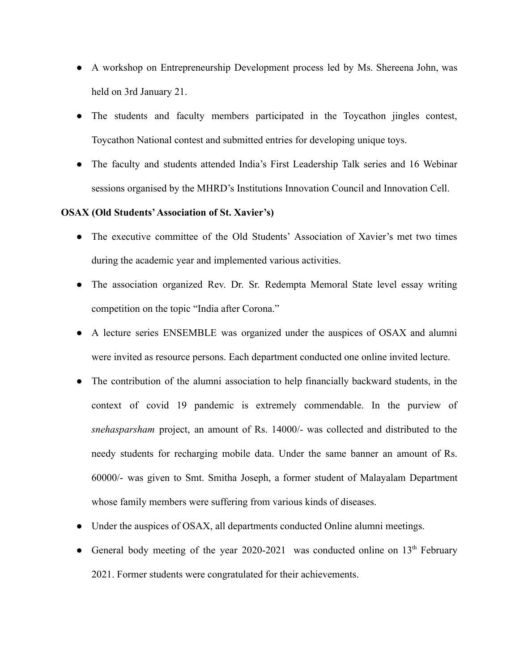- A workshop on Entrepreneurship Development process led by Ms. Shereena John, was held on 3rd January 21.
- The students and faculty members participated in the Toycathon jingles contest, Toycathon National contest and submitted entries for developing unique toys.
- The faculty and students attended India's First Leadership Talk series and 16 Webinar sessions organised by the MHRD's Institutions Innovation Council and Innovation Cell.

#### **OSAX (Old Students'Association of St. Xavier's)**

- The executive committee of the Old Students' Association of Xavier's met two times during the academic year and implemented various activities.
- The association organized Rev. Dr. Sr. Redempta Memoral State level essay writing competition on the topic "India after Corona."
- A lecture series ENSEMBLE was organized under the auspices of OSAX and alumni were invited as resource persons. Each department conducted one online invited lecture.
- The contribution of the alumni association to help financially backward students, in the context of covid 19 pandemic is extremely commendable. In the purview of *snehasparsham* project, an amount of Rs. 14000/- was collected and distributed to the needy students for recharging mobile data. Under the same banner an amount of Rs. 60000/- was given to Smt. Smitha Joseph, a former student of Malayalam Department whose family members were suffering from various kinds of diseases.
- Under the auspices of OSAX, all departments conducted Online alumni meetings.
- General body meeting of the year 2020-2021 was conducted online on  $13<sup>th</sup>$  February 2021. Former students were congratulated for their achievements.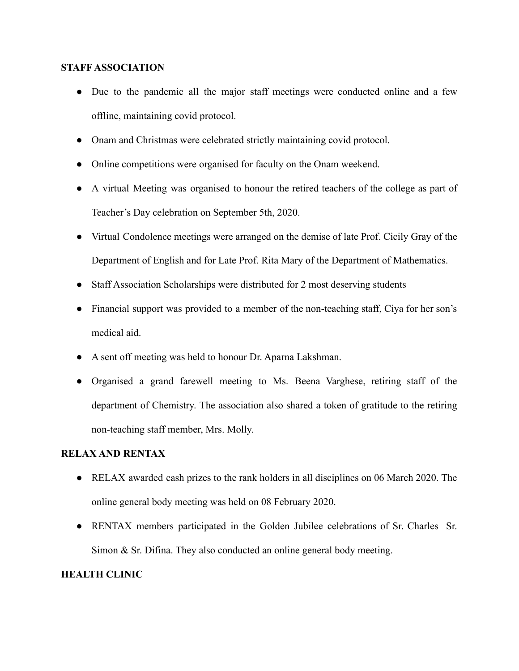### **STAFF ASSOCIATION**

- Due to the pandemic all the major staff meetings were conducted online and a few offline, maintaining covid protocol.
- Onam and Christmas were celebrated strictly maintaining covid protocol.
- Online competitions were organised for faculty on the Onam weekend.
- A virtual Meeting was organised to honour the retired teachers of the college as part of Teacher's Day celebration on September 5th, 2020.
- Virtual Condolence meetings were arranged on the demise of late Prof. Cicily Gray of the Department of English and for Late Prof. Rita Mary of the Department of Mathematics.
- Staff Association Scholarships were distributed for 2 most deserving students
- Financial support was provided to a member of the non-teaching staff, Ciya for her son's medical aid.
- A sent off meeting was held to honour Dr. Aparna Lakshman.
- Organised a grand farewell meeting to Ms. Beena Varghese, retiring staff of the department of Chemistry. The association also shared a token of gratitude to the retiring non-teaching staff member, Mrs. Molly.

### **RELAX AND RENTAX**

- RELAX awarded cash prizes to the rank holders in all disciplines on 06 March 2020. The online general body meeting was held on 08 February 2020.
- RENTAX members participated in the Golden Jubilee celebrations of Sr. Charles Sr. Simon & Sr. Difina. They also conducted an online general body meeting.

## **HEALTH CLINIC**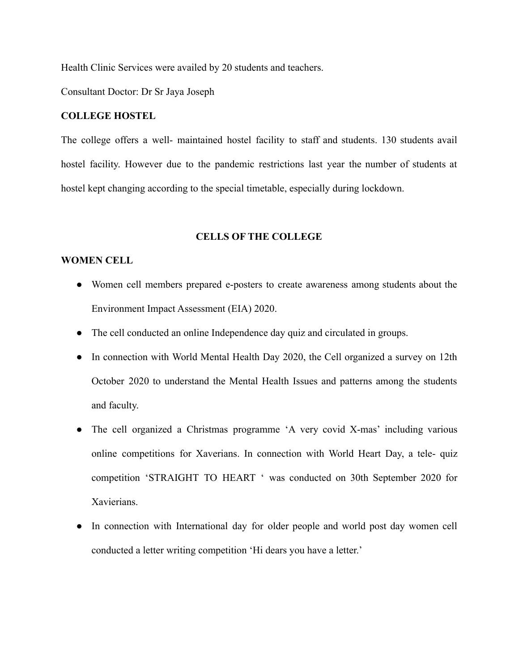Health Clinic Services were availed by 20 students and teachers.

Consultant Doctor: Dr Sr Jaya Joseph

#### **COLLEGE HOSTEL**

The college offers a well- maintained hostel facility to staff and students. 130 students avail hostel facility. However due to the pandemic restrictions last year the number of students at hostel kept changing according to the special timetable, especially during lockdown.

#### **CELLS OF THE COLLEGE**

#### **WOMEN CELL**

- Women cell members prepared e-posters to create awareness among students about the Environment Impact Assessment (EIA) 2020.
- The cell conducted an online Independence day quiz and circulated in groups.
- In connection with World Mental Health Day 2020, the Cell organized a survey on 12th October 2020 to understand the Mental Health Issues and patterns among the students and faculty.
- The cell organized a Christmas programme 'A very covid X-mas' including various online competitions for Xaverians. In connection with World Heart Day, a tele- quiz competition 'STRAIGHT TO HEART ' was conducted on 30th September 2020 for Xavierians.
- In connection with International day for older people and world post day women cell conducted a letter writing competition 'Hi dears you have a letter.'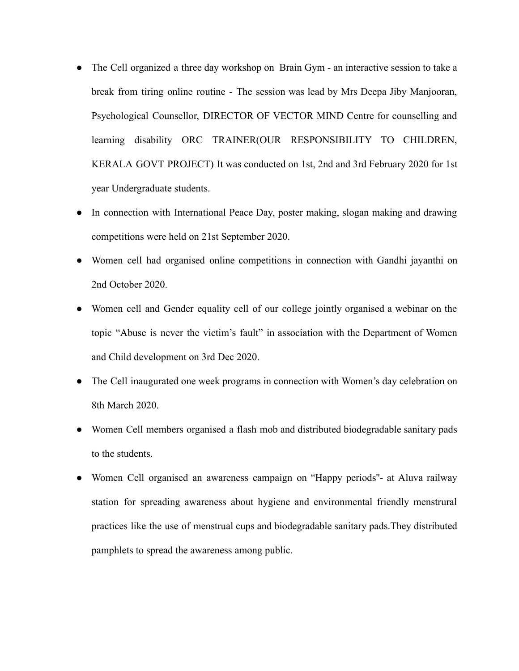- The Cell organized a three day workshop on Brain Gym an interactive session to take a break from tiring online routine - The session was lead by Mrs Deepa Jiby Manjooran, Psychological Counsellor, DIRECTOR OF VECTOR MIND Centre for counselling and learning disability ORC TRAINER(OUR RESPONSIBILITY TO CHILDREN, KERALA GOVT PROJECT) It was conducted on 1st, 2nd and 3rd February 2020 for 1st year Undergraduate students.
- In connection with International Peace Day, poster making, slogan making and drawing competitions were held on 21st September 2020.
- Women cell had organised online competitions in connection with Gandhi jayanthi on 2nd October 2020.
- Women cell and Gender equality cell of our college jointly organised a webinar on the topic "Abuse is never the victim's fault" in association with the Department of Women and Child development on 3rd Dec 2020.
- The Cell inaugurated one week programs in connection with Women's day celebration on 8th March 2020.
- Women Cell members organised a flash mob and distributed biodegradable sanitary pads to the students.
- Women Cell organised an awareness campaign on "Happy periods''- at Aluva railway station for spreading awareness about hygiene and environmental friendly menstrural practices like the use of menstrual cups and biodegradable sanitary pads.They distributed pamphlets to spread the awareness among public.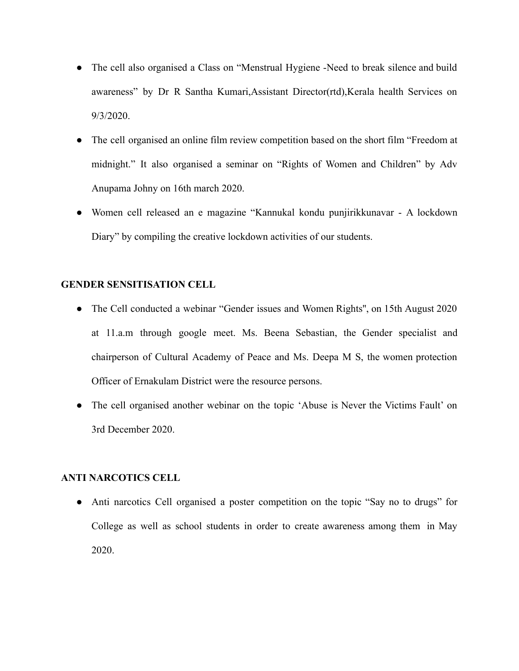- The cell also organised a Class on "Menstrual Hygiene -Need to break silence and build awareness" by Dr R Santha Kumari,Assistant Director(rtd),Kerala health Services on 9/3/2020.
- The cell organised an online film review competition based on the short film "Freedom at midnight." It also organised a seminar on "Rights of Women and Children" by Adv Anupama Johny on 16th march 2020.
- Women cell released an e magazine "Kannukal kondu punjirikkunavar A lockdown Diary" by compiling the creative lockdown activities of our students.

### **GENDER SENSITISATION CELL**

- The Cell conducted a webinar "Gender issues and Women Rights", on 15th August 2020 at 11.a.m through google meet. Ms. Beena Sebastian, the Gender specialist and chairperson of Cultural Academy of Peace and Ms. Deepa M S, the women protection Officer of Ernakulam District were the resource persons.
- The cell organised another webinar on the topic 'Abuse is Never the Victims Fault' on 3rd December 2020.

## **ANTI NARCOTICS CELL**

• Anti narcotics Cell organised a poster competition on the topic "Say no to drugs" for College as well as school students in order to create awareness among them in May 2020.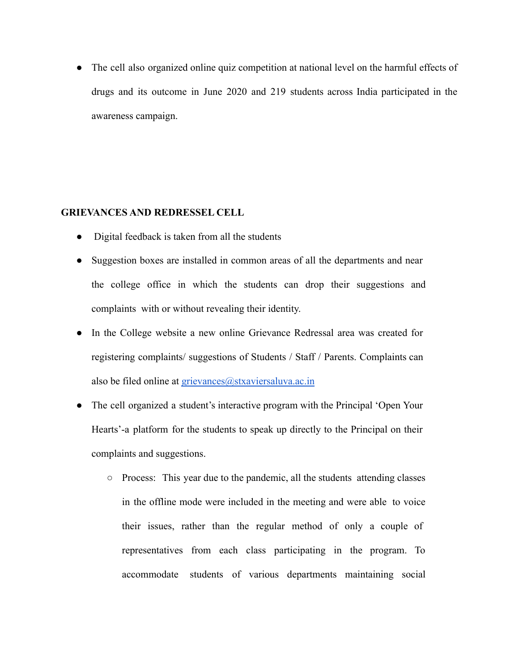• The cell also organized online quiz competition at national level on the harmful effects of drugs and its outcome in June 2020 and 219 students across India participated in the awareness campaign.

### **GRIEVANCES AND REDRESSEL CELL**

- Digital feedback is taken from all the students
- Suggestion boxes are installed in common areas of all the departments and near the college office in which the students can drop their suggestions and complaints with or without revealing their identity.
- In the College website a new online Grievance Redressal area was created for registering complaints/ suggestions of Students / Staff / Parents. Complaints can also be filed online at grievances@stxaviersaluva.ac.in
- The cell organized a student's interactive program with the Principal 'Open Your Hearts'-a platform for the students to speak up directly to the Principal on their complaints and suggestions.
	- Process: This year due to the pandemic, all the students attending classes in the offline mode were included in the meeting and were able to voice their issues, rather than the regular method of only a couple of representatives from each class participating in the program. To accommodate students of various departments maintaining social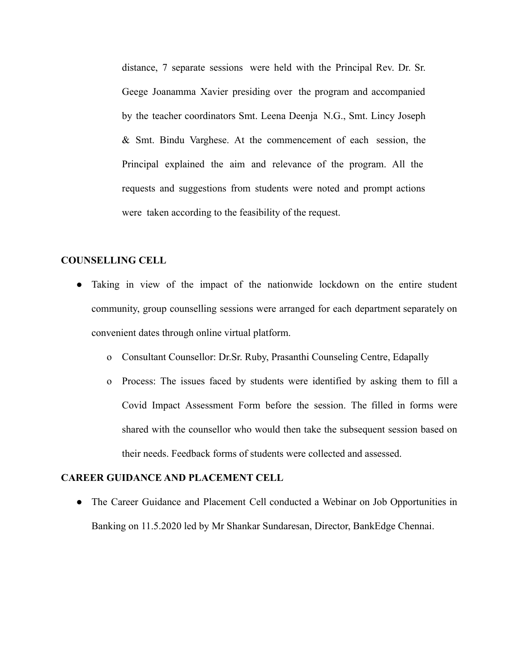distance, 7 separate sessions were held with the Principal Rev. Dr. Sr. Geege Joanamma Xavier presiding over the program and accompanied by the teacher coordinators Smt. Leena Deenja N.G., Smt. Lincy Joseph & Smt. Bindu Varghese. At the commencement of each session, the Principal explained the aim and relevance of the program. All the requests and suggestions from students were noted and prompt actions were taken according to the feasibility of the request.

#### **COUNSELLING CELL**

- Taking in view of the impact of the nationwide lockdown on the entire student community, group counselling sessions were arranged for each department separately on convenient dates through online virtual platform.
	- o Consultant Counsellor: Dr.Sr. Ruby, Prasanthi Counseling Centre, Edapally
	- o Process: The issues faced by students were identified by asking them to fill a Covid Impact Assessment Form before the session. The filled in forms were shared with the counsellor who would then take the subsequent session based on their needs. Feedback forms of students were collected and assessed.

### **CAREER GUIDANCE AND PLACEMENT CELL**

• The Career Guidance and Placement Cell conducted a Webinar on Job Opportunities in Banking on 11.5.2020 led by Mr Shankar Sundaresan, Director, BankEdge Chennai.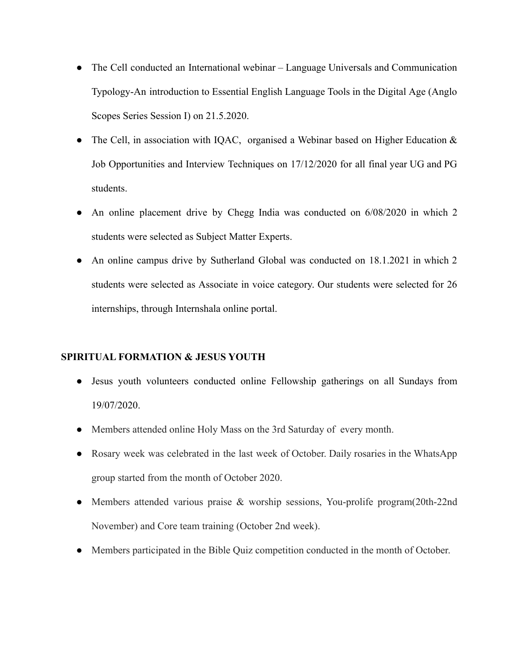- The Cell conducted an International webinar Language Universals and Communication Typology-An introduction to Essential English Language Tools in the Digital Age (Anglo Scopes Series Session I) on 21.5.2020.
- The Cell, in association with IQAC, organised a Webinar based on Higher Education  $\&$ Job Opportunities and Interview Techniques on 17/12/2020 for all final year UG and PG students.
- An online placement drive by Chegg India was conducted on 6/08/2020 in which 2 students were selected as Subject Matter Experts.
- An online campus drive by Sutherland Global was conducted on 18.1.2021 in which 2 students were selected as Associate in voice category. Our students were selected for 26 internships, through Internshala online portal.

## **SPIRITUAL FORMATION & JESUS YOUTH**

- Jesus youth volunteers conducted online Fellowship gatherings on all Sundays from 19/07/2020.
- Members attended online Holy Mass on the 3rd Saturday of every month.
- Rosary week was celebrated in the last week of October. Daily rosaries in the WhatsApp group started from the month of October 2020.
- Members attended various praise & worship sessions, You-prolife program(20th-22nd November) and Core team training (October 2nd week).
- Members participated in the Bible Quiz competition conducted in the month of October.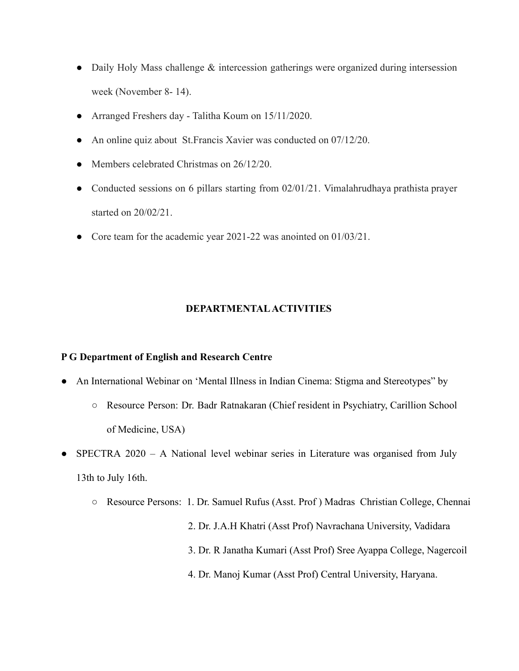- Daily Holy Mass challenge & intercession gatherings were organized during intersession week (November 8- 14).
- Arranged Freshers day Talitha Koum on 15/11/2020.
- An online quiz about St. Francis Xavier was conducted on 07/12/20.
- Members celebrated Christmas on 26/12/20.
- Conducted sessions on 6 pillars starting from 02/01/21. Vimalahrudhaya prathista prayer started on 20/02/21.
- Core team for the academic year 2021-22 was anointed on 01/03/21.

## **DEPARTMENTALACTIVITIES**

## **P G Department of English and Research Centre**

- An International Webinar on 'Mental Illness in Indian Cinema: Stigma and Stereotypes" by
	- Resource Person: Dr. Badr Ratnakaran (Chief resident in Psychiatry, Carillion School of Medicine, USA)
- SPECTRA 2020 A National level webinar series in Literature was organised from July 13th to July 16th.
	- Resource Persons: 1. Dr. Samuel Rufus (Asst. Prof ) Madras Christian College, Chennai 2. Dr. J.A.H Khatri (Asst Prof) Navrachana University, Vadidara 3. Dr. R Janatha Kumari (Asst Prof) Sree Ayappa College, Nagercoil 4. Dr. Manoj Kumar (Asst Prof) Central University, Haryana.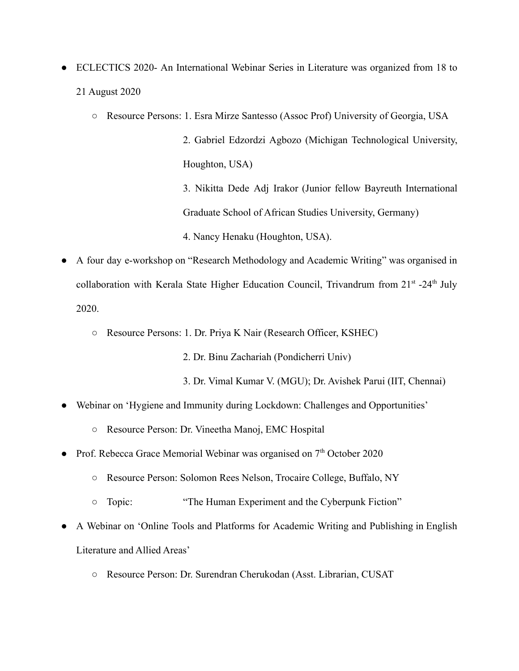- ECLECTICS 2020- An International Webinar Series in Literature was organized from 18 to 21 August 2020
	- Resource Persons: 1. Esra Mirze Santesso (Assoc Prof) University of Georgia, USA

2. Gabriel Edzordzi Agbozo (Michigan Technological University, Houghton, USA)

3. Nikitta Dede Adj Irakor (Junior fellow Bayreuth International Graduate School of African Studies University, Germany)

4. Nancy Henaku (Houghton, USA).

- A four day e-workshop on "Research Methodology and Academic Writing" was organised in collaboration with Kerala State Higher Education Council, Trivandrum from  $21<sup>st</sup> - 24<sup>th</sup>$  July 2020.
	- Resource Persons: 1. Dr. Priya K Nair (Research Officer, KSHEC)

2. Dr. Binu Zachariah (Pondicherri Univ)

- 3. Dr. Vimal Kumar V. (MGU); Dr. Avishek Parui (IIT, Chennai)
- Webinar on 'Hygiene and Immunity during Lockdown: Challenges and Opportunities'
	- Resource Person: Dr. Vineetha Manoj, EMC Hospital
- Prof. Rebecca Grace Memorial Webinar was organised on  $7<sup>th</sup>$  October 2020
	- Resource Person: Solomon Rees Nelson, Trocaire College, Buffalo, NY
	- Topic: "The Human Experiment and the Cyberpunk Fiction"
- A Webinar on 'Online Tools and Platforms for Academic Writing and Publishing in English Literature and Allied Areas'
	- Resource Person: Dr. Surendran Cherukodan (Asst. Librarian, CUSAT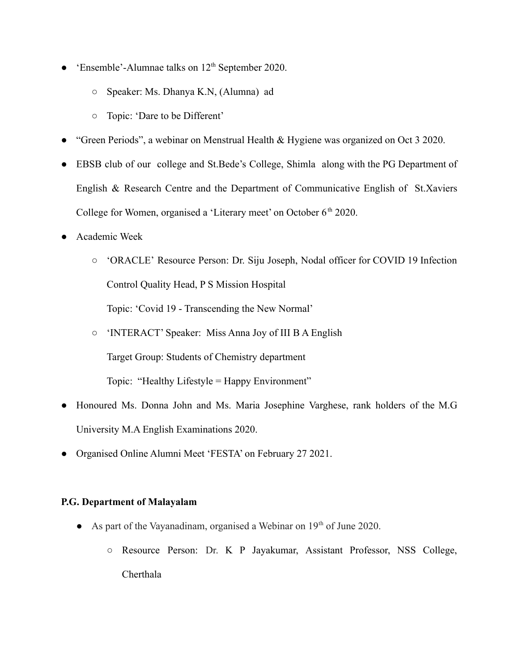- 'Ensemble'-Alumnae talks on  $12<sup>th</sup>$  September 2020.
	- Speaker: Ms. Dhanya K.N, (Alumna) ad
	- Topic: 'Dare to be Different'
- "Green Periods", a webinar on Menstrual Health & Hygiene was organized on Oct 3 2020.
- EBSB club of our college and St.Bede's College, Shimla along with the PG Department of English & Research Centre and the Department of Communicative English of St.Xaviers College for Women, organised a 'Literary meet' on October 6<sup>th</sup> 2020.
- Academic Week
	- 'ORACLE' Resource Person: Dr. Siju Joseph, Nodal officer for COVID 19 Infection Control Quality Head, P S Mission Hospital Topic: 'Covid 19 - Transcending the New Normal'
	- 'INTERACT' Speaker: Miss Anna Joy of III B A English Target Group: Students of Chemistry department Topic: "Healthy Lifestyle = Happy Environment"
- Honoured Ms. Donna John and Ms. Maria Josephine Varghese, rank holders of the M.G University M.A English Examinations 2020.
- Organised Online Alumni Meet 'FESTA' on February 27 2021.

## **P.G. Department of Malayalam**

- As part of the Vayanadinam, organised a Webinar on  $19<sup>th</sup>$  of June 2020.
	- Resource Person: Dr. K P Jayakumar, Assistant Professor, NSS College, Cherthala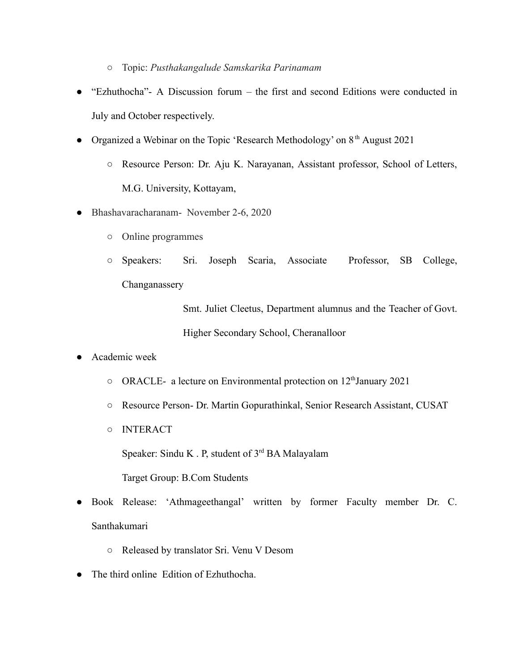- Topic: *Pusthakangalude Samskarika Parinamam*
- "Ezhuthocha"- A Discussion forum the first and second Editions were conducted in July and October respectively.
- Organized a Webinar on the Topic 'Research Methodology' on  $8<sup>th</sup>$  August 2021
	- Resource Person: Dr. Aju K. Narayanan, Assistant professor, School of Letters, M.G. University, Kottayam,
- Bhashavaracharanam- November 2-6, 2020
	- Online programmes
	- Speakers: Sri. Joseph Scaria, Associate Professor, SB College, Changanassery

Smt. Juliet Cleetus, Department alumnus and the Teacher of Govt. Higher Secondary School, Cheranalloor

- Academic week
	- ORACLE- a lecture on Environmental protection on 12<sup>th</sup> January 2021
	- Resource Person- Dr. Martin Gopurathinkal, Senior Research Assistant, CUSAT
	- INTERACT

Speaker: Sindu K . P, student of 3<sup>rd</sup> BA Malayalam Target Group: B.Com Students

- Book Release: 'Athmageethangal' written by former Faculty member Dr. C. Santhakumari
	- Released by translator Sri. Venu V Desom
- The third online Edition of Ezhuthocha.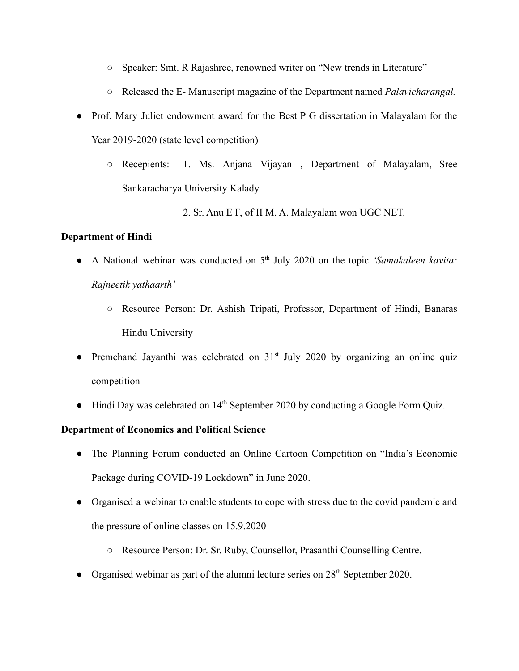- Speaker: Smt. R Rajashree, renowned writer on "New trends in Literature"
- Released the E- Manuscript magazine of the Department named *Palavicharangal.*
- Prof. Mary Juliet endowment award for the Best P G dissertation in Malayalam for the Year 2019-2020 (state level competition)
	- Recepients: 1. Ms. Anjana Vijayan , Department of Malayalam, Sree Sankaracharya University Kalady.
		- 2. Sr. Anu E F, of II M. A. Malayalam won UGC NET.

## **Department of Hindi**

- A National webinar was conducted on 5<sup>th</sup> July 2020 on the topic *'Samakaleen kavita: Rajneetik yathaarth'*
	- Resource Person: Dr. Ashish Tripati, Professor, Department of Hindi, Banaras Hindu University
- Premchand Jayanthi was celebrated on 31<sup>st</sup> July 2020 by organizing an online quiz competition
- Hindi Day was celebrated on 14<sup>th</sup> September 2020 by conducting a Google Form Quiz.

## **Department of Economics and Political Science**

- The Planning Forum conducted an Online Cartoon Competition on "India's Economic Package during COVID-19 Lockdown" in June 2020.
- Organised a webinar to enable students to cope with stress due to the covid pandemic and the pressure of online classes on 15.9.2020
	- Resource Person: Dr. Sr. Ruby, Counsellor, Prasanthi Counselling Centre.
- Organised webinar as part of the alumni lecture series on  $28<sup>th</sup>$  September 2020.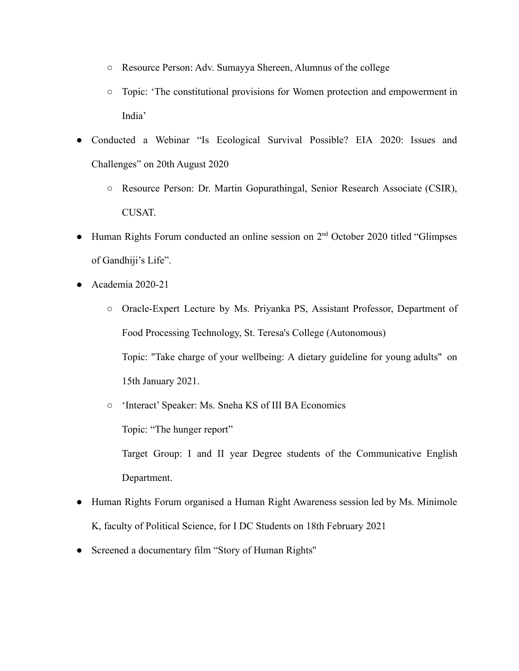- Resource Person: Adv. Sumayya Shereen, Alumnus of the college
- Topic: 'The constitutional provisions for Women protection and empowerment in India'
- Conducted a Webinar "Is Ecological Survival Possible? EIA 2020: Issues and Challenges" on 20th August 2020
	- Resource Person: Dr. Martin Gopurathingal, Senior Research Associate (CSIR), CUSAT.
- $\bullet$  Human Rights Forum conducted an online session on  $2<sup>nd</sup>$  October 2020 titled "Glimpses" of Gandhiji's Life".
- Academia 2020-21

Department.

- Oracle-Expert Lecture by Ms. Priyanka PS, Assistant Professor, Department of Food Processing Technology, St. Teresa's College (Autonomous) Topic: "Take charge of your wellbeing: A dietary guideline for young adults" on 15th January 2021.
- 'Interact' Speaker: Ms. Sneha KS of III BA Economics Topic: "The hunger report" Target Group: I and II year Degree students of the Communicative English
- Human Rights Forum organised a Human Right Awareness session led by Ms. Minimole K, faculty of Political Science, for I DC Students on 18th February 2021
- Screened a documentary film "Story of Human Rights''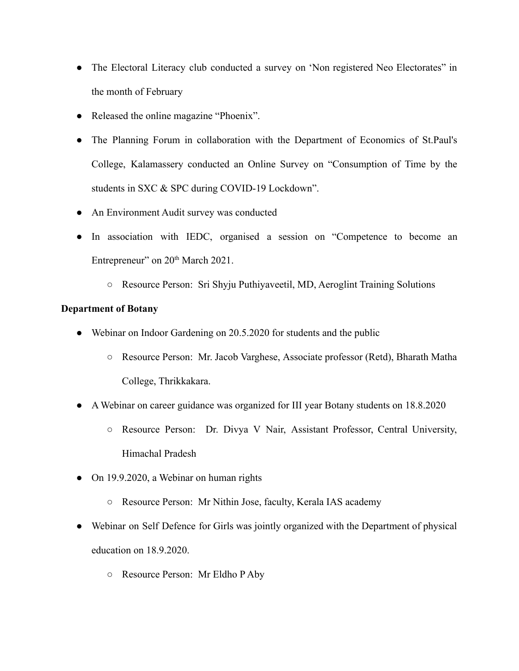- The Electoral Literacy club conducted a survey on 'Non registered Neo Electorates' in the month of February
- Released the online magazine "Phoenix".
- The Planning Forum in collaboration with the Department of Economics of St.Paul's College, Kalamassery conducted an Online Survey on "Consumption of Time by the students in SXC & SPC during COVID-19 Lockdown".
- An Environment Audit survey was conducted
- In association with IEDC, organised a session on "Competence to become an Entrepreneur" on 20<sup>th</sup> March 2021.
	- **○** Resource Person: Sri Shyju Puthiyaveetil, MD, Aeroglint Training Solutions

## **Department of Botany**

- Webinar on Indoor Gardening on 20.5.2020 for students and the public
	- Resource Person: Mr. Jacob Varghese, Associate professor (Retd), Bharath Matha College, Thrikkakara.
- A Webinar on career guidance was organized for III year Botany students on 18.8.2020
	- Resource Person: Dr. Divya V Nair, Assistant Professor, Central University, Himachal Pradesh
- On 19.9.2020, a Webinar on human rights
	- Resource Person: Mr Nithin Jose, faculty, Kerala IAS academy
- Webinar on Self Defence for Girls was jointly organized with the Department of physical education on 18.9.2020.
	- Resource Person: Mr Eldho P Aby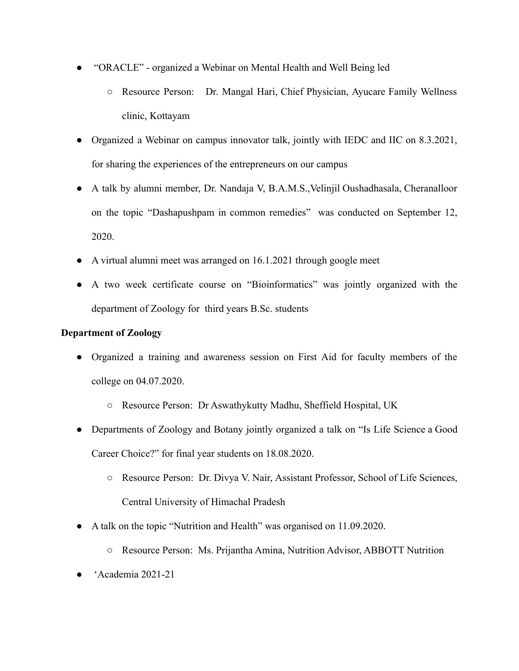- "ORACLE" organized a Webinar on Mental Health and Well Being led
	- Resource Person: Dr. Mangal Hari, Chief Physician, Ayucare Family Wellness clinic, Kottayam
- Organized a Webinar on campus innovator talk, jointly with IEDC and IIC on 8.3.2021, for sharing the experiences of the entrepreneurs on our campus
- A talk by alumni member, Dr. Nandaja V, B.A.M.S.,Velinjil Oushadhasala, Cheranalloor on the topic "Dashapushpam in common remedies" was conducted on September 12, 2020.
- A virtual alumni meet was arranged on 16.1.2021 through google meet
- **●** A two week certificate course on "Bioinformatics" was jointly organized with the department of Zoology for third years B.Sc. students

## **Department of Zoology**

- Organized a training and awareness session on First Aid for faculty members of the college on 04.07.2020.
	- Resource Person: Dr Aswathykutty Madhu, Sheffield Hospital, UK
- Departments of Zoology and Botany jointly organized a talk on "Is Life Science a Good Career Choice?" for final year students on 18.08.2020.
	- Resource Person: Dr. Divya V. Nair, Assistant Professor, School of Life Sciences, Central University of Himachal Pradesh
- A talk on the topic "Nutrition and Health" was organised on 11.09.2020.
	- Resource Person: Ms. Prijantha Amina, Nutrition Advisor, ABBOTT Nutrition
- 'Academia 2021-21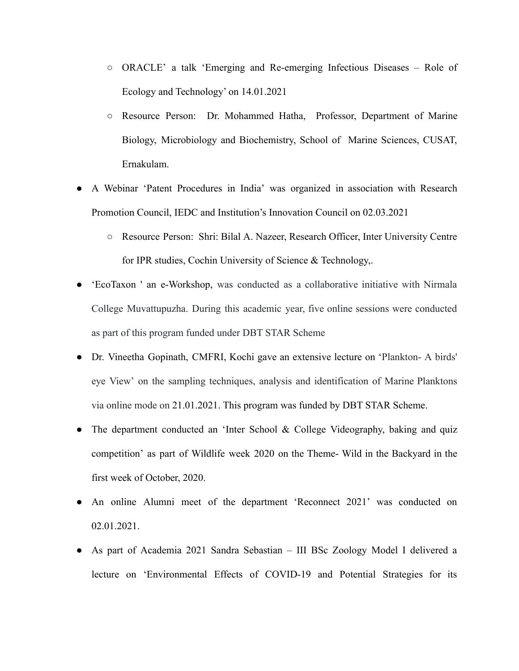- ORACLE' a talk 'Emerging and Re-emerging Infectious Diseases Role of Ecology and Technology' on 14.01.2021
- Resource Person: Dr. Mohammed Hatha, Professor, Department of Marine Biology, Microbiology and Biochemistry, School of Marine Sciences, CUSAT, Ernakulam.
- A Webinar 'Patent Procedures in India' was organized in association with Research Promotion Council, IEDC and Institution's Innovation Council on 02.03.2021
	- Resource Person: Shri: Bilal A. Nazeer, Research Officer, Inter University Centre for IPR studies, Cochin University of Science & Technology,.
- 'EcoTaxon ' an e-Workshop, was conducted as a collaborative initiative with Nirmala College Muvattupuzha. During this academic year, five online sessions were conducted as part of this program funded under DBT STAR Scheme
- Dr. Vineetha Gopinath, CMFRI, Kochi gave an extensive lecture on 'Plankton- A birds' eye View' on the sampling techniques, analysis and identification of Marine Planktons via online mode on 21.01.2021. This program was funded by DBT STAR Scheme.
- The department conducted an 'Inter School & College Videography, baking and quiz competition' as part of Wildlife week 2020 on the Theme- Wild in the Backyard in the first week of October, 2020.
- An online Alumni meet of the department 'Reconnect 2021' was conducted on 02.01.2021.
- As part of Academia 2021 Sandra Sebastian III BSc Zoology Model I delivered a lecture on 'Environmental Effects of COVID-19 and Potential Strategies for its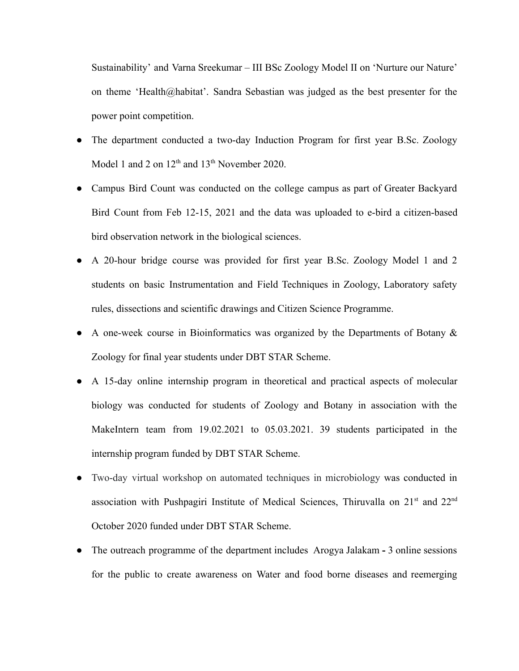Sustainability' and Varna Sreekumar – III BSc Zoology Model II on 'Nurture our Nature' on theme 'Health@habitat'. Sandra Sebastian was judged as the best presenter for the power point competition.

- The department conducted a two-day Induction Program for first year B.Sc. Zoology Model 1 and 2 on  $12<sup>th</sup>$  and  $13<sup>th</sup>$  November 2020.
- Campus Bird Count was conducted on the college campus as part of Greater Backyard Bird Count from Feb 12-15, 2021 and the data was uploaded to e-bird a citizen-based bird observation network in the biological sciences.
- A 20-hour bridge course was provided for first year B.Sc. Zoology Model 1 and 2 students on basic Instrumentation and Field Techniques in Zoology, Laboratory safety rules, dissections and scientific drawings and Citizen Science Programme.
- A one-week course in Bioinformatics was organized by the Departments of Botany & Zoology for final year students under DBT STAR Scheme.
- A 15-day online internship program in theoretical and practical aspects of molecular biology was conducted for students of Zoology and Botany in association with the MakeIntern team from 19.02.2021 to 05.03.2021. 39 students participated in the internship program funded by DBT STAR Scheme.
- Two-day virtual workshop on automated techniques in microbiology was conducted in association with Pushpagiri Institute of Medical Sciences, Thiruvalla on 21<sup>st</sup> and 22<sup>nd</sup> October 2020 funded under DBT STAR Scheme.
- The outreach programme of the department includes Arogya Jalakam **-** 3 online sessions for the public to create awareness on Water and food borne diseases and reemerging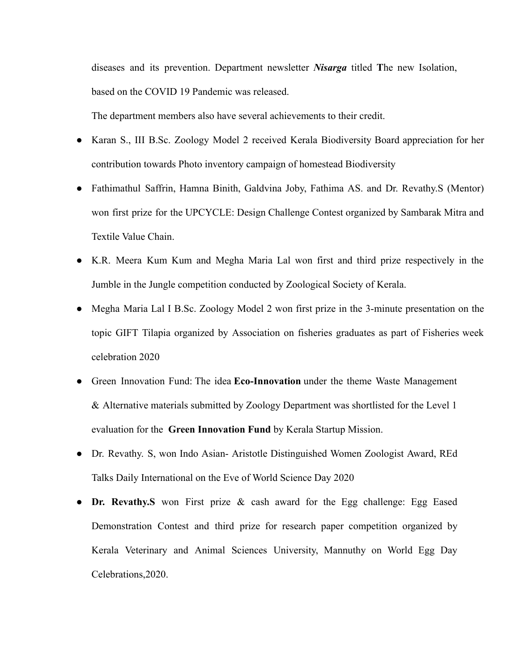diseases and its prevention. Department newsletter *Nisarga* titled **T**he new Isolation, based on the COVID 19 Pandemic was released.

The department members also have several achievements to their credit.

- Karan S., III B.Sc. Zoology Model 2 received Kerala Biodiversity Board appreciation for her contribution towards Photo inventory campaign of homestead Biodiversity
- Fathimathul Saffrin, Hamna Binith, Galdvina Joby, Fathima AS. and Dr. Revathy.S (Mentor) won first prize for the UPCYCLE: Design Challenge Contest organized by Sambarak Mitra and Textile Value Chain.
- K.R. Meera Kum Kum and Megha Maria Lal won first and third prize respectively in the Jumble in the Jungle competition conducted by Zoological Society of Kerala.
- Megha Maria Lal I B.Sc. Zoology Model 2 won first prize in the 3-minute presentation on the topic GIFT Tilapia organized by Association on fisheries graduates as part of Fisheries week celebration 2020
- Green Innovation Fund: The idea **Eco-Innovation** under the theme Waste Management & Alternative materials submitted by Zoology Department was shortlisted for the Level 1 evaluation for the **Green Innovation Fund** by Kerala Startup Mission.
- Dr. Revathy. S, won Indo Asian- Aristotle Distinguished Women Zoologist Award, REd Talks Daily International on the Eve of World Science Day 2020
- **Dr. Revathy.S** won First prize & cash award for the Egg challenge: Egg Eased Demonstration Contest and third prize for research paper competition organized by Kerala Veterinary and Animal Sciences University, Mannuthy on World Egg Day Celebrations,2020.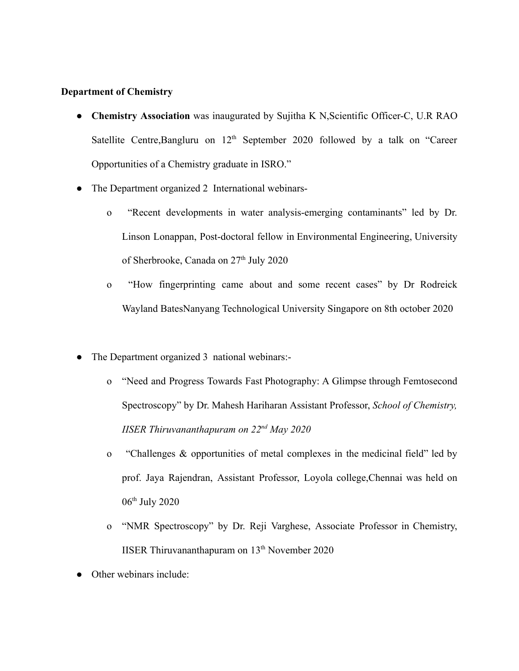### **Department of Chemistry**

- **Chemistry Association** was inaugurated by Sujitha K N, Scientific Officer-C, U.R RAO Satellite Centre, Bangluru on 12<sup>th</sup> September 2020 followed by a talk on "Career Opportunities of a Chemistry graduate in ISRO."
- The Department organized 2 International webinars
	- o "Recent developments in water analysis-emerging contaminants" led by Dr. Linson Lonappan, Post-doctoral fellow in Environmental Engineering, University of Sherbrooke, Canada on 27<sup>th</sup> July 2020
	- o "How fingerprinting came about and some recent cases" by Dr Rodreick Wayland BatesNanyang Technological University Singapore on 8th october 2020
- The Department organized 3 national webinars:
	- o "Need and Progress Towards Fast Photography: A Glimpse through Femtosecond Spectroscopy" by Dr. Mahesh Hariharan Assistant Professor, *School of Chemistry, IISER Thiruvananthapuram on 22nd May 2020*
	- o "Challenges & opportunities of metal complexes in the medicinal field" led by prof. Jaya Rajendran, Assistant Professor, Loyola college,Chennai was held on 06<sup>th</sup> July 2020
	- o "NMR Spectroscopy" by Dr. Reji Varghese, Associate Professor in Chemistry, IISER Thiruvananthapuram on  $13<sup>th</sup>$  November 2020
- Other webinars include: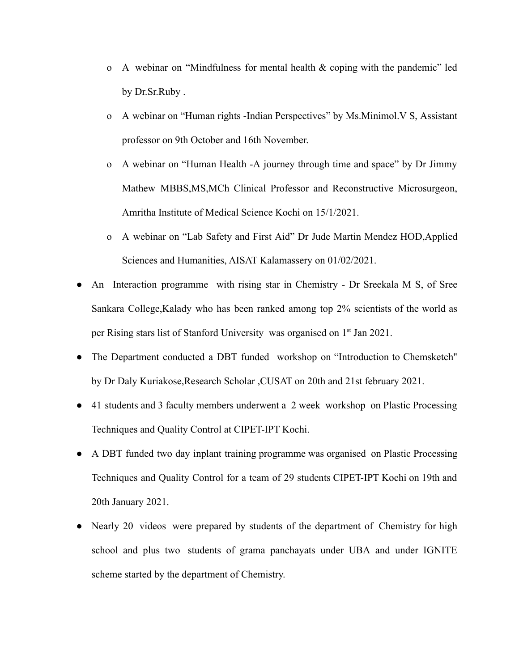- o A webinar on "Mindfulness for mental health & coping with the pandemic" led by Dr.Sr.Ruby .
- o A webinar on "Human rights -Indian Perspectives" by Ms.Minimol.V S, Assistant professor on 9th October and 16th November.
- o A webinar on "Human Health -A journey through time and space" by Dr Jimmy Mathew MBBS,MS,MCh Clinical Professor and Reconstructive Microsurgeon, Amritha Institute of Medical Science Kochi on 15/1/2021.
- o A webinar on "Lab Safety and First Aid" Dr Jude Martin Mendez HOD,Applied Sciences and Humanities, AISAT Kalamassery on 01/02/2021.
- An Interaction programme with rising star in Chemistry Dr Sreekala M S, of Sree Sankara College,Kalady who has been ranked among top 2% scientists of the world as per Rising stars list of Stanford University was organised on 1<sup>st</sup> Jan 2021.
- The Department conducted a DBT funded workshop on "Introduction to Chemsketch" by Dr Daly Kuriakose,Research Scholar ,CUSAT on 20th and 21st february 2021.
- 41 students and 3 faculty members underwent a 2 week workshop on Plastic Processing Techniques and Quality Control at CIPET-IPT Kochi.
- A DBT funded two day inplant training programme was organised on Plastic Processing Techniques and Quality Control for a team of 29 students CIPET-IPT Kochi on 19th and 20th January 2021.
- Nearly 20 videos were prepared by students of the department of Chemistry for high school and plus two students of grama panchayats under UBA and under IGNITE scheme started by the department of Chemistry.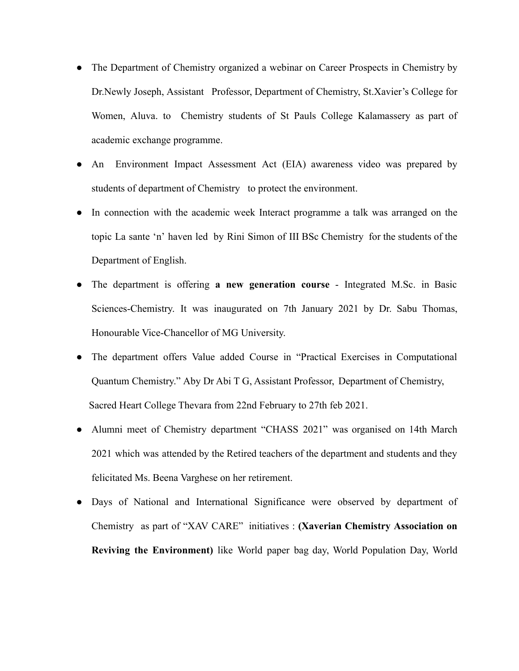- The Department of Chemistry organized a webinar on Career Prospects in Chemistry by Dr.Newly Joseph, Assistant Professor, Department of Chemistry, St.Xavier's College for Women, Aluva. to Chemistry students of St Pauls College Kalamassery as part of academic exchange programme.
- An Environment Impact Assessment Act (EIA) awareness video was prepared by students of department of Chemistry to protect the environment.
- In connection with the academic week Interact programme a talk was arranged on the topic La sante 'n' haven led by Rini Simon of III BSc Chemistry for the students of the Department of English.
- The department is offering **a new generation course** Integrated M.Sc. in Basic Sciences-Chemistry. It was inaugurated on 7th January 2021 by Dr. Sabu Thomas, Honourable Vice-Chancellor of MG University.
- The department offers Value added Course in "Practical Exercises in Computational Quantum Chemistry." Aby Dr Abi T G, Assistant Professor, Department of Chemistry, Sacred Heart College Thevara from 22nd February to 27th feb 2021.
- Alumni meet of Chemistry department "CHASS 2021" was organised on 14th March 2021 which was attended by the Retired teachers of the department and students and they felicitated Ms. Beena Varghese on her retirement.
- Days of National and International Significance were observed by department of Chemistry as part of "XAV CARE" initiatives : **(Xaverian Chemistry Association on Reviving the Environment)** like World paper bag day, World Population Day, World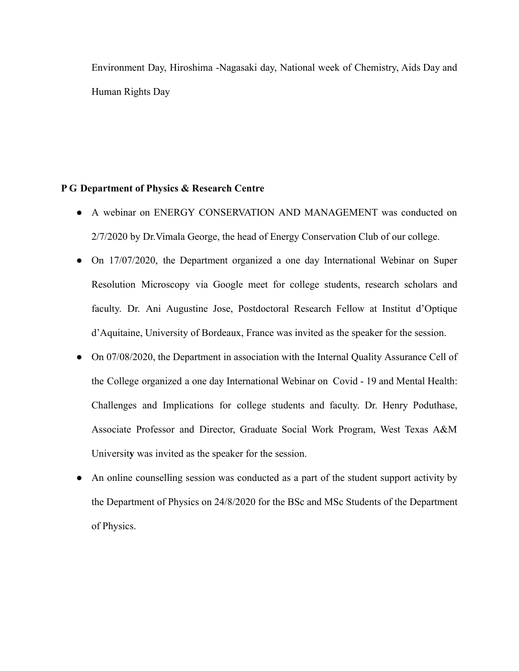Environment Day, Hiroshima -Nagasaki day, National week of Chemistry, Aids Day and Human Rights Day

### **P G Department of Physics & Research Centre**

- A webinar on ENERGY CONSERVATION AND MANAGEMENT was conducted on 2/7/2020 by Dr.Vimala George, the head of Energy Conservation Club of our college.
- On 17/07/2020, the Department organized a one day International Webinar on Super Resolution Microscopy via Google meet for college students, research scholars and faculty. Dr. Ani Augustine Jose, Postdoctoral Research Fellow at Institut d'Optique d'Aquitaine, University of Bordeaux, France was invited as the speaker for the session.
- On 07/08/2020, the Department in association with the Internal Quality Assurance Cell of the College organized a one day International Webinar on Covid - 19 and Mental Health: Challenges and Implications for college students and faculty. Dr. Henry Poduthase, Associate Professor and Director, Graduate Social Work Program, West Texas A&M Universit**y** was invited as the speaker for the session.
- An online counselling session was conducted as a part of the student support activity by the Department of Physics on 24/8/2020 for the BSc and MSc Students of the Department of Physics.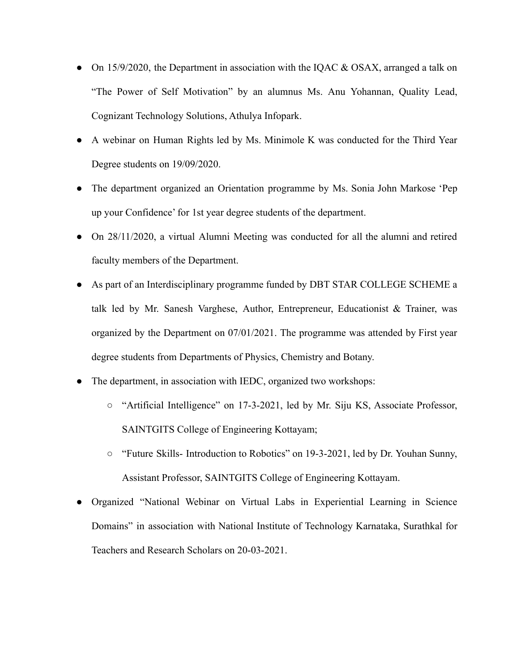- On 15/9/2020, the Department in association with the IOAC  $\&$  OSAX, arranged a talk on "The Power of Self Motivation" by an alumnus Ms. Anu Yohannan, Quality Lead, Cognizant Technology Solutions, Athulya Infopark.
- A webinar on Human Rights led by Ms. Minimole K was conducted for the Third Year Degree students on 19/09/2020.
- The department organized an Orientation programme by Ms. Sonia John Markose 'Pep up your Confidence' for 1st year degree students of the department.
- On 28/11/2020, a virtual Alumni Meeting was conducted for all the alumni and retired faculty members of the Department.
- As part of an Interdisciplinary programme funded by DBT STAR COLLEGE SCHEME a talk led by Mr. Sanesh Varghese, Author, Entrepreneur, Educationist  $\&$  Trainer, was organized by the Department on 07/01/2021. The programme was attended by First year degree students from Departments of Physics, Chemistry and Botany.
- The department, in association with IEDC, organized two workshops:
	- "Artificial Intelligence" on 17-3-2021, led by Mr. Siju KS, Associate Professor, SAINTGITS College of Engineering Kottayam;
	- "Future Skills- Introduction to Robotics" on 19-3-2021, led by Dr. Youhan Sunny, Assistant Professor, SAINTGITS College of Engineering Kottayam.
- Organized "National Webinar on Virtual Labs in Experiential Learning in Science Domains" in association with National Institute of Technology Karnataka, Surathkal for Teachers and Research Scholars on 20-03-2021.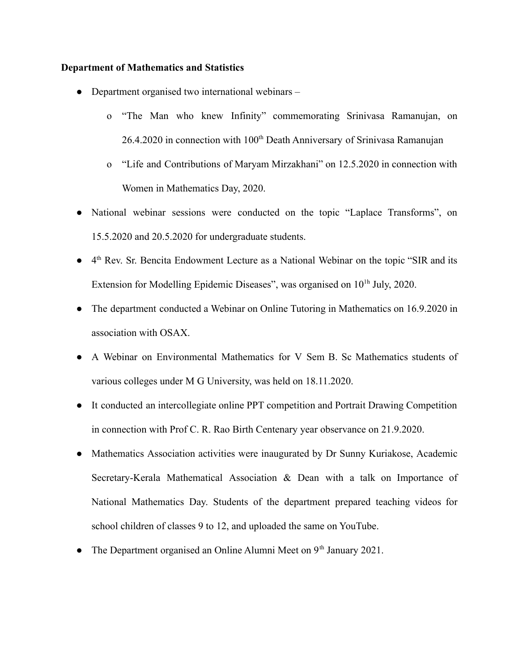### **Department of Mathematics and Statistics**

- Department organised two international webinars
	- o "The Man who knew Infinity" commemorating Srinivasa Ramanujan, on  $26.4.2020$  in connection with  $100<sup>th</sup>$  Death Anniversary of Srinivasa Ramanujan
	- o "Life and Contributions of Maryam Mirzakhani" on 12.5.2020 in connection with Women in Mathematics Day, 2020.
- National webinar sessions were conducted on the topic "Laplace Transforms", on 15.5.2020 and 20.5.2020 for undergraduate students.
- 4<sup>th</sup> Rev. Sr. Bencita Endowment Lecture as a National Webinar on the topic "SIR and its Extension for Modelling Epidemic Diseases", was organised on  $10<sup>th</sup>$  July, 2020.
- The department conducted a Webinar on Online Tutoring in Mathematics on 16.9.2020 in association with OSAX.
- A Webinar on Environmental Mathematics for V Sem B. Sc Mathematics students of various colleges under M G University, was held on 18.11.2020.
- It conducted an intercollegiate online PPT competition and Portrait Drawing Competition in connection with Prof C. R. Rao Birth Centenary year observance on 21.9.2020.
- Mathematics Association activities were inaugurated by Dr Sunny Kuriakose, Academic Secretary-Kerala Mathematical Association & Dean with a talk on Importance of National Mathematics Day. Students of the department prepared teaching videos for school children of classes 9 to 12, and uploaded the same on YouTube.
- The Department organised an Online Alumni Meet on  $9<sup>th</sup>$  January 2021.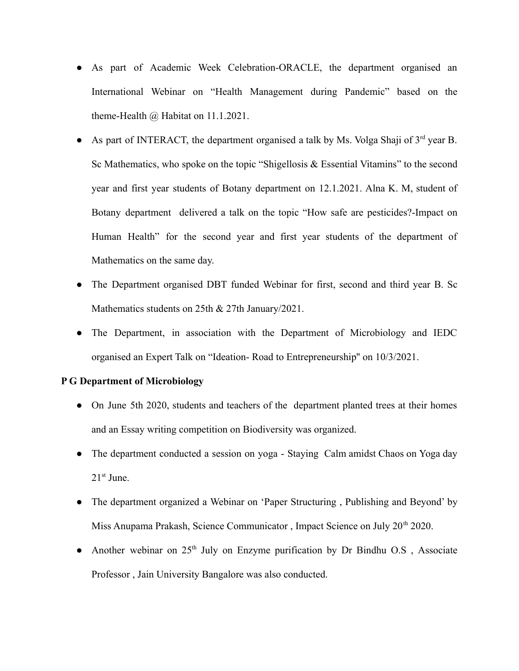- As part of Academic Week Celebration-ORACLE, the department organised an International Webinar on "Health Management during Pandemic" based on the theme-Health @ Habitat on 11.1.2021.
- As part of INTERACT, the department organised a talk by Ms. Volga Shaji of  $3<sup>rd</sup>$  year B. Sc Mathematics, who spoke on the topic "Shigellosis & Essential Vitamins" to the second year and first year students of Botany department on 12.1.2021. Alna K. M, student of Botany department delivered a talk on the topic "How safe are pesticides?-Impact on Human Health" for the second year and first year students of the department of Mathematics on the same day.
- The Department organised DBT funded Webinar for first, second and third year B. Sc Mathematics students on 25th & 27th January/2021.
- The Department, in association with the Department of Microbiology and IEDC organised an Expert Talk on "Ideation- Road to Entrepreneurship'' on 10/3/2021.

## **P G Department of Microbiology**

- On June 5th 2020, students and teachers of the department planted trees at their homes and an Essay writing competition on Biodiversity was organized.
- The department conducted a session on yoga Staving Calm amidst Chaos on Yoga day  $21<sup>st</sup>$  June.
- The department organized a Webinar on 'Paper Structuring, Publishing and Beyond' by Miss Anupama Prakash, Science Communicator, Impact Science on July 20<sup>th</sup> 2020.
- Another webinar on 25<sup>th</sup> July on Enzyme purification by Dr Bindhu O.S, Associate Professor , Jain University Bangalore was also conducted.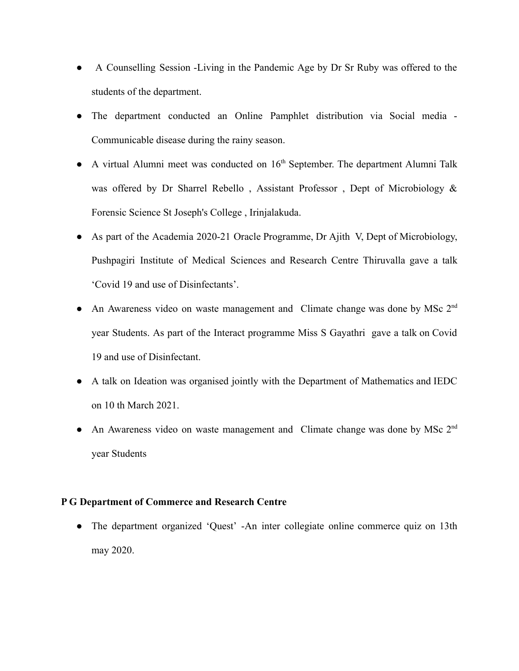- A Counselling Session -Living in the Pandemic Age by Dr Sr Ruby was offered to the students of the department.
- The department conducted an Online Pamphlet distribution via Social media Communicable disease during the rainy season.
- $\bullet$  A virtual Alumni meet was conducted on  $16<sup>th</sup>$  September. The department Alumni Talk was offered by Dr Sharrel Rebello, Assistant Professor, Dept of Microbiology & Forensic Science St Joseph's College , Irinjalakuda.
- As part of the Academia 2020-21 Oracle Programme, Dr Ajith V, Dept of Microbiology, Pushpagiri Institute of Medical Sciences and Research Centre Thiruvalla gave a talk 'Covid 19 and use of Disinfectants'.
- An Awareness video on waste management and Climate change was done by MSc 2<sup>nd</sup> year Students. As part of the Interact programme Miss S Gayathri gave a talk on Covid 19 and use of Disinfectant.
- A talk on Ideation was organised jointly with the Department of Mathematics and IEDC on 10 th March 2021.
- An Awareness video on waste management and Climate change was done by MSc 2<sup>nd</sup> year Students

## **P G Department of Commerce and Research Centre**

• The department organized 'Quest' -An inter collegiate online commerce quiz on 13th may 2020.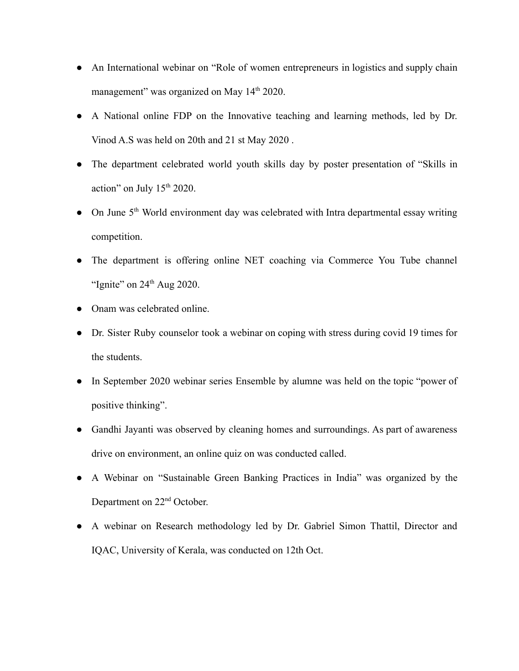- An International webinar on "Role of women entrepreneurs in logistics and supply chain management" was organized on May  $14<sup>th</sup> 2020$ .
- A National online FDP on the Innovative teaching and learning methods, led by Dr. Vinod A.S was held on 20th and 21 st May 2020 .
- The department celebrated world youth skills day by poster presentation of "Skills in action" on July  $15<sup>th</sup> 2020$ .
- On June 5<sup>th</sup> World environment day was celebrated with Intra departmental essay writing competition.
- The department is offering online NET coaching via Commerce You Tube channel "Ignite" on  $24<sup>th</sup>$  Aug 2020.
- Onam was celebrated online.
- Dr. Sister Ruby counselor took a webinar on coping with stress during covid 19 times for the students.
- In September 2020 webinar series Ensemble by alumne was held on the topic "power of positive thinking".
- Gandhi Jayanti was observed by cleaning homes and surroundings. As part of awareness drive on environment, an online quiz on was conducted called.
- A Webinar on "Sustainable Green Banking Practices in India" was organized by the Department on 22nd October.
- A webinar on Research methodology led by Dr. Gabriel Simon Thattil, Director and IQAC, University of Kerala, was conducted on 12th Oct.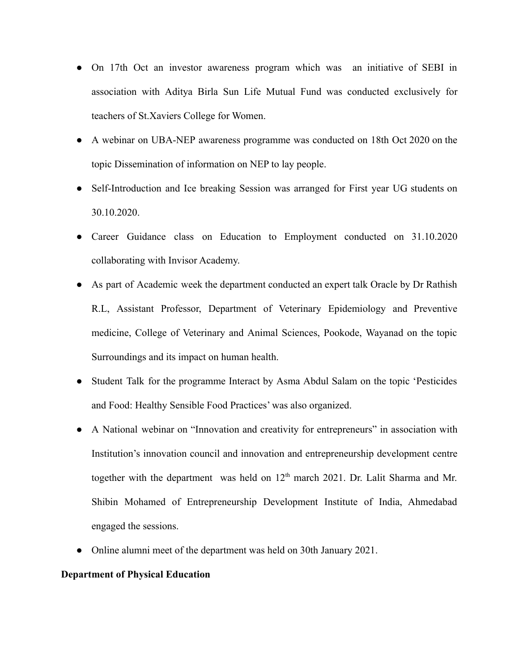- On 17th Oct an investor awareness program which was an initiative of SEBI in association with Aditya Birla Sun Life Mutual Fund was conducted exclusively for teachers of St.Xaviers College for Women.
- A webinar on UBA-NEP awareness programme was conducted on 18th Oct 2020 on the topic Dissemination of information on NEP to lay people.
- Self-Introduction and Ice breaking Session was arranged for First year UG students on 30.10.2020.
- Career Guidance class on Education to Employment conducted on 31.10.2020 collaborating with Invisor Academy.
- As part of Academic week the department conducted an expert talk Oracle by Dr Rathish R.L, Assistant Professor, Department of Veterinary Epidemiology and Preventive medicine, College of Veterinary and Animal Sciences, Pookode, Wayanad on the topic Surroundings and its impact on human health.
- Student Talk for the programme Interact by Asma Abdul Salam on the topic 'Pesticides' and Food: Healthy Sensible Food Practices' was also organized.
- A National webinar on "Innovation and creativity for entrepreneurs" in association with Institution's innovation council and innovation and entrepreneurship development centre together with the department was held on  $12<sup>th</sup>$  march 2021. Dr. Lalit Sharma and Mr. Shibin Mohamed of Entrepreneurship Development Institute of India, Ahmedabad engaged the sessions.
- Online alumni meet of the department was held on 30th January 2021.

### **Department of Physical Education**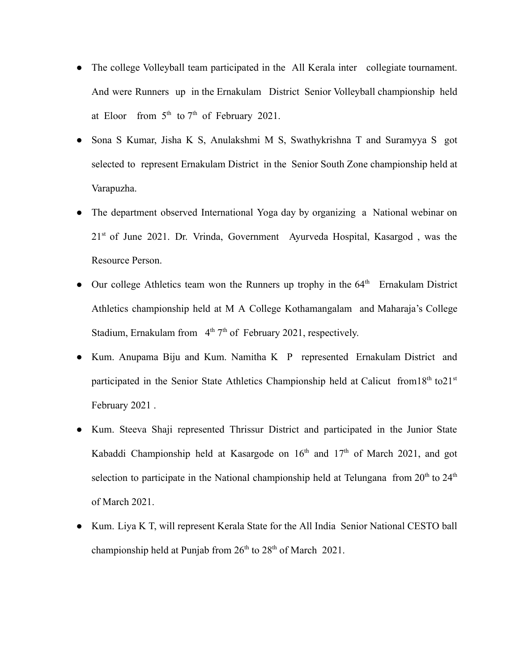- The college Volleyball team participated in the All Kerala inter collegiate tournament. And were Runners up in the Ernakulam District Senior Volleyball championship held at Eloor from  $5<sup>th</sup>$  to  $7<sup>th</sup>$  of February 2021.
- Sona S Kumar, Jisha K S, Anulakshmi M S, Swathykrishna T and Suramyya S got selected to represent Ernakulam District in the Senior South Zone championship held at Varapuzha.
- The department observed International Yoga day by organizing a National webinar on  $21<sup>st</sup>$  of June 2021. Dr. Vrinda, Government Ayurveda Hospital, Kasargod, was the Resource Person.
- Our college Athletics team won the Runners up trophy in the  $64<sup>th</sup>$  Ernakulam District Athletics championship held at M A College Kothamangalam and Maharaja's College Stadium, Ernakulam from  $4<sup>th</sup> 7<sup>th</sup>$  of February 2021, respectively.
- Kum. Anupama Biju and Kum. Namitha K P represented Ernakulam District and participated in the Senior State Athletics Championship held at Calicut from 18<sup>th</sup> to 21<sup>st</sup> February 2021 .
- Kum. Steeva Shaji represented Thrissur District and participated in the Junior State Kabaddi Championship held at Kasargode on  $16<sup>th</sup>$  and  $17<sup>th</sup>$  of March 2021, and got selection to participate in the National championship held at Telungana from  $20<sup>th</sup>$  to  $24<sup>th</sup>$ of March 2021.
- Kum. Liya K T, will represent Kerala State for the All India Senior National CESTO ball championship held at Punjab from  $26<sup>th</sup>$  to  $28<sup>th</sup>$  of March 2021.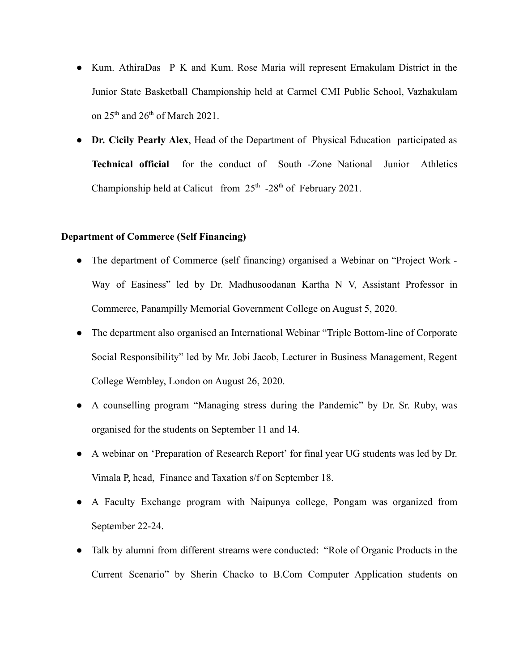- Kum. AthiraDas P K and Kum. Rose Maria will represent Ernakulam District in the Junior State Basketball Championship held at Carmel CMI Public School, Vazhakulam on  $25<sup>th</sup>$  and  $26<sup>th</sup>$  of March 2021.
- **Dr. Cicily Pearly Alex**, Head of the Department of Physical Education participated as **Technical official** for the conduct of South -Zone National Junior Athletics Championship held at Calicut from  $25<sup>th</sup> -28<sup>th</sup>$  of February 2021.

#### **Department of Commerce (Self Financing)**

- The department of Commerce (self financing) organised a Webinar on "Project Work -Way of Easiness" led by Dr. Madhusoodanan Kartha N V, Assistant Professor in Commerce, Panampilly Memorial Government College on August 5, 2020.
- The department also organised an International Webinar "Triple Bottom-line of Corporate Social Responsibility" led by Mr. Jobi Jacob, Lecturer in Business Management, Regent College Wembley, London on August 26, 2020.
- A counselling program "Managing stress during the Pandemic" by Dr. Sr. Ruby, was organised for the students on September 11 and 14.
- A webinar on 'Preparation of Research Report' for final year UG students was led by Dr. Vimala P, head, Finance and Taxation s/f on September 18.
- A Faculty Exchange program with Naipunya college, Pongam was organized from September 22-24.
- Talk by alumni from different streams were conducted: "Role of Organic Products in the Current Scenario" by Sherin Chacko to B.Com Computer Application students on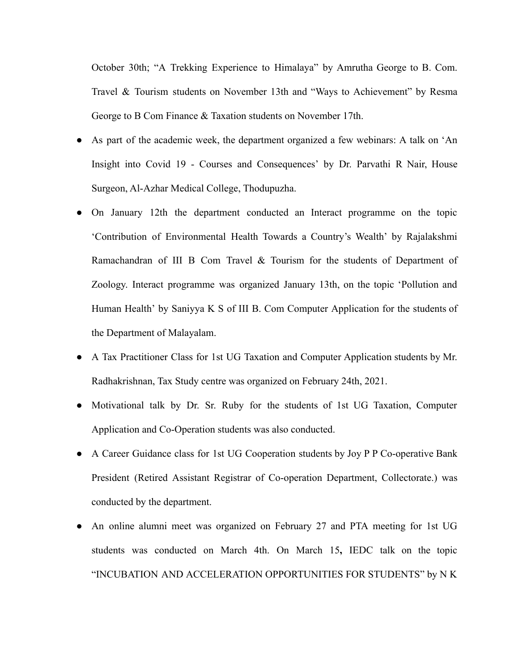October 30th; "A Trekking Experience to Himalaya" by Amrutha George to B. Com. Travel & Tourism students on November 13th and "Ways to Achievement" by Resma George to B Com Finance & Taxation students on November 17th.

- As part of the academic week, the department organized a few webinars: A talk on 'An Insight into Covid 19 - Courses and Consequences' by Dr. Parvathi R Nair, House Surgeon, Al-Azhar Medical College, Thodupuzha.
- On January 12th the department conducted an Interact programme on the topic 'Contribution of Environmental Health Towards a Country's Wealth' by Rajalakshmi Ramachandran of III B Com Travel & Tourism for the students of Department of Zoology. Interact programme was organized January 13th, on the topic 'Pollution and Human Health' by Saniyya K S of III B. Com Computer Application for the students of the Department of Malayalam.
- A Tax Practitioner Class for 1st UG Taxation and Computer Application students by Mr. Radhakrishnan, Tax Study centre was organized on February 24th, 2021.
- Motivational talk by Dr. Sr. Ruby for the students of 1st UG Taxation, Computer Application and Co-Operation students was also conducted.
- A Career Guidance class for 1st UG Cooperation students by Joy P P Co-operative Bank President (Retired Assistant Registrar of Co-operation Department, Collectorate.) was conducted by the department.
- An online alumni meet was organized on February 27 and PTA meeting for 1st UG students was conducted on March 4th. On March 15**,** IEDC talk on the topic "INCUBATION AND ACCELERATION OPPORTUNITIES FOR STUDENTS" by N K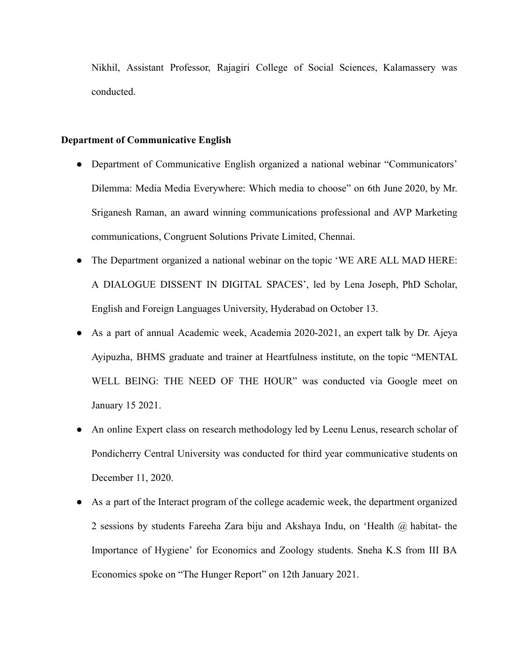Nikhil, Assistant Professor, Rajagiri College of Social Sciences, Kalamassery was conducted.

### **Department of Communicative English**

- Department of Communicative English organized a national webinar "Communicators' Dilemma: Media Media Everywhere: Which media to choose" on 6th June 2020, by Mr. Sriganesh Raman, an award winning communications professional and AVP Marketing communications, Congruent Solutions Private Limited, Chennai.
- The Department organized a national webinar on the topic 'WE ARE ALL MAD HERE: A DIALOGUE DISSENT IN DIGITAL SPACES', led by Lena Joseph, PhD Scholar, English and Foreign Languages University, Hyderabad on October 13.
- As a part of annual Academic week, Academia 2020-2021, an expert talk by Dr. Ajeya Ayipuzha, BHMS graduate and trainer at Heartfulness institute, on the topic "MENTAL WELL BEING: THE NEED OF THE HOUR" was conducted via Google meet on January 15 2021.
- An online Expert class on research methodology led by Leenu Lenus, research scholar of Pondicherry Central University was conducted for third year communicative students on December 11, 2020.
- As a part of the Interact program of the college academic week, the department organized 2 sessions by students Fareeha Zara biju and Akshaya Indu, on 'Health @ habitat- the Importance of Hygiene' for Economics and Zoology students. Sneha K.S from III BA Economics spoke on "The Hunger Report" on 12th January 2021.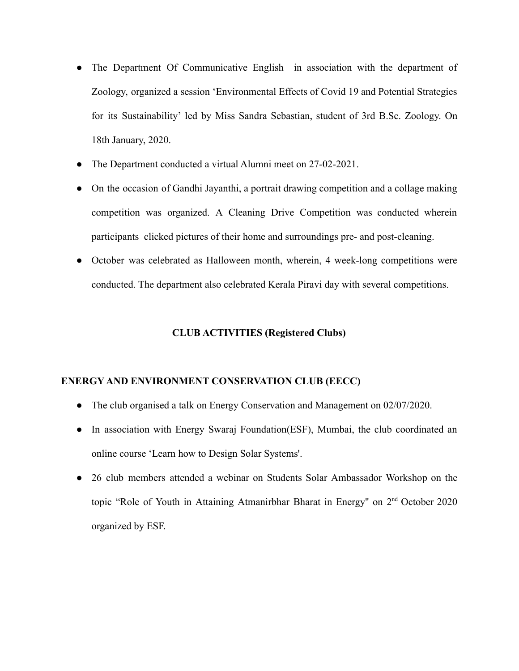- The Department Of Communicative English in association with the department of Zoology, organized a session 'Environmental Effects of Covid 19 and Potential Strategies for its Sustainability' led by Miss Sandra Sebastian, student of 3rd B.Sc. Zoology. On 18th January, 2020.
- The Department conducted a virtual Alumni meet on 27-02-2021.
- On the occasion of Gandhi Jayanthi, a portrait drawing competition and a collage making competition was organized. A Cleaning Drive Competition was conducted wherein participants clicked pictures of their home and surroundings pre- and post-cleaning.
- October was celebrated as Halloween month, wherein, 4 week-long competitions were conducted. The department also celebrated Kerala Piravi day with several competitions.

## **CLUB ACTIVITIES (Registered Clubs)**

### **ENERGY AND ENVIRONMENT CONSERVATION CLUB (EECC)**

- The club organised a talk on Energy Conservation and Management on 02/07/2020.
- In association with Energy Swaraj Foundation(ESF), Mumbai, the club coordinated an online course 'Learn how to Design Solar Systems'.
- 26 club members attended a webinar on Students Solar Ambassador Workshop on the topic "Role of Youth in Attaining Atmanirbhar Bharat in Energy" on 2<sup>nd</sup> October 2020 organized by ESF.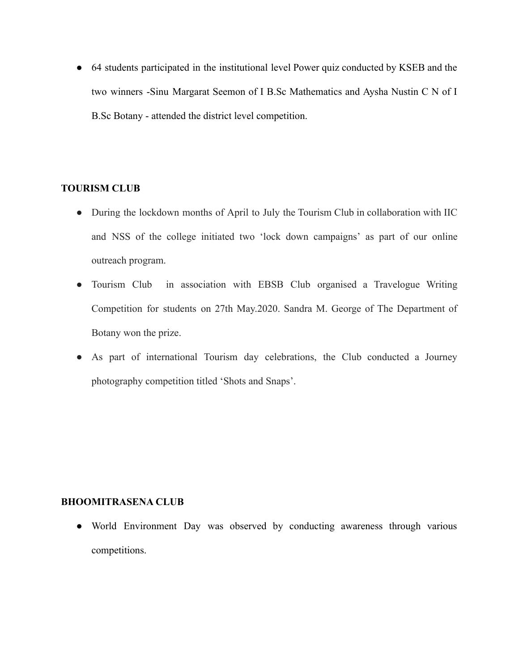● 64 students participated in the institutional level Power quiz conducted by KSEB and the two winners -Sinu Margarat Seemon of I B.Sc Mathematics and Aysha Nustin C N of I B.Sc Botany - attended the district level competition.

## **TOURISM CLUB**

- During the lockdown months of April to July the Tourism Club in collaboration with IIC and NSS of the college initiated two 'lock down campaigns' as part of our online outreach program.
- Tourism Club in association with EBSB Club organised a Travelogue Writing Competition for students on 27th May.2020. Sandra M. George of The Department of Botany won the prize.
- As part of international Tourism day celebrations, the Club conducted a Journey photography competition titled 'Shots and Snaps'.

## **BHOOMITRASENA CLUB**

● World Environment Day was observed by conducting awareness through various competitions.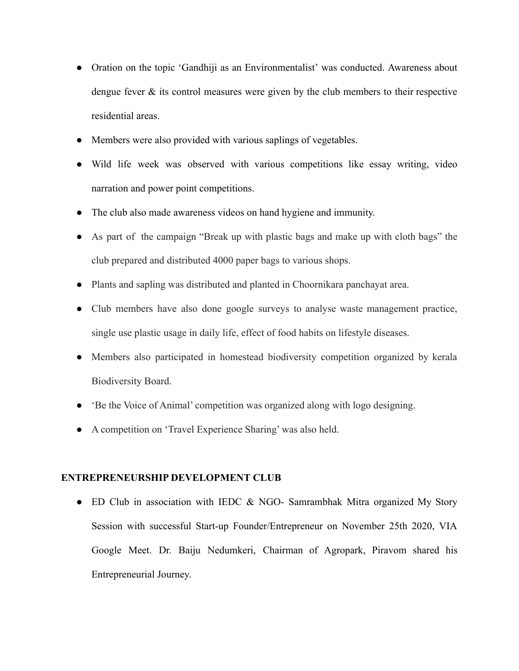- Oration on the topic 'Gandhiji as an Environmentalist' was conducted. Awareness about dengue fever & its control measures were given by the club members to their respective residential areas.
- Members were also provided with various saplings of vegetables.
- Wild life week was observed with various competitions like essay writing, video narration and power point competitions.
- The club also made awareness videos on hand hygiene and immunity.
- As part of the campaign "Break up with plastic bags and make up with cloth bags" the club prepared and distributed 4000 paper bags to various shops.
- Plants and sapling was distributed and planted in Choornikara panchayat area.
- Club members have also done google surveys to analyse waste management practice, single use plastic usage in daily life, effect of food habits on lifestyle diseases.
- Members also participated in homestead biodiversity competition organized by kerala Biodiversity Board.
- 'Be the Voice of Animal' competition was organized along with logo designing.
- A competition on 'Travel Experience Sharing' was also held.

#### **ENTREPRENEURSHIP DEVELOPMENT CLUB**

• ED Club in association with IEDC & NGO- Samrambhak Mitra organized My Story Session with successful Start-up Founder/Entrepreneur on November 25th 2020, VIA Google Meet. Dr. Baiju Nedumkeri, Chairman of Agropark, Piravom shared his Entrepreneurial Journey.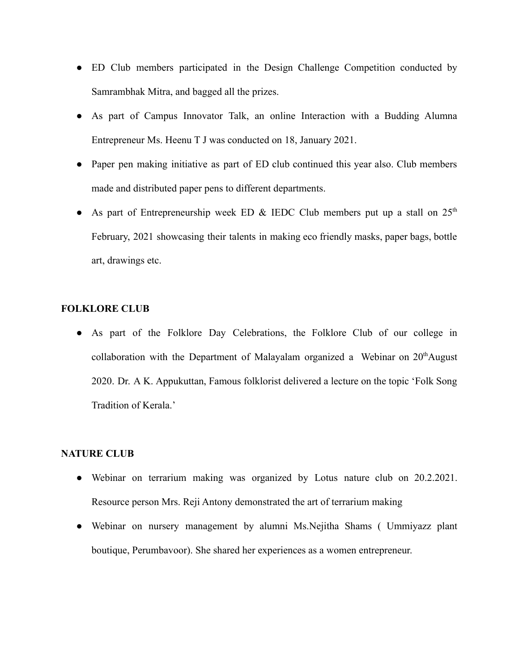- ED Club members participated in the Design Challenge Competition conducted by Samrambhak Mitra, and bagged all the prizes.
- As part of Campus Innovator Talk, an online Interaction with a Budding Alumna Entrepreneur Ms. Heenu T J was conducted on 18, January 2021.
- Paper pen making initiative as part of ED club continued this year also. Club members made and distributed paper pens to different departments.
- As part of Entrepreneurship week ED & IEDC Club members put up a stall on  $25<sup>th</sup>$ February, 2021 showcasing their talents in making eco friendly masks, paper bags, bottle art, drawings etc.

### **FOLKLORE CLUB**

● As part of the Folklore Day Celebrations, the Folklore Club of our college in collaboration with the Department of Malayalam organized a Webinar on  $20<sup>th</sup>$ August 2020. Dr. A K. Appukuttan, Famous folklorist delivered a lecture on the topic 'Folk Song Tradition of Kerala.'

### **NATURE CLUB**

- Webinar on terrarium making was organized by Lotus nature club on 20.2.2021. Resource person Mrs. Reji Antony demonstrated the art of terrarium making
- Webinar on nursery management by alumni Ms.Nejitha Shams ( Ummiyazz plant boutique, Perumbavoor). She shared her experiences as a women entrepreneur.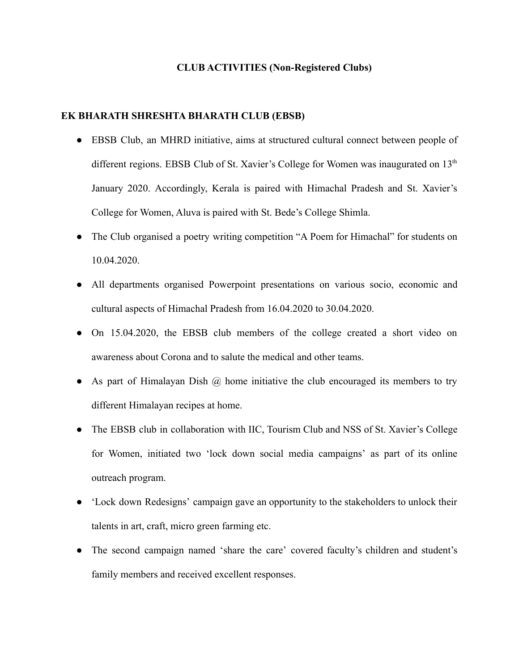#### **CLUB ACTIVITIES (Non-Registered Clubs)**

#### **EK BHARATH SHRESHTA BHARATH CLUB (EBSB)**

- EBSB Club, an MHRD initiative, aims at structured cultural connect between people of different regions. EBSB Club of St. Xavier's College for Women was inaugurated on 13<sup>th</sup> January 2020. Accordingly, Kerala is paired with Himachal Pradesh and St. Xavier's College for Women, Aluva is paired with St. Bede's College Shimla.
- The Club organised a poetry writing competition "A Poem for Himachal" for students on 10.04.2020.
- All departments organised Powerpoint presentations on various socio, economic and cultural aspects of Himachal Pradesh from 16.04.2020 to 30.04.2020.
- On 15.04.2020, the EBSB club members of the college created a short video on awareness about Corona and to salute the medical and other teams.
- As part of Himalayan Dish  $\omega$  home initiative the club encouraged its members to try different Himalayan recipes at home.
- The EBSB club in collaboration with IIC, Tourism Club and NSS of St. Xavier's College for Women, initiated two 'lock down social media campaigns' as part of its online outreach program.
- 'Lock down Redesigns' campaign gave an opportunity to the stakeholders to unlock their talents in art, craft, micro green farming etc.
- The second campaign named 'share the care' covered faculty's children and student's family members and received excellent responses.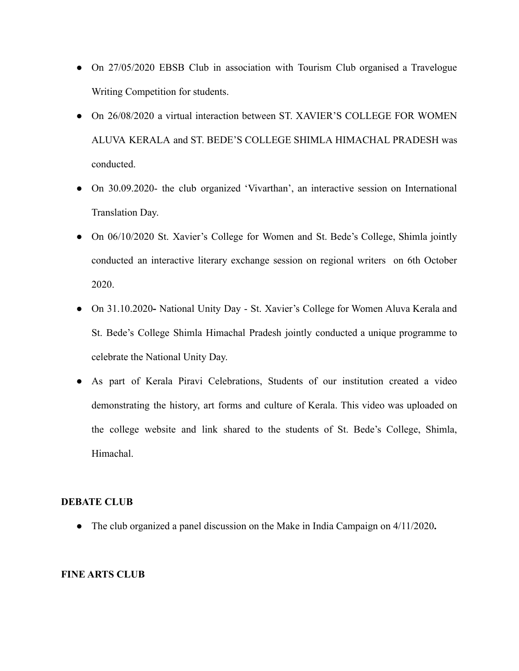- On 27/05/2020 EBSB Club in association with Tourism Club organised a Travelogue Writing Competition for students.
- On 26/08/2020 a virtual interaction between ST. XAVIER'S COLLEGE FOR WOMEN ALUVA KERALA and ST. BEDE'S COLLEGE SHIMLA HIMACHAL PRADESH was conducted.
- On 30.09.2020- the club organized 'Vivarthan', an interactive session on International Translation Day.
- On 06/10/2020 St. Xavier's College for Women and St. Bede's College, Shimla jointly conducted an interactive literary exchange session on regional writers on 6th October 2020.
- On 31.10.2020**-** National Unity Day St. Xavier's College for Women Aluva Kerala and St. Bede's College Shimla Himachal Pradesh jointly conducted a unique programme to celebrate the National Unity Day.
- As part of Kerala Piravi Celebrations, Students of our institution created a video demonstrating the history, art forms and culture of Kerala. This video was uploaded on the college website and link shared to the students of St. Bede's College, Shimla, Himachal.

### **DEBATE CLUB**

● The club organized a panel discussion on the Make in India Campaign on 4/11/2020**.**

### **FINE ARTS CLUB**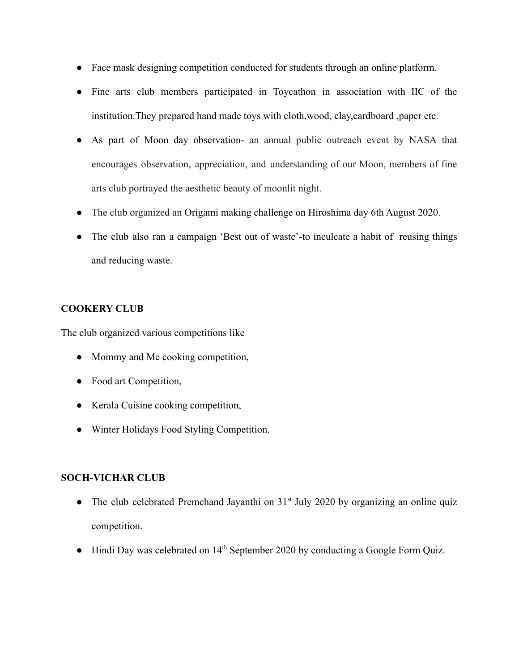- Face mask designing competition conducted for students through an online platform.
- Fine arts club members participated in Toycathon in association with IIC of the institution.They prepared hand made toys with cloth,wood, clay,cardboard ,paper etc.
- As part of Moon day observation- an annual public outreach event by NASA that encourages observation, appreciation, and understanding of our Moon, members of fine arts club portrayed the aesthetic beauty of moonlit night.
- The club organized an Origami making challenge on Hiroshima day 6th August 2020.
- The club also ran a campaign 'Best out of waste'-to inculcate a habit of reusing things and reducing waste.

## **COOKERY CLUB**

The club organized various competitions like

- Mommy and Me cooking competition,
- Food art Competition,
- Kerala Cuisine cooking competition,
- Winter Holidays Food Styling Competition.

## **SOCH-VICHAR CLUB**

- The club celebrated Premchand Jayanthi on  $31<sup>st</sup>$  July 2020 by organizing an online quiz competition.
- $\bullet$  Hindi Day was celebrated on 14<sup>th</sup> September 2020 by conducting a Google Form Quiz.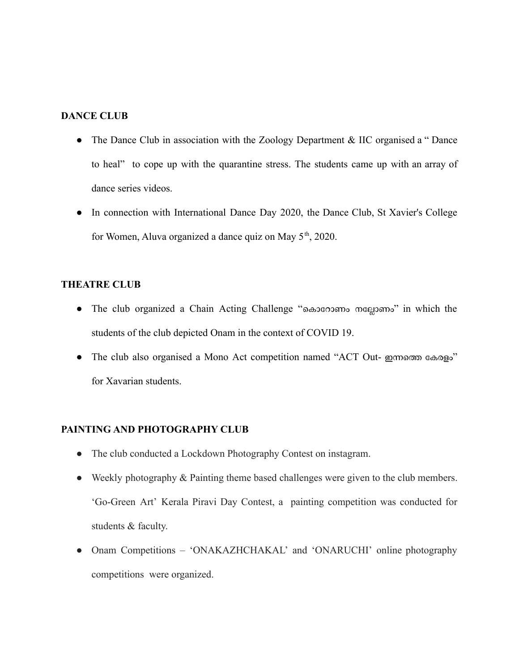## **DANCE CLUB**

- The Dance Club in association with the Zoology Department & IIC organised a "Dance" to heal" to cope up with the quarantine stress. The students came up with an array of dance series videos.
- In connection with International Dance Day 2020, the Dance Club, St Xavier's College for Women, Aluva organized a dance quiz on May  $5<sup>th</sup>$ , 2020.

### **THEATRE CLUB**

- The club organized a Chain Acting Challenge "കൊറോണം നല്ലോണം" in which the students of the club depicted Onam in the context of COVID 19.
- The club also organised a Mono Act competition named "ACT Out- ഇന്നത്തെ കേരളം" for Xavarian students.

## **PAINTING AND PHOTOGRAPHY CLUB**

- The club conducted a Lockdown Photography Contest on instagram.
- Weekly photography & Painting theme based challenges were given to the club members. 'Go-Green Art' Kerala Piravi Day Contest, a painting competition was conducted for students & faculty.
- Onam Competitions 'ONAKAZHCHAKAL' and 'ONARUCHI' online photography competitions were organized.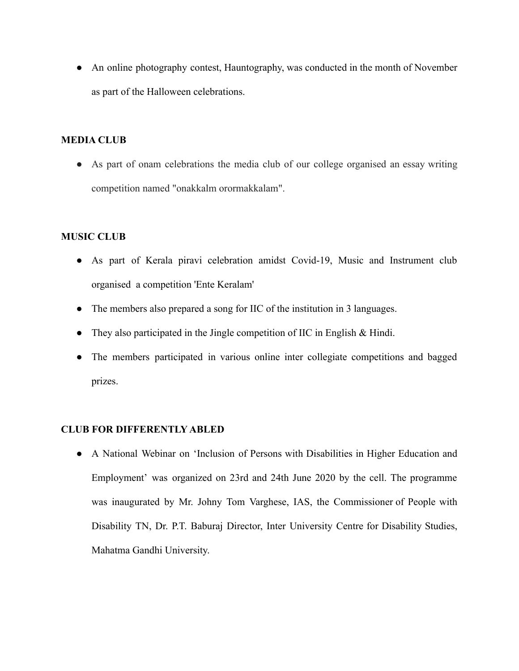• An online photography contest, Hauntography, was conducted in the month of November as part of the Halloween celebrations.

## **MEDIA CLUB**

● As part of onam celebrations the media club of our college organised an essay writing competition named "onakkalm orormakkalam".

## **MUSIC CLUB**

- As part of Kerala piravi celebration amidst Covid-19, Music and Instrument club organised a competition 'Ente Keralam'
- The members also prepared a song for IIC of the institution in 3 languages.
- They also participated in the Jingle competition of IIC in English & Hindi.
- The members participated in various online inter collegiate competitions and bagged prizes.

# **CLUB FOR DIFFERENTLY ABLED**

● A National Webinar on 'Inclusion of Persons with Disabilities in Higher Education and Employment' was organized on 23rd and 24th June 2020 by the cell. The programme was inaugurated by Mr. Johny Tom Varghese, IAS, the Commissioner of People with Disability TN, Dr. P.T. Baburaj Director, Inter University Centre for Disability Studies, Mahatma Gandhi University.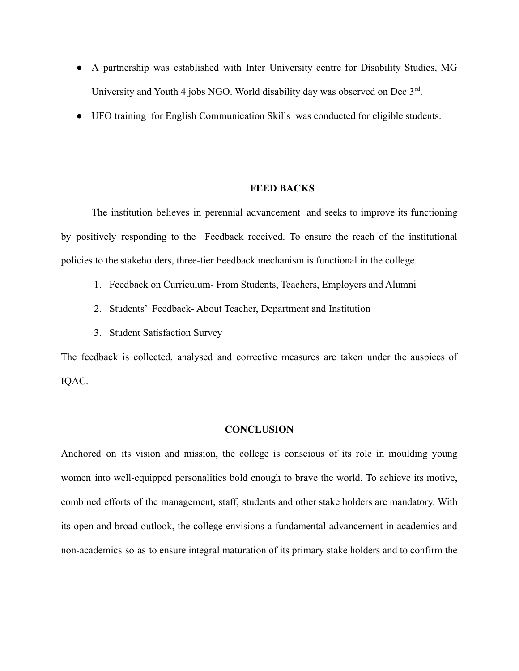- A partnership was established with Inter University centre for Disability Studies, MG University and Youth 4 jobs NGO. World disability day was observed on Dec 3<sup>rd</sup>.
- UFO training for English Communication Skills was conducted for eligible students.

#### **FEED BACKS**

The institution believes in perennial advancement and seeks to improve its functioning by positively responding to the Feedback received. To ensure the reach of the institutional policies to the stakeholders, three-tier Feedback mechanism is functional in the college.

- 1. Feedback on Curriculum- From Students, Teachers, Employers and Alumni
- 2. Students' Feedback- About Teacher, Department and Institution
- 3. Student Satisfaction Survey

The feedback is collected, analysed and corrective measures are taken under the auspices of IQAC.

#### **CONCLUSION**

Anchored on its vision and mission, the college is conscious of its role in moulding young women into well-equipped personalities bold enough to brave the world. To achieve its motive, combined efforts of the management, staff, students and other stake holders are mandatory. With its open and broad outlook, the college envisions a fundamental advancement in academics and non-academics so as to ensure integral maturation of its primary stake holders and to confirm the